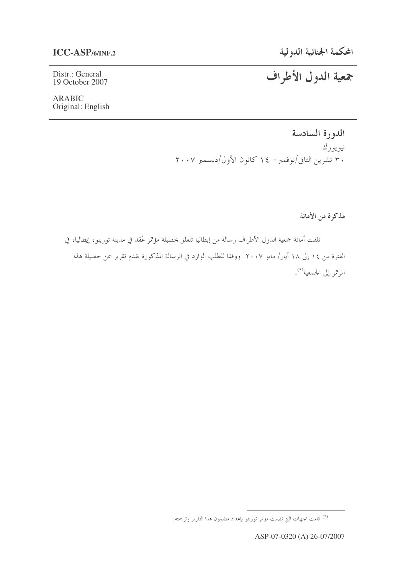Distr.: General 19 October 2007

**ARABIC** Original: English جمعية الدول الأطراف

الدورة السادسة نيويورك ۳۰ تشرین الثانی/نوفمبر– ۱٤ کانون الأول/دیسمبر ۲۰۰۷

مذكرة من الأمانة

تلقت أمانة جمعية الدول الأطراف رسالة من إيطاليا تتعلق بحصيلة مؤتمر عُقد في مدينة تورينو، إيطاليا، في الفترة من ١٤ إلى ١٨ أيار/ مايو ٢٠٠٧. ووفقا للطلب الوارد في الرسالة المذكورة يقدم تقرير عن حصيلة هذا المرتمر إلى الجمعية<sup>(\*)</sup>.

<sup>&</sup>lt;sup>(\*)</sup> قامت الجهات التي نظمت مؤتمر تورينو بإعداد مضمون هذا التقرير وترجمته.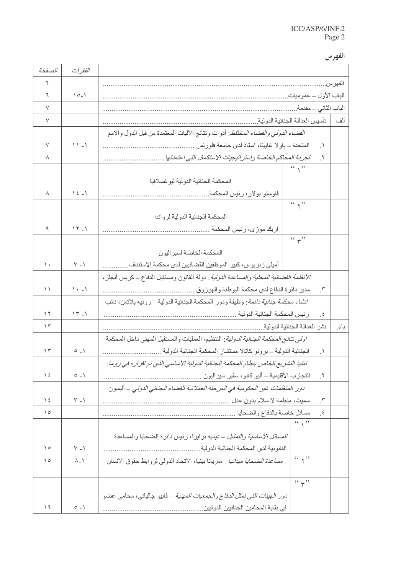الفهرس

| الصفحة         | الفقرات                                         |                                                                                                                                                 |                      |        |
|----------------|-------------------------------------------------|-------------------------------------------------------------------------------------------------------------------------------------------------|----------------------|--------|
| ٢              |                                                 |                                                                                                                                                 |                      | الفهرس |
| ٦              | $10 - 1$                                        | الباب الأول – عموميات ِ                                                                                                                         |                      |        |
| $\checkmark$   |                                                 |                                                                                                                                                 | الباب الثاني – مقدمة |        |
| $\vee$         |                                                 | تأسيس العدالة الجنائية الدولية.                                                                                                                 |                      | ألف    |
|                |                                                 | <i>القضاء الدولي والقضاء المختلط</i> : أدوات ونتائج الأليات المعتمدة من قبل الدول والامم                                                        |                      |        |
| $\checkmark$   | $11 - 1$                                        | المتحدة – باولا غاييتا، استاذ لدى جامعة فلورنس                                                                                                  | $\cdot$              |        |
| ٨              |                                                 | تجربة المحاكم الخاصة واستر اتيجيات الاستكمال التي اعتمدتها .                                                                                    | $\mathbf{r}$         |        |
|                |                                                 | $\left($ $\left($ , $\right)$                                                                                                                   |                      |        |
|                |                                                 | المحكمة الجنائية الدولية ليو غسلافيا                                                                                                            |                      |        |
| ٨              | $\begin{pmatrix} 2 & 1 \\ 2 & -1 \end{pmatrix}$ | فاوستو بولار ، رئيس المحكمة .                                                                                                                   |                      |        |
|                |                                                 | $66 \times 22$                                                                                                                                  |                      |        |
|                |                                                 | المحكمة الجنائية الدولية لرواندا                                                                                                                |                      |        |
| ٩              | $15 - 1$                                        | اريك موزى، رئيس المحكمة .                                                                                                                       |                      |        |
|                |                                                 | (4, 2)                                                                                                                                          |                      |        |
| $\lambda$      | $V - V$                                         | المحكمة الخاصة لسير اليون                                                                                                                       |                      |        |
|                |                                                 | أميلي ز نز يوس، كبير  الموظفين القضائيين لدى محكمة الاستئناف                                                                                    |                      |        |
| $\setminus$    | $\lambda \cdot - \lambda$                       | <i>الأنظمة القضائية المحلية والمساعدة الدولية</i> : دولة القانون ومستقبل الدفاع ــ كريس أنجلز ،<br>مدير دائرة الدفاع لدى محكمة البوظنة والهرزوق | $\cdot$              |        |
|                |                                                 | <i>انشاء محكمة جنائية دائمة</i> : وظيفة ودور المحكمة الجنائية الدولية ــ رونيه بلاتمن، نائب                                                     |                      |        |
| $\gamma$       | $15 - 1$                                        | رئيس المحكمة الجنائية الدولية                                                                                                                   | $\cdot$ , $\epsilon$ |        |
| $\gamma$       |                                                 | نشر العدالة الجنائية الدولية.                                                                                                                   |                      | باءِ   |
|                |                                                 | <i>اولى نتائج المحكمة الجنائية الدولية</i> : التنظيم، العمليات والمستقبل المهنى داخل المحكمة                                                    |                      |        |
| $\gamma$       | $0 - 1$                                         | الجنائية الدولية ــ برونو كاتالا مستشار المحكمة الجنائية الدولية                                                                                | $\cdot$ .            |        |
|                |                                                 | تنفيذ التشريع الخاص بنظام المحكمة الجنائية الدولية الأساسي الذي تم اقراره في روما :                                                             |                      |        |
| $\frac{1}{2}$  | $0 - 1$                                         | النجار ب الاقليمية ـــ أليو كانو ، سفير سير اليون                                                                                               | $\cdot$              |        |
|                |                                                 | دور المنظمات غير الحكومية في المرحلة العملانية للقضاء الجنائي الدولي – أليسون                                                                   |                      |        |
| $\frac{1}{2}$  | $\widetilde{\mathcal{N}} = \mathcal{N}$         |                                                                                                                                                 | $\cdot$              |        |
| $\circ$        |                                                 | مسائل خاصة بالدفاع والضحايا                                                                                                                     | $\cdot$ $\epsilon$   |        |
|                |                                                 | (1)                                                                                                                                             |                      |        |
|                |                                                 | <i>المسائل الأساسية والتمثيل – د</i> يديه بر اير ا، رئيس دائرة الضحايا والمساعدة                                                                |                      |        |
| $\circ$        | $V - V$                                         | القانونية لدى المحكمة الجنائية الدولية                                                                                                          |                      |        |
| $\circ$        | $\Lambda$ <sub>-</sub> $\Lambda$                | (1)<br><i>مساعدة الضحايا ميدانيا</i> – ماريانا بينيا، الاتحاد الدولي لروابط حقوق الانسان                                                        |                      |        |
|                |                                                 |                                                                                                                                                 |                      |        |
|                |                                                 | (4, 1)                                                                                                                                          |                      |        |
|                |                                                 | <i>دور الهيئات التي تمثل الدفاع والجمعيات المهنية</i> – فابيو جالياني، محامي عضو                                                                |                      |        |
| $\overline{1}$ | $0 - 1$                                         | في نقابة المحامين الجنائيين الدوليين .                                                                                                          |                      |        |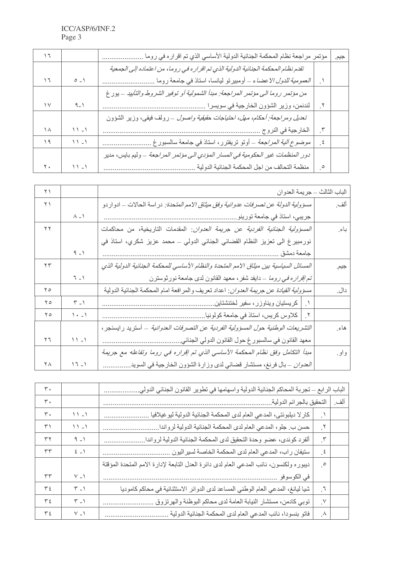|    |          | مؤتمر مراجعة نظام المحكمة الجنائية الدولية الأساسي الذي تم اقراره في روما          |                      | جيم. |
|----|----------|------------------------------------------------------------------------------------|----------------------|------|
|    |          | تقدم نظام المحكمة الجنائية الدولية الذي تم اقر اره في روما، من اعتماده إلى الجمعية |                      |      |
| ۱٦ | $0 - 1$  | العم <i>ومية للدول الاعضاء</i> ــ أومبيرتو ليانسا، استاذ في جامعة روما             |                      |      |
|    |          | من مؤتمر روما الى مؤتمر المراجعة: مبدأ الشمولية أو توفير الشروط والتأبيد – يور غ   |                      |      |
| ۱٧ | ۹_۱      | لندنمن، وزير الشؤون الخارجية في سويسرا                                             |                      |      |
|    |          | تعديل ومراجعة: أحكام، مهل، احتياجات حقيقية واصول – رولف فيفي، وزير الشؤون          |                      |      |
| ۱۸ | $11 - 1$ | الخارجية في النروج                                                                 | $\cdot^{\mathsf{r}}$ |      |
| ۱۹ | $11 - 1$ | <i>موضوع ألية المراجعة</i> ــ أوتو تريفترر، استاذ في جامعة سالسبورغ                | $\cdot$ , $\epsilon$ |      |
|    |          | دور المنظمات غير الحكومية في المسار المؤدي الى مؤتمر المراجعة – وليم بايس، مدير    |                      |      |
| ۲. | ۱ - ۱    | منظمة التحالف من اجل المحكمة الجنائية الدولية                                      | $\cdot^{\circ}$      |      |

| $\uparrow \uparrow$ |                                                | الباب الثالث - جريمة العدوان                                                                  |        |
|---------------------|------------------------------------------------|-----------------------------------------------------------------------------------------------|--------|
| $\Upsilon$          |                                                | م <i>سؤولية الدولة عن تصرفات عدوانية وفق ميثاق الامم المت</i> حدة: در اسة الحالات ــ ادوار دو | ألف    |
|                     | $\wedge$ $\rightarrow$                         |                                                                                               |        |
| ۲۲                  |                                                | المسؤولية الجنائية الفردية عن جريمة العدوان: المقدمات التاريخية، من محاكمات                   | باءِ   |
|                     |                                                | نورمبيرغ الى تعزيز النظام القضائي الجنائي الدولي – محمد عزيز شكري، استاذ في                   |        |
|                     | $9 - 1$                                        | جامعة دمشق                                                                                    |        |
| $\tau$              |                                                | المسائل السياسية بين ميثاق الامم المتحدة والنظام الأساسي للمحكمة الجنائية الدولية الذي        | جيم.   |
|                     | $7 - 1$                                        | <i>تم إقراره في روما</i> _دايفد شفر ، معهد القانون لدى جامعة نورثوسترن                        |        |
| $\mathbf{y}$        |                                                | <i>مسؤولية القيادة عن جريمة العدوان</i> : اعداد تعريف والمرافعة امام المحكمة الجنائية الدولية | دال.   |
| $\mathsf{Y}\circ$   | $\mathcal{F} = \mathcal{V}$                    | ١ _   كريستيان ويناوزر ، سفير لختنشتاين                                                       |        |
| $\Upsilon$          | $\left( \cdot \right)$                         | ٢   كلاوس كريس، استاذ في جامعة كولونيا                                                        |        |
|                     |                                                | التشريعات الوطنية حول المسؤولية الفردية عن التصرفات العدوانية _ أستريد رايسنجر ،              | هاءِ   |
| $\Upsilon$          | $11 - 1$                                       | معهد القانون في سالسبور غ حول القانون الدولي الجنائي.                                         |        |
|                     |                                                | مبدأ التكامل وفق نظام المحكمة الأساسي الذي تم إقراره في روما وتفاعله مع جريمة                 | و او . |
| ٢٨                  | $\begin{pmatrix} 1 & 1 \\ 1 & 1 \end{pmatrix}$ | <i>العدوان –</i> بال فرنغ، مستشار قضائي لدى وزارة الشؤون الخارجية في السويد <sub>.</sub>      |        |

| ٣.             |                             | الباب الرابع ــ تجربة المحاكم الجنائية الدولية واسهامها في تطوير القانون الجنائي الدولي. |                       |     |
|----------------|-----------------------------|------------------------------------------------------------------------------------------|-----------------------|-----|
| $\mathbf{r}$ . |                             | التحقيق بالجرائم الدولية                                                                 |                       | ألف |
| $\mathbf{r}$ . | $11 - 1$                    | كار لا ديلبونتي، المدعي العام لدى المحكمة الجنائية الدولية ليوغيلافيا                    |                       |     |
| $\uparrow$     | $11 - 1$                    | حسن ب ِ جلو ، المدعي العام لدى المحكمة الجنائية الدولية لرواندا ِ                        | $\cdot^{\mathsf{Y}}$  |     |
| ٣٢             | $9 - 1$                     | ألفرد كوندي، عضو وحدة التحقيق لدى المحكمة الجنائية الدولية لرواندا ِ                     | $\cdot$               |     |
| ٣٣             | $\xi = 1$                   | ستيفان راب، المدعي العام لدى المحكمة الخاصة لسير اليون                                   | $\cdot$ $\epsilon$    |     |
|                |                             | ديبوره ولكنسون، نائب المدعي العام لدى دائرة العدل التابعة لإدارة الامم المتحدة المؤقتة   | $\cdot$ $\circ$       |     |
| ٣٣             | $V - 1$                     | في الكوسوفو                                                                              |                       |     |
| $\tau$ {       | $\mathcal{F}$ $\mathcal{F}$ | شيا ليانغ، المدعي العام الوطني المساعد لدى الدوائر الاستثنائية في محاكم كاموديا          | $\cdot$               |     |
| $\tau$         | $\mathcal{F} = \mathcal{V}$ | توبي كادمن، مستشار النيابة العامة لدى محاكم البوظنة والهرتزوق                            | $\cdot^{\vee}$        |     |
| $\tau$         | $V - 1$                     | فاتو بنسودا، نائب المدعي العام لدى المحكمة الجنائية الدولية                              | $\cdot^{\mathcal{A}}$ |     |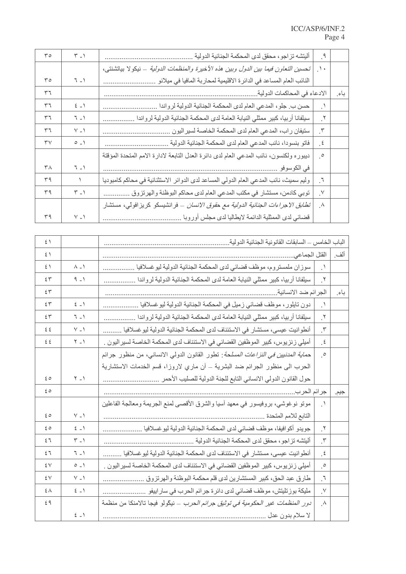| ro                     | $\mathcal{F} = \mathcal{V}$ | أليتشه تزاجو، محقق لدى المحكمة الجنائية الدولية                                        | ़१                    |      |
|------------------------|-----------------------------|----------------------------------------------------------------------------------------|-----------------------|------|
|                        |                             | تحسين التعاون فيما بين الدول وبين هذه الأخيرة والمنظمات الدولية – نيكولا بياتشنتي،     | $\Delta$              |      |
| ۳٥                     | $\mathcal{T} = \mathcal{N}$ | النائب العام المساعد في الدائر ة الاقليمية لمحاربة المافيا في ميلانو                   |                       |      |
| ٣٦                     |                             | الادعاء في المحاكمات الدولية.                                                          |                       | باءِ |
| ٣٦                     | $\xi$ $\rightarrow$         | حسن ب جلو، المدعي العام لدى المحكمة الجنائية الدولية لرواندا                           | $\cdot$ .             |      |
| ٣٦                     | $\mathcal{T} = \mathcal{N}$ | سيلفانا أربيا، كبير ممثلي النيابة العامة لدى المحكمة الجنائية الدولية لرواندا          | ् $\mathbf{y}$        |      |
| ٣٦                     | $V = V$                     | ستيفان راب، المدعي العام لدى المحكمة الخاصة لسير اليون                                 | $\cdot^{\mathsf{r}}$  |      |
| $\mathsf{r}\mathsf{v}$ | $0 - 1$                     | فاتو بنسودا، نائب المدعي العام لدى المحكمة الجنائية الدولية                            | $\cdot$               |      |
|                        |                             | ديبوره ولكنسون، نائب المدعي العام لدى دائرة العدل التابعة لادارة الامم المتحدة المؤقتة | $\cdot^{\circ}$       |      |
| $\mathsf{r}_\Lambda$   | $\mathbb{T} \_ )$           | في الكوسوفو                                                                            |                       |      |
| ٣٩                     | $\lambda$                   | وليم سميث، نائب المدعي العام الدولي المساعد لدى الدوائر الاستثنائية في محاكم كامبوديا  | $\cdot$               |      |
| ٣٩                     | $\mathcal{F} = \mathcal{F}$ | توبي كادمن، مستشار في مكتب المدعي العام لدى محاكم البوظنة والهرتزوق                    | $\cdot^{\vee}$        |      |
|                        |                             | <i>تطابق الاجراءات الجنائية الدولية مع حقوق الانسان</i> – فرانشيسكو كريزافولي، مستشار  | $\cdot^{\mathcal{A}}$ |      |
| ٣٩                     | $\vee$ _ $\wedge$           | قضائي لدى الممثلية الدائمة لايطاليا لدى مجلس أوروبا                                    |                       |      |

| $\hat{z}$      |                             | الباب الخامس ـــ السابقات القانونية الجنائية الدولية                                       |                       |      |
|----------------|-----------------------------|--------------------------------------------------------------------------------------------|-----------------------|------|
| $5 \setminus$  |                             | القتل الجماعي                                                                              |                       | ألف  |
| $\mathfrak{c}$ | $\Lambda$ - $\Lambda$       | سوزان ملمستروم، موظف قضائي لدى المحكمة الجنائية الدولية ليوغسلافيا .                       | $\cdot$               |      |
| ٤٣             | $9 - 1$                     | سيلفانا أربيا، كبير ممثلي النيابة العامة لدى المحكمة الجنائية الدولية لرواندا              | ় গ                   |      |
| 55             |                             | الجرائم ضد الانسانية.                                                                      |                       | باء  |
| 55             | $\xi = 1$                   | دون تايلور ، موظف قضائي زميل في المحكمة الجنائية الدولية ليوغسلافيا <sub>.</sub>           | $\cdot$               |      |
| 55             | $7 - 1$                     | سيلفانا أربيا، كبير ممثلي النيابة العامة لدى المحكمة الجنائية الدولية لرواندا              | $\cdot^{\mathsf{Y}}$  |      |
| ع ع            | $V - 1$                     | أنطوانيت عيسى، مستشار في الاستئناف لدى المحكمة الجنائية الدولية ليو غسلافيا .              | $\cdot$               |      |
| ٤٤             | $Y - Y$                     | أميلي ز نز يوس، كبير الموظفين القضائي في الاستئناف لدى المحكمة الخاصة لسير اليون .         | $\cdot$ $\epsilon$    |      |
|                |                             | ح <i>ماية المدنيين في النز اعات المسلحة</i> : تطور القانون الدولي الانساني، من منظور جرائم | $\cdot^{\circ}$       |      |
|                |                             | الحرب الى منظور الجرائم ضد البشرية – أن ماري لاروزا، قسم الخدمات الاستشارية                |                       |      |
| 60             | $Y - Y$                     | حول القانون الدولي الانساني التابع للجنة الدولية للصليب الأحمر                             |                       |      |
| 60             |                             | جرائم الحرب.                                                                               |                       | جيم. |
|                |                             | مونو نوغوشي، بروفيسور في معهد أسيا والشرق الأقصىي لمنع الجريمة ومعالجة الفاعلين            | $\cdot$               |      |
| $\epsilon$ 0   | $V - V$                     | التابع للامم المتحدة                                                                       |                       |      |
| ه ٤            | $\xi$ $\rightarrow$         | جويدو أكوافيفا، موظف قضائي لدى المحكمة الجنائية الدولية ليو غسلافيا                        | $\cdot^{\mathsf{Y}}$  |      |
| ٤٦             | $\mathcal{F} = \mathcal{F}$ | أليتشه تزاجو ، محقق لدى المحكمة الجنائية الدولية .                                         | $\cdot^{\mathsf{r}}$  |      |
| ٤٦             | $7 - 1$                     | أنطوانيت عيسى، مستشار في الاستئناف لدى المحكمة الجنائية الدولية ليوغسلافيا                 | $\cdot$ $\epsilon$    |      |
| ٤V             | $0 - 1$                     | أميلي ز نز يوس، كبير  الموظفين القضائي في الاستئناف لدى المحكمة الخاصة لسير اليون .        | $\cdot^{\circ}$       |      |
| ٤V             | $V - V$                     | طارق عبد الحق، كبير المستشارين لدى قلم محكمة البوظنة والهرتزوق .                           | $\mathcal{F}$ .       |      |
| ٤٨             | $\xi$ $\rightarrow$         | مليكة بوزتليتش، موظف قضائي لدى دائرة جرائم الحرب في ساراييفو                               | $\cdot^{\vee}$        |      |
| 29             |                             | <i>دور المنظمات غير الحكومية في توثيق جرائم الحرب – ني</i> كّولو فيجا تالامنكا من منظمة    | $\cdot^{\mathcal{A}}$ |      |
|                | $\xi$ $\rightarrow$         | لا سلام بدون عدل ِ                                                                         |                       |      |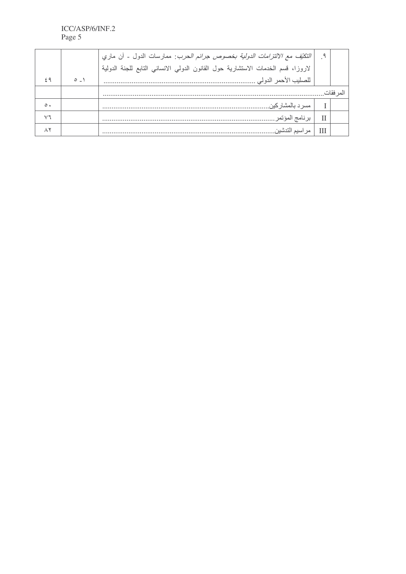|           |                                  | <i>النكتِّف مع الالتَّزامات الدولية بخصوص جرائم الحرب</i> : ممارسات الدول - أن ماري |           |
|-----------|----------------------------------|-------------------------------------------------------------------------------------|-----------|
|           |                                  | لاروزا، قسم الخدمات الاستشارية حول القانون الدولي الانساني التابع للجنة الدولية     |           |
|           | $\circ$ $\overline{\phantom{0}}$ | للصليب الأحمر الدولي .                                                              |           |
|           |                                  |                                                                                     | المر فقات |
| $\circ$ . |                                  | ِ مسر د بالمشار کين                                                                 |           |
|           |                                  | برنامج المؤتمر ………                                                                  |           |
|           |                                  | سىم التدشين                                                                         |           |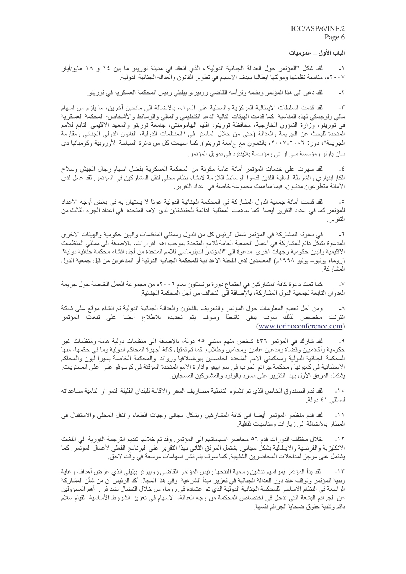الباب الأول \_ عموميات

لقد شكل "المؤتمر حول العدالة الجنائية الدولية"، الذي انعقد في مدينة تورينو ما بين ١٤ و ١٨ مايو/أيار ٢٠٠٧م، مناسبة نظمتها ومولتها ايطاليا بهدف الاسهام في تطوير القانون والعدالة الجنائية الدولية.

لقد دعي الى هذا المؤتمر ونظمه وتر أسه القاضي روبيرتو بيليلي رئيس المحكمة العسكرية في تورينو ِ.  $-\tau$ 

لقد قدمت السلطات الايطالية المركزية والمحلية على السواء، بالاضافة الى مانحين أخرين، ما يلزم من اسهام  $-\tau$ مالي ولوجستي لهذه المناسبة. كما قدمت الهيئات التالية الدعم التنظيمي والمالي والوسائط والأشخاص: المحكمة العسكرية في تورينو، وزارة الشؤون الخارجية، محافظة تورينو، اقليم البيامومنتي، جامعة تورينو والمعهد الاقليمي التابع للامم المتحدة للبحث عن الجريمة والعدالة (حتى من خلال الماستر في "المنظمات الدولية، القانون الدولي الجنائي ومقاومة الجريمة"، دورة ٢٠٠٦-٢٠٠٧، بالتعاون مع جامعة تورينو) كما أسهمت كل من دائرة السياسة الأوروبية وكومبانيا دي سان باولو ومؤسسة سي ار ني ومؤسسة بلاينثود في نمويل المؤتمر.

لقد سهرت على خدمات المؤتمر أمانة عامة مكونة من المحكمة العسكرية بفضل اسهام رجال الجيش وسلاح  $-\xi$ الكار ابنياري والشرطة المالية اللذين قدموا الوسائط اللازمة لانشاء نظام محلي لنقل المشاركين في المؤتمر ٍ لقد عمل لدى الأمانة منطوعون مدنبون، فيما ساهمت مجموعة خاصىة في اعداد النقرير .

لقد قدمت أمانة جمعية الدول المشاركة في المحكمة الجنائية الدولية عوناً لا يستهان به في بعض أوجه الاعداد  $\overline{\phantom{a}}$ للمؤتمر كما في اعداد التقرير أيضا. كما ساهمت الممثلية الدائمة للختنشتاين لدى الامم المتحدة في اعداد الجزء الثالث من التقرير

في دعوته للمشاركة في المؤتمر شمل الرئيس كل من الدول وممثلي المنظمات والبين حكومية والهيئات الاخرى  $-7$ المدعوة بشكّل دائم للمشاركة في أعمال الجمعية العامة للامم المتحدة بموجب أهم القرار ات، بالاضافة الى ممثلي المنظمات الاقليمية والبين حكومية وجهات اخرى مدعوة الى "المؤتمر الدبلوماسي للامم المتحدة من أجل انشاء محكمة جنائية دولية" (روما، يونيو— يوليو ١٩٩٨م) المعتمدين لدى اللجنة الاعدادية للمحكمة الجنائية الدولية أو المدعوين من قبل جمعية الدول المشار كة.

كما تمت دعوة كافة المشاركين في اجتماع دورة برنستاون لعام ٢٠٠٦م من مجموعة العمل الخاصة حول جريمة  $-V$ العدوان التابعة لجمعية الدول المشاركة، بالإضافة الى التحالف من أجل المحكمة الجنائية ِ

ومن أجل نعميم المعلومات حول المؤتمر والنعريف بالقانون والعدالة الجنائية الدولية تم انشاء موقع على شبكة  $-\lambda$ انترنت مخصص لذلك سوف يبقى ناشطاً وسوف يتم تجديده للاطلاع أيضا على تبعات المؤتمر .(www.torinoconference.com)

لقد شارك في المؤتمر ٤٣٦ شخص منهم ممثلي ٩٥ دولة، بالاضافة الى منظمات دولية هامة ومنظمات غير  $-9$ حكومية وأكادميين وقضاة ومدعين عامين ومحامين وطلاب كما تم تمثيل كافة أجهزة المحاكم الدولية وما في حكمها، منها المحكمة الجنائية الدولية ومحكمتي الامم المتحدة الخاصتين بيوغسلافيا ورواندا والمحكمة الخاصة بسيرا ليون والمحاكم الاستثنائية في كمبوديا ومحكمة جرائم الحرب في سار ابيفو وادارة الامم المتحدة المؤقتة في كوسوفو على أعلى المستويات يشتمل المرفق الأول بهذا التقرير على مسرد بالوفود والمشاركين المسجلين

لقد قدم الصندوق الخاص الذي تم انشاؤه لتغطية مصاريف السفر والاقامة للبلدان القليلة النمو او النامية مساعداته  $-1$ لممثلي ٤١ دولة.

لقد قدم منظمو المؤتمر أيضا الى كافة المشاركين وبشكل مجانبي وجبات الطعام والنقل المحلي والاستقبال في  $-11$ المطار بالاضافة الى زيارات ومناسبات ثقافية.

خلال مختلف الدور ات قدم ٢٥ محاضر اسهاماتهم الى المؤتمر . وقد تم خلالها تقديم الترجمة الفورية الى اللغات  $-11$ الانكليزية والفرنسية والايطالية بشكل مجاني. يشتمل المرفق الثاني بهذا التقرير على البرنامج الفعلي لأعمال المؤتمر كما يشتمل على موجز لمداخلات المحاضرين الشفهية كما سوف يتم نشر اسهامات موسعة في وقت لاحق ِ

لقد بدأ المؤتمر بمراسيم تدشين رسمية افتتحها رئيس المؤتمر القاضي روبيرتو بيليلي الذي عرض أهداف وغاية  $-11$ وبنية المؤتمر وتوقف عند دور العدالة الجنائية في تعزيز مبدأ الشرعية. وفي هذا المجال أكد الرئيس أن من شأن المشاركة الواسعة في النظام الأساسي للمحكمة الجنائية الدولية الذي تم اعتماده في روما، من خلال النضال ضد فرار أهم المسؤولين عن الجرائم البشعة التي تدخل في اختصاص المحكمة من وجه العدالة، الاسهام في تعزيز الشروط الأساسية لقيام سلام دائم وتلبية حقوق ضحايا الجرائم نفسها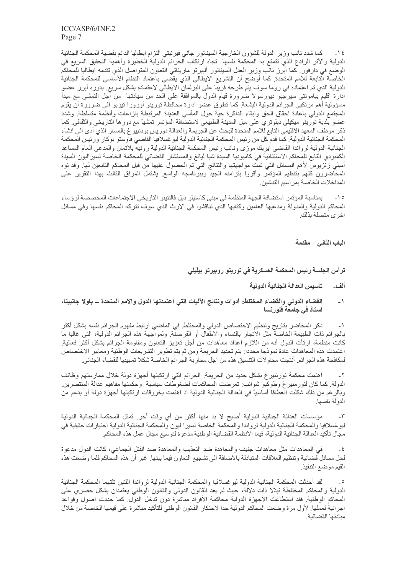كما شدد نائب وزير الدولة للشؤون الخارجية السيناتور جاني فيرنيتي التزام ايطاليا الدائم بقضية المحكمة الجنائية  $-15$ الدولية والأثر الرادع الذي نتمتع به المحكمة نفسها تجاه ارتكاب الجرائم الدولية الخطيرة وأهمية التحقيق السريع في الوضع في دارفور٬ كما أبرز نائب وزير العدل السيناتور ألبيرتو ماريتاتي التعاون المتواصل الذي تقدمه ايطاليا للمحاكم الخاصة النابعة للامم المتحدة. كما أوضح أن التشريع الايطالي الذي يقصى باعتماد النظام الأساسي للمحكمة الجنائية ادارة اقليم بيامونتـي سيرجيو ديورسولا ضرورة قيام الدول بالموافقة علـي الحد من سيادتـها من أجل التمشـي مع مبدأ مسؤولية أهم مرتكبي الجرائم الدولية البشعة. كما تطرق عضو ادارة محافظة تورينو أورورا تيزيو الى ضرورة أن يقوم المجتمع الدولي باعادة احقاق الحق وابقاء الذاكرة حية حول المأسي العديدة المرتبطة بنزاعات وأنظمة متسلطة وشدد عضو بلدية تورينو ميكيلي ديلوتري على ميل المدينة الطبيعي لاستضافة المؤتمر تمشيًا مع دورها التاريخي والثقافي. كما ذكر موظف المعهد الاقليمي التابع للامم المتحدة للبحث عن الجريمة والعدالة دوريس بودنبير غ بالمسار الذي أدى الى انشاء المحكمة الجنائية الدولية٬ كما قدم كل من رئيس المحكمة الجنائية الدولية ليو غسلافيا القاضـي فاوستو بوكار ورئيس المحكمة الجنائية الدولية لرواندا القاضي ايريك موزى ونائب رئيس المحكمة الجنائية الدولية رونيه بلاتمان والمدعى العام المساعد الكمبودي النابع للمحاكم الاسنثنائية في كامبوديا السيدة شيا ليانغ والمستشار القضائي للمحكمة الخاصة لسيراليون السيدة أميلي زنزيوس لأهم المسائل التبي تمت مواجهتها والنتائج التبي تم الحصول عليها من قبل المحاكم التابعين لمها ٍ وقد نوه المحاضرون كلهم بتنظيم المؤتمر وأقروا بتزامنه الجيد وببرنامجه الواسع يشتمل المرفق الثالث بهذا التقرير على المداخلات الخاصة بمر اسيم التدشين

بمناسبة المؤتمر استضافة الجهة المنظمة في مبنى كاستيلو ديل فالنتينو التاريخي الاجتماعات المخصصة لرؤساء  $-10$ المحاكم الدولية والمدولة ومدعيها العامين وكتابها الذي تناقشوا في الارث الذي سوف تتركه المحاكم نفسها وفي مسائل اخر ي متصلة بذلك

الباب الثاني \_ مقدمة

ترأس الجلسة رئيس المحكمة العسكرية فى تورينو روبيرتو بيلّيلى

- تأسيس العدالة الجنائية الدولية ألف\_
- القضاء الدولي والقضاء المختلط: أدوات ونتائج الآليات التي اعتمدتها الدول والامم المتحدة \_ باولا جاتييتا،  $-1$ استاذ في جامعة فلورنسا

ذكر المحاضر بناريخ وتنظيم الاختصاص الدولي والمختلط في الماضي ارتبط مفهوم الجرائم نفسه بشكل أكثر  $-1$ بالجر ائم ذات الطبيعة الخاصة مثل الإتجار بالنساء والإطفال أو القر صنة. ولمو اجهة هذه الجر ائم الدولية، التي غالبا ما كانت منظمة، ارتأت الدول أنه من اللازم اعداد معاهدات من أجل تعزيز التعاون ومقاومة الجرائم بشكل أكثر فعالية اعتمدت هذه المعاهدات عادة نموذجا محددا: يتم تحديد الجريمة ومن ثم يتم تطوير التشريعات الوطنية ومعايير الاختصاص لمكافحة هذه الجر ائم ِ أنتجت محاولات التنسيق هذه من اجل محاربة الجر ائم الخاصة شكلا تمهيديا للقضاء الجنائي ِ

اهتمت محكمة نورنبيرغ بشكل جديد من الجريمة: الجرائم التي ارتكبتها أجهزة دولة خلال ممارستهم وظائف  $-\tau$ الدولة. كما كان لنورمبير غ وطوكيو شوائب: تعرضت المحاكمات لضغوطات سياسية وحكمتها مفاهيم عدالة المنتصرين. وبالرغم من ذلك شكلت انعطافاً أساسياً في العدالة الجنائية الدولية اذ اهتمت بخروقات ارتكبتها أجهزة دولة أو بدعم من الدولة نفسها

مؤسسات العدالة الجنائية الدولية أصبح لا بد منها أكثر من أي وقت أخرٍ. تمثَّل المحكمة الجنائية الدولية  $-\tau$ ليو غسلافيا والمحكمة الجنائية الدولية لرواندا والمحكمة الخاصة لسيرا ليون والمحكمة الجنائية الدولية اختبارات حقيقية في مجال تأكيد العدالة الجنائية الدولية، فيما الانظمة القضائية الوطنية مدعوة لتوسيع مجال عمل هذه المحاكم.

في المعاهدات مثل معاهدات جنيف والمعاهدة ضد النعذيب والمعاهدة ضد القتل الجماعي، كانت الدول مدعوة  $-\xi$ لحل مسائل قضائية وتنظيم العلاقات المتبادلة بالاضافة الى تشجيع التعاون فيما بينها٬ غير أن هذه المحاكم قلما وضعت هذه القيم موضع التنفيذ

لقد أحدثت المحكمة الجنائية الدولية ليوغسلافيا والمحكمة الجنائية الدولية لرواندا اللتين تلتهما المحكمة الجنائية  $\overline{\phantom{a}}$ الدولية والمحاكم المختلطة تبدّلا ذات دلالة، حيث لم يعد القانون الدولي والقانون الوطني يعتمدان بشكل حصري على المحاكم الوطنية ِ فقد استطاعت الأجهزة الدولية محاكمة الأفراد مباشرة دون تدخل الدول ِ كما حددت اصول وقواعد اجرائية لعملها ٍ لأول مرة وضعت المحاكم الدولية حدا لاحتكار القانون الوطني للتأكيد مباشرة على قيمها الخاصة من خلال مبادئها القضائية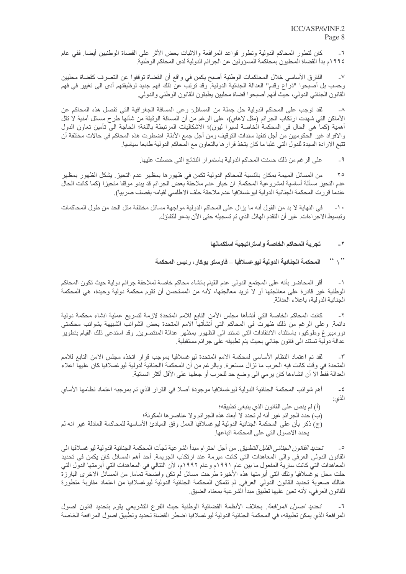كان لتطور المحاكم الدولية وتطور قواعد المرافعة والاثبات بعض الأثر على القضاة الوطنيين أيضا<sub>.</sub> ففي عام  $-7$ ١٩٩٤م بدأ القضاة المحليون بمحاكمة المسؤولين عن الجرائم الدولية لدى المحاكم الوطنية.

الفارق الأساسي خلال المحاكمات الوطنية أصبح يكمن في واقع أن القضاة توقفوا عن التصرف كقضاة محليين  $-<sup>1</sup>$ وحسب بل أصبحوا "ذراع وقدم" العدالة الجنائية الدولية. وقد ترتب عن ذلك فهم جديد لوظيفتهم أدى الى تغيير في فهم القانون الجنائي الدولي، حيَّث أنهم أصبحوا قضاة محليين يطبقون القانون الوطني والدولي.

لقد توجب على المحاكم الدولية حل جملة من المسائل: وعي المسافة الجغرافية التي تفصل هذه المحاكم عن  $-\lambda$ الأماكن التي شهدت ارتكاب الجرائم (مثل لاهاي)، على الرغم من أن المسافة الوثيقة من شأنها طرح مسائل أمنية لا تقل أهمية (كما هي الحال في المحكمة الخاصة لسيرًا ليون)؛ الاشكاليات المرتبطة باللغة؛ الحاجة اليّ تأمين تعاون الدول والافراد غير الحكوميين من أجل تنفيذ سندات التوقيف ومن أجل جمع الأدلة. اضطرت هذه المحاكم في حالات مختلفة أن تتبع الارادة السيدة للدول التي غلبا ما كان يتخذ قرار ها بالتعاون مع المحاكم الدولية طابعا سياسيا ِ

> على الرغم من ذلك حسنت المحاكم الدولية باستمر ار النتائج التي حصلت عليها.  $-9$

من المسائل المهمة بمكان بالنسية للمحاكم الدولية تكمن في ظهور ها بمظهر عدم التحيز يشكل الظهور بمظهر  $\Upsilon$ عدم التحيز مسألة أساسية لمشروعية المحكمة. ان خيار عدم ملاحقة بعض الجرائم قد يبدو موقفا متحيزا (كما كانت الحال عندما قررت المحكمة الجنائية الدولية ليوغسلافيا عدم ملاحقة حلف الاطلسي لقيامه بقصف صربيا) ِ

في النهاية لا بد من القول أنه ما يزال على المحاكم الدولية مواجهة مسائل مختلفة مثل الحد من طول المحاكمات  $-1$ . وتبسيط الاجر اءات ِ غير أن التقدم الهائل الذي تم تسجيله حتى الآن يدعو للتفاؤل ِ

### تجربة المحاكم الخاصة واستراتيجية استكمالها  $-7$

### $\left($   $\left($ ,  $\right)$ المحكمة الجنائية الدولية ليوحسلافيا ــ فاوستو بوكار ، رئيس المحكمة

أقر المحاضر بأنه على المجتمع الدولي عدم القيام بانشاء محاكم خاصة لملاحقة جرائم دولية حيث تكون المحاكم  $-1$ الوطنية غير قادرة على معالجتها أو لا تريد معالجتها، لأنه من المستحسن أن تقوم محكمة دولية وحيدة، هي المحكمة الجنائية الدولية، باعلاء العدالة

كانت المحاكم الخاصة التي أنشأها مجلس الأمن التابع للامم المتحدة لازمة لتسريع عملية انشاء محكمة دولية  $-\tau$ دائمة. وعلى الرغم من ذلك ظهرت في المحاكم التي أنشأتها الامم المتحدة بعض الشوائب الشبيهة بشوائب محكمتي نورمبيرغ وطوكيو، باستثناء الانتقادات التي تستند الى الظهور بمظهر عدالة المنتصرين وقد استدعى ذلك القيام بتطوير عدالة دولية تستند الى قانون جنائي بحيث يتم تطبيقه على جرائم مستقبلية.

 $-\tau$ لقد تم اعتماد النظام الأساسي لمحكمة الامم المتحدة ليوغسلافيا بموجب قرار اتخذه مجلس الامن التابع للامم المتحدة في وقت كانت فيه الحرب ما تزال مستعرة. وبالر غم من أن المحكمة االجنائية لدولية ليو غسلافيا كان عليها اعلاء العدالة فقط الا أن انشاءها كان يرمي الى وضع حد للحرب أو جعلها على الأقل أكثر انسانية<sub>.</sub>

أهم شوائب المحكمة الجنائية الدولية ليوغسلافيا موجودة أصلا في القرار الذي تم بموجبه اعتماد نظامها الأساي  $-\xi$ الذي:

(أ) لم ينص على القانون الذي ينبغي تطبيقه؛

(ب) حدد الجر ائم غير أنه لم تحدد لا أبعاد هذه الجر ائم و لا عناصر ها المكونة؛

(ج) ذكر بأن على المحكمة الجنائية الدولية ليوغسلافيا العمل وفق المبادئ الأساسية للمحاكمة العادلة غير انه لم يحدد الاصول التي على المحكمة اتباعها.

تـحد*يد القانون الـجنائـي القابل للتطبيق* ٍ من أجل احتر ام مبدأ الشر عية لجأت المحكمة الـجنائية الدولية ليو غسلافيا الى  $\overline{\phantom{a}}$ القانون الدولي العرفي والى المعاهدات التي كانت مبرمة عند ارتكاب الجريمة. أحد أهم المسائل كان يكمن في تحديد المعاهدات التي كانت سارية المفعول ما بين عام ١٩٩١م و عام ١٩٩٢م، لأن النتالي في المعاهدات التي أبرمتها الدول التي حلت محل بوغسلافيا وتلك التي أبرمتها هذه الأخيرة طرحت مسائل لم تكن واضحة تماما ٍ من المسائل الاخرى البارزة هنالك صعوبة تحديد القانون الدولي العرفي لم تتمكن المحكمة الجنائية الدولية ليوغسلافيا من اعتماد مقاربة متطورة للقانون العرفي، لأنه نعين عليها تطبيق مبدأ الشر عية بمعناه الضيق ِ

تحديد اصول الصرافعة. بخلاف الأنظمة القضائية الوطنية حيث الفرع التشريعي يقوم بتحديد قانون اصول  $-7$ المرافعة الذي يمكن تطبيقه، في المحكمة الجنائية الدولية ليوغسلافيا اضطر القضاة تحديد وتطبيق اصول المرافعة الخاصة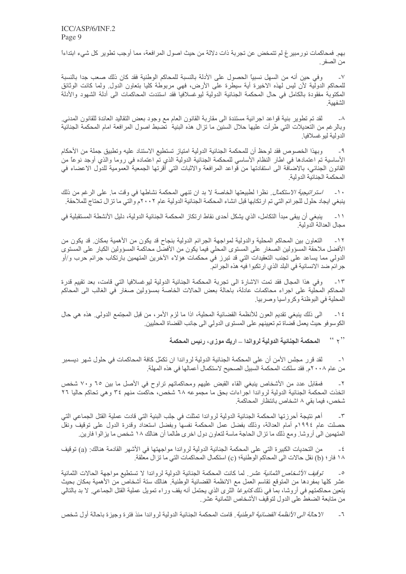بهم. فمحاكمات نورمبير غ لم تتمخض عن تجربة ذات دلالة من حيث اصول المرافعة، مما أوجب تطوير كل شيء ابتداءاً من الصفر .

 $- \nabla$ وفي حين أنه من السهل نسبيًا الحصول على الأدلة بالنسبة للمحاكم الوطنية فقد كان ذلك صعب جدا بالنسبة للمحاكم الدولية لأن ليس لهذه الاخيرة أية سيطرة على الأرض، فهي مربوطة كليا بتعاون الدول ولما كانت الوثائق المكتوبة مفقودة بالكامل في حال المحكمة الجنائية الدولية ليو غسلافياً فقد استندت المحاكمات الى أدلة الشهود والأدلة الشفهية

لقد تم تطوير بنية قواعد اجرائية مستندة الى مقاربة القانون العام مع وجود بعض التقاليد العائدة للقانون المدني.  $-\lambda$ وبالرغم من التعديلات التي طرأت عليها حلال السنين ما تزال هذه البنية تضبط اصول المرافعة امام المحكمة الجنائية الدو لبة لبو غسلافيا

وبهذا الخصوص فقد لوحظ أن للمحكمة الجنائية الدولية امتياز تستطيع الاستناد عليه وتطبيق جملة من الأحكام  $-9$ الأساسية تم اعتمادها في اطار النظام الأساسي للمحكمة الجنائية الدولية الذي تمّ اعتماده في روما والذي أوجد نوعاً من القانون الجنائبي، بالاضاَّفة الى استفادتها من قواعد المرافعة والاثبات التي أقرتها الجمعية العمومية للدول الاعضاء في المحكمة الجنائبة الدولبة

١٠\_\_\_ /*ستر انتجية الاستكمال* ِ نظر ا لطبيعتها الخاصة لا بد ان تنهى المحكمة نشاطها في وقت ما ٍ على الر غم من ذلك ينبغي ايجاد حلول للجرائم التي تم ارتكابها قبل انشاء المحكمة الجنائية الدولية عام ٢٠٠٢م والتي ما تزال تحتاج للملاحقة

ينبغي أن يبقى مبدأ التكامل، الذي يشكل أحدى نقاط ارتكاز المحكمة الجنائية الدولية، دليل الأنشطة المستقبلية في  $-11$ مجال العدالة الدولية

التعاون بين المحاكم المحلية والدولية لمواجهة الجرائم الدولية بنجاح قد يكون من الأهمية بمكان قد يكون من  $-11$ الأفضل ملاحقة المسؤولين الصغار على المستوى المحلي فيما يكون من الأفضل محاكمة المسؤولين الكبار على المستوى الدولي مما يساعد على تجنب التعقيدات التي قد تبرز في محكمات هؤلاء الآخرين المتهمين بارتكاب جرائم حرب و/أو جرائم ضد الانسانية في البلد الذي ارتكبوا فيه هذه الجرائم.

 $\mathbin{\lrcorner} \mathbin{\upharpoonright} \mathbin{\upharpoonright}$ وفي هذا المجال فقد تمت الإشارة الى تجربة المحكمة الجنائية الدولية ليوغسلافيا التي قامت، بعد تقييم قدرة المحاكم المحلَّية على اجراء محاكمات عادلة، باحالة بعض الحالات الخاصة بمسؤولين صغار في الغالب الى المحاكم المحلية في البوظنة وكرواسيا وصربيا.

الى ذلك ينبغي تقديم العون للأنظمة القضائية المحلية، اذا ما لزم الأمر، من قبل المجتمع الدولي. هذه هي حال  $-15$ الكوسوفو حيث يعمل قضاة تم تعيينهم على المستوى الدولي الى جانب القضاة المحليين.

> $\left($   $\left( \begin{array}{c} 0 \\ 1 \end{array} \right)$ المحكمة الجنائية الدولية لرواندا ـــ اريك موزى، رئيس المحكمة

لقد قرر مجلس الأمن أن على المحكمة الجنائية الدولية لرواندا ان تكمّل كافة المحاكمات في حلول شهر ديسمبر  $-1$ من عام ٢٠٠٨م. فقد سلكت المحكمة السبيل الصـحيح لاستكمال أعمالها في هذه المهلة.

فمقابل عدد من الأشخاص ينبغي القاء القبض عليهم ومحاكماتهم تراوح في الأصل ما بين ٦٥ و٧٠ شخص  $-\tau$ اتخذت المحكمة الجنائية الدولية لرواندا اجراءات بحق ما مجموعه ٦٨ شخص، حاكمت منهم ٣٤ وهي تحاكم حاليا ٢٦ شخص، فيما بقي ٨ اشخاص بانتظار المحاكمة.

أهم نتيجة أحرزتها المحكمة الجنائية الدولية لرواندا تمثلت في جلب البنية التي قادت عملية القتل الجماعي التي  $-\tau$ حصلت عام ١٩٩٤م أمام العدالة، وذلك بفضل عمل المحكمة نفسهاً وبفضل استعداد وقدرة الدول على توقيفٌ ونقلّ المتهمين الى أروشا. ومع ذلك ما تز ال الحاجة ماسة لتعاون دول اخرى طالما أن هنالك ١٨ شخص ما يز الوا فارين.

من التحديات الكبيرة التي على المحكمة الجنائية الدولية لرواندا مواجهتها في الأشهر القادمة هنالك: (a) توقيف  $-\xi$ ١٨ فار ؛ (b) نقل حالات الى المحاكم الوطنية؛ (c) استكمال المحاكمات التي ما تز ال معلقة.

توقيف الأشخاص الثمانية عشر. لما كانت المحكمة الجنائية الدولية لرواندا لا تستطيع مواجهة الحالات الثمانية  $\overline{\phantom{0}}$ عشر كلها بمفردها من المتوقع تقاسم العمل مع الانظمة القضائية الوطنية. هنالك ستة أشخاص من الأهمية بمكان بحيث ينعين محاكمتهم في أروشا، بما في ذلك *كابوغا* الثرى الذي يحتمل أنه يقف وراء تمويل عملية القتل الجماعي<sub>.</sub> لا بد بالتالي من متابعة الضغط على الدول لتوقيف الأشخاص الثمانية عشر ِ

*الإحالة الى الأنظمة القضائية الو*طنية <sub>.</sub> قامت المحكمة الجنائية الدولية لر و اندا منذ فتر ة و جيز ة باحالة أول شخص  $-7$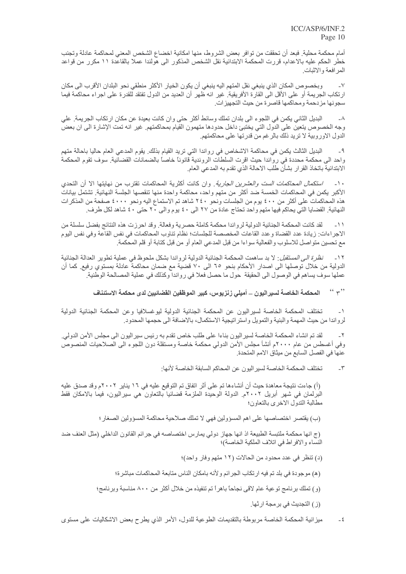أمام محكمة محلية. فبعد أن تحققت من توافر بعض الشروط، منها امكانية اخضاع الشخص المعني لمحاكمة عادلة وتجنب خطر الحكم عليه بالاعدام، قررت المحكمة الابتدائية نقل الشخص المذكور الى هولندا عملا بالقاعدة ١١ مكرر من قواعد المرافعة والاثبات

وبخصوص المكان الذي ينبغي نقل المتهم اليه ينبغي أن يكون الخيار الأكثر منطقي نحو البلدان الأقرب الي مكان  $\mathbf{V}$ ارتكاب الجريمة أو على الأقل الى القارة الأفريقية. غير انه ظهر أن العديد من الدول تفتقد للقدرة على اجراء محاكمة فيما سجونها مزدحمة ومحاكمها قاصرة من حيث التجهيزات.

البديل الثاني يكمن في اللجوء الى بلدان تملك وسائط أكثر حتى وان كانت بعيدة عن مكان ارتكاب الجريمة. على  $-\lambda$ وجه الخصوص يتعين على الدول التي يختبئ داخل حدودها متهمون القيام بمحاكمتهم. غير انه تمت الإشارة الى ان بعض الدول الاوروبية لا تريد ذلك بالرغم من قدرتها على محاكمتهم.

البديل الثالث يكمن في محاكمة الاشخاص في رواندا التي تريد القيام بذلك. يقوم المدعى العام حاليا باحالة متهم  $-9$ واحد الى محكمة محددة في رواندا حيث اقرت السلطات الروندية قانونا خاصا بالضمانات القضائية. سوف تقوم المحكمة الابتدائية باتخاذ القرار بشأن طلب الاحالة الذي تقدم به المدعى العام.

/ستكما*ل المحاكمات الست والعشرين الجارية*. وان كانت أكثرية المحاكمات تقترب من نهايتها الا أن التحدي  $-1$ الأكبر. يكمن في المحاكمات الخمسة ضد أكثر. من متهم واحد، محاكمة واحدة منها تنقصها الجلسة النهائية. تشتمل بيانات هذه المحاكمات على أكثر من ٤٠٠ يوم من الجلسات ونحو ٢٤٠ شاهد تم الاستماع اليه ونحو ٤٠٠٠ صفحة من المذكرات النهائية. القضايا التي يحاكم فيها متهم واحد تحتاج عادة من ٢٧ الى ٤٠ يوم والى ٢٠ حتى ٤٠ شاهد لكل طرف.

لقد كانت المحكمة الجنائية الدولية لرواندا محكمة كاملة حصرية وفعالة. وقد احرزت هذه النتائج بفضل سلسلة من  $-11$ الاجراءات: زيادة عدد القضاة وعدد القاعات المخصصة للجلسات؛ نظام تناوب المحاكمات في نفس القاعة وفي نفس اليوم مع تحسين متواصل للاسلوب والفعالية سواءا من قبل المدعى العام أو من قبل كتابة أو قلم المحكمة ِ

نظرة الى المستقبل: لا بد ساهمت المحكمة الجنائية الدولية لرواندا بشكل ملحوظ في عملية تطوير العدالة الجنائية  $-11$ الدولية من خلال توصلها الى اصدار الأحكام بنحو ٦٥ الى ٧٠ قضية مع ضمان محاكمة عادلة بمستوى رفيع. كما أن عملها سوف يساهم في الوصول الى الحقيقة حول ما حصل فعلا في رواندا وكذلك في عملية المصالحة الوطنية<sub>.</sub>

> $\left($   $\left($   $\left($   $\right)$   $\right)$ المحكمة الخاصة لسيراليون ـــ أميلي زنزيوس، كبير الموظفين القضائيين لدى محكمة الاستئناف

تختلف المحكمة الخاصة لسير اليون عن المحكمة الجنائية الدولية ليو غسلافيا وعن المحكمة الجنائية الدولية  $\rightarrow$ لرواندا من حيث المهمة والبنية والتمويل واستراتيجية الاستكمال، بالاضافة الى حجمها المحدود.

لقد تم انشاء المحكمة الخاصة لسير اليون بناءا على طلب خاص تقدم به رئيس سير اليون الى مجلس الأمن الدولي.  $\mathbf{r}$ وفي أغسطس من عام ٢٠٠٠م أنشأ مجلس الأمن الدولي محكمة خاصنة ومستقلة دون اللجوء الى الصلاحيات المنصوص عنها في الفصل السابع من ميثاق الامم المتحدة.

> تختلف المحكمة الخاصة لسير اليون عن المحاكم السابقة الخاصة لأنها:  $-\tau$

(أ) جاءت نتيجة معاهدة حيث أن أنشاءها تم على أثر اتفاق تم التوقيع عليه في ١٦ يناير ٢٠٠٢م وقد صدق عليه البرلمان في شهر أبريل ٢٠٠٢م. الدولة الوحيدة الملزمة قضائيا بالتعاون هي سيراليون، فيما بالامكان فقط مطالبة الندول الاخرى بالتعاون؛

(ب) يقتصر اختصاصها على اهم المسؤولين فهي لا تملك صلاحية محاكمة المسؤولين الصغار ؛

(ج انها محكمة ملتبسة الطبيعة اذ انها جهاز دولي يمارس اختصاصه في جرائم القانون الداخلي (مثل العنف ضد النساء والافراط في اتلاف الملكية الخاصة)؛

(د) نتظر في عدد محدود من الحالات (١٢ متهم وفار واحد)؛

(ه) موجودة في بلد تم فيه ارتكاب الجرائم ولأنه بامكان الناس متابعة المحاكمات مباشرة؛

(و ) نملك بر نامج توعية عام لاقي نجاحاً باهر أ تم تنفيذه من خلال أكثر من ٨٠٠ مناسبة وبر نامج؛

(ز ) التجديث في بر مجة ار ثها ِ

ميزانية المحكمة الخاصة مربوطة بالتقديمات الطوعية للدول، الأمر الذي يطرح بعض الاشكاليات على مستوى  $-\xi$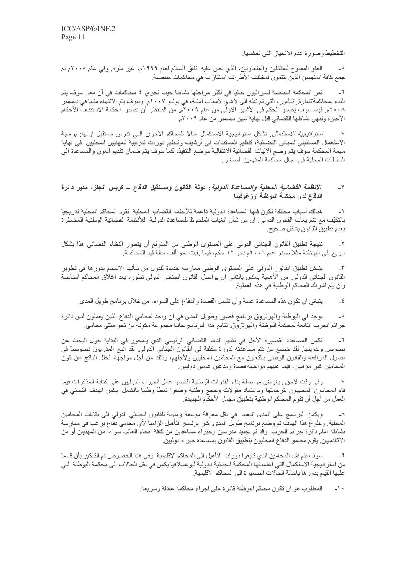التخطيط وصورة عدم الانحياز التي تعكسها

العفو الممنوح للمقاتلين والمتعاونين، الذي نص عليه اتفاق السلام لعام ١٩٩٩م، غير ملزم وفي عام ٢٠٠٥م تم  $\sim$ جمع كافة المتهمين الذين ينتمون لمختلف الأطراف المتناز عة في محاكمات منفصلة ِ

تمر المحكمة الخاصة لسيراليون حاليا في أكثر مراحلها نشاطًا حيث تجري ٤ محاكمات في أن معا. سوف يتم  $-7$ البدء بمحاكمة *تشار لز تايلور* ، التي تم نقله الى لاهاي لأسباب أمنية، في يونيو ٢٠٠٧م. وسوف يتم الانتهاء منها في ديسمبر ٢٠٠٨م. فيما سوف يصدر الحكم في الأشهر الاولى من عام ٢٠٠٩م. من المنتظر أن تصدر محكمة الاستئناف الأحكام الأخيرة وتنهي نشاطها القضائي قبل نهاية شهر ديسمبر من عام ٢٠٠٩م.

*استر اتيجية الاستكمال*. تشكل استر اتيجية الاستكمال مثالاً للمحاكم الاخرى التي تدرس مستقبل ارثها: برمجة  $-<sup>V</sup>$ الاستعمال المستقبلي للمباني القضائية، تنظيم المستندات في أرشيف وتنظيم دورات تدريبية للمهنيين المحليين في نهاية مهمة المحكمة سوف يتم وضع الأليات القضائية الانتقالية موضع التنفيذ، كما سوف يتم ضمان تقديم العون والمساعدة المي السلطات المحلية في مجال محاكمة المتهمين الصغار

### *الأنظمة القضائية المحلية والمساعدة الدولية*: دولة القانون ومستقبل الدفاع \_ كريس أنجلز، مدير دائرة  $-\mathbf{r}$ الدفاع لدى محكمة البوظنة ارزغوفينا

هنالك أسباب مختلفة تكون فيها المساعدة الدولية داعمة للأنظمة القضائية المحلية. تقوم المحاكم المحلية تدريجيا  $\overline{a}$ بالنكيّف مع تشريعات القانون الدولـي ان من شأن الغياب الملحوظ للمساعدة الدولية للأنظمة القضائية الوطنية المخاطرة بعدم تطبيق القانو ن بشكل صحيح

نتيجة تطبيق القانون الجنائي الدولي على المستوى الوطني من المتوقع أن يتطور النظام القضائي هذا بشكل سريع. في البوظنة مثلا صدر عام ٢٠٠٦م نحو ١٢ حكم، فيما بقيت نحو ألف حالة قيد المحاكمة.

يشكل تطبيق القانون الدولي على المستوى الوطني ممارسة جديدة للدول من شأنها الاسهام بدورها في تطوير  $-\tau$ القانون الجنائي الدولي من الأهمية بمكان بالتالي ان يواصل القانون الجنائي الدولي تطوره بعد اغلاق المحاكم الخاصة وان يتم اشراك المحاكم الوطنية في هذه العملية.

ينبغي ان تكون هذه المساعدة عامة وأن تشمل القضاة والدفاع على السواء، من خلال برنامج طويل المدي<sub>.</sub>  $-5$ 

بوجد في البوظنة والهرتزوق برنامج قصير وطويل المدى في أن واحد لمحامي الدفاع الذين يعملون لدى دائرة  $\overline{\phantom{a}}$ جرائم الحرب التابعة لمحكمة البوظنة والهرتزوق تتابع هذا البرنامج حاليا مجموعة مكونة من نحو مئتي محامي

تكمن المساعدة القصيرة الأجل في تقديم الدعم القضائي الرئيسي الذي يتمحور في البداية حول البحث عن  $-7$ نصوص وتدوينها. لقد خضع من تتم مساعدته لدورة مكثفة في القانون الجنائي الدولي. لقد انتج المدربون نصوصاً في اصول المرافعة والقانون الوطني بالتعاون مع المحامين المحليين ولأجلهم، وذلك من أجل مواجهة الخلل الناتج عن كون المحامين غير مؤهلين، فيما عليهم مواجهة قضاة ومدعين عامين دوليين

وفي وقت لاحق وبغرض مواصلة بناء القدرات الوطنية اقتصر عمل الخبراء الدوليين على كتابة المذكرات فيما  $-<sup>6</sup>$ قام المحامون المحلييون بترجمتها وباعتماد مقولات وحجج وطنية وطبقوا نمطاً وطنياً بالكامل يكمن الهدف النهائي في العمل من أجل أن تقو م المحاكم الو طنية بتطبيق مجمل الأحكام الجديدة ِ

ويكمن البرنامج على المدى البعيد ً في نقل معرفة موسعة ومتينة للقانون الجنائي الدولي الى نقابات المحامين  $-\lambda$ المحلية. ولبلوغ هذا الهدفَ تم وضع برنامج طويل المدى. كان برنامج التأهيل الزاميا لأي محامي دفَّاع يرغب في ممارسة نشاطه امام دائرة جرائم الحرب وقد تم تجنيد مدرسين وخبراء مساعدين من كافة انحاء العالم، سواءاً من المهنيين أو من الأكادميين يقوم محامو الدفاع المحليون بتطبيق القانون بمساعدة خبراء دوليين

سوف يتم نقل المحامين الذي تابعوا دورات التأهيل الى المحاكم الاقليمية. وفي هذا الخصوص تم التذكير بأن قسماً  $\mathcal{A}$ من استر اتيجية الاستكمال التى اعتمدتها المحكمة الجنائية الدولية ليو غسلافيا يكمن في نقل الحالات الى محكمة البوظنة التي عليها القيام بدور ها باحالة الحالات الصغيرة الى المحاكم الاقليمية

> المطلوب هو ان نكون محاكم البوظنة قادر ة على اجر اء محاكمة عادلة وسريعة ٍ  $\rightarrow$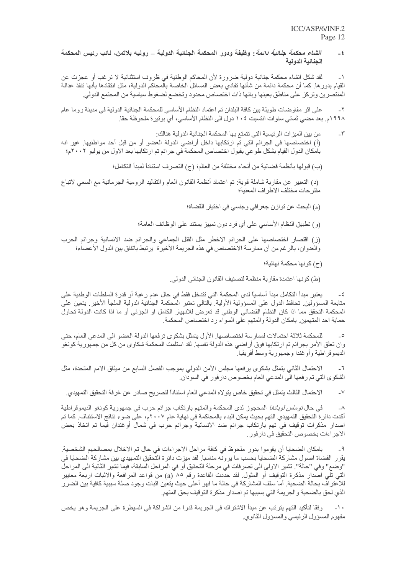### *انشاء محكمة جنائية دائمة*: وظيفة ودور المحكمة الجنائية الدولية \_ رونيه بلاتمن، نائب رئيس المحكمة  $-\xi$ الجنائية الدولية

لقد شكل انشاء محكمة جنائية دولية ضرورة لأن المحاكم الوطنية في ظروف استثنائية لا ترغب أو عجزت عن  $-1$ القيام بدور ها٬ كما أن محكمة دائمة من شأنها تفادي بعض المسائل الخاصة بالمحاكم الدولية، مثل انتقادها بأنها تنفذ عدالة المنتصرين وتركز على مناطق بعينها وبانها ذات اختصاص محدود وتخضع لضغوط سياسية من المجتمع الدولي

على اثر مفاوضات طويلة بين كافة البلدان تم اعتماد النظام الأساسي للمحكمة الجنائية الدولية في مدينة روما عام  $-\tau$ ١٩٩٨م. بعد مضىي ثماني سنوات انتسبت ١٠٤ دول الى النظام الأساسي، أي بونير ة ملحوظة حقا.

من بين الميز ات الرئيسية التي تتمتع بها المحكمة الجنائية الدولية هنالك:  $\mathcal{N}$ (أ) اختصاصها في الجرائم التي تم ارتكابها داخل أراضي الدولة العضو أو من قبل أحد مواطنيها. غير انه بامكان الدول القيام بشكل طوعي بقبول اختصاص المحكمة في جرائم تم ارتكابها بعد الاول من يوليو ٢٠٠٢م؛

(ب) قبولها بأنظمة قضائية من أنحاء مختلفة من العالم؛ (ج) التصرف استناداً لمبدأ التكامل؛

(د) التعبير عن مقاربة شاملة قوية: تم اعتماد أنظمة القانون العام والتقاليد الرومية الجرمانية مع السعي لاتباع مقتر حات مختلف الاطر اف المعنية؛

(ه) البحث عن توازن جغرافي وجنسي في اختيار القضاة؛

(و ) تطبيق النظام الأساسي على أي فرد دون تمييز يستند على الوظائف العامة؛

(ز) اقتصار اختصاصها على الجرائم الاخطر مثل القتل الجماعي والجرائم ضد الانسانية وجرائم الحرب والعدوان، بالرغم من أن ممارسة الاختصاص في هذه الجريمة الأخيرة يرتبط باتفاق بين الدول الأعضاء؛

(ح) كونها محكمة نهائية؛

(ط) كونها اعتمدة مقاربة منظمة لتصنيف القانون الجنائي الدولي.

يعتبر مبدأ التكامل مبدأ أساسيًا لدى المحكمة التي تتدخل فقط في حال عدم ر غبة أو قدرة السلطات الوطنية على  $-\epsilon$ متابعة المسؤولين تحافظ الدول على المسؤولية الأولية بالتالي تعتبر المحكمة الجنائية الدولية الملجأ الأخير بتعين على المحكمة التحقق مما اذا كان النظام القضائي الوطني قد تعرض للانهيار الكامل او الجزئي أو ما اذا كانت الدولة تحاول حماية احد المتهمين بامكان الدولة والمتهم على السواء رد اختصاص المحكمة.

للمحكمة ثلاثة احتمالات لممارسة اختصاصها ِ الأول يتمثَّل بشكوى ترفعها الدولة العضو الى المدعى العام، حتى  $\overline{\phantom{a}}$ وان تعلَّق الأمر بجرائم تم ارتكابها فوق أراضيي هذه الدولة نفسها. لقد استلمت المحكمة شكاوي من كلِّ من جمهورية كونغو الديموقر اطبة وأوغندا وجمهورية وسط أفريقيا.

الاحتمال الثاني يتمثل بشكوى يرفعها مجلس الأمن الدولي بموجب الفصل السابع من ميثاق الامم المتحدة، مثل  $-7$ الشكوي التي تم رفعها الى المدعى العام بخصوص دارفور في السودان.

الاحتمال الثالث يتمثّل في تحقيق خاص يتو لاه المدعى العام استناداً لتصريح صادر عن غرفة التحقيق التمهيدي ِ  $\mathsf{V}$ 

في حال *توماس لوبانغا* المحجوز لدى المحكمة والمتهم بارتكاب جرائم حرب في جمهورية كونغو الديموقراطية  $-\lambda$ أكدت دائر ة التحقيق التمهيدي التهم بحيث يمكن البدء بالمحاكمة في نهاية عام ٢٠٠٧م، على ضوء نتائج الاستئناف. كما تم اصدار مذكرات توقيف في تهم بارتكاب جرائم ضد الانسانية وجرائم حرب في شمال أوغندان فيما تم اتخاذ بعض الاجر اءات بخصوص التحقيق في دار فور .

بامكان الضحايا أن يقوموا بدور ملحوظ في كافة مراحل الاجراءات في حال تم الاخلال بمصالحهم الشخصية. - 9 يقرر القضاة اصول مشاركة الضحايا بحسب ما يرونه مناسبا. لقد ميزت دائرة التَّحقيق التمهيدي بين مشاركة الضحايا فـح "وضع" وفي "حالة". تشير الاولى الى تصرفات في مرحلة التحقيق أو في المراحل السابقة، فيما تشير الثانية الى المراحل التي تلى اصدار مذكرة التوقيف أو المثول ِ لقد حددت القاعدة رقم ٨٥ (a) من قواعد المرافعة والاثبات اربعة معايير للاعتراف بحالة الضحية. أما سقف المشاركة في حالة ما فهو أعلى حيث يتعين اثبات وجود صلة سببية كافية بين الضرر الذي لحق بالضحية والجريمة التي بسببها تم اصدار مذكرة التوقيف بحق المتهم.

وفقا لتأكيد التهم يترتب عن مبدأ الاشتراك في الجريمة قدرا من الشراكة في السيطرة على الجريمة وهو يخص  $-1$ مفهوم المسؤول الرئيسي والمسؤول الثانوي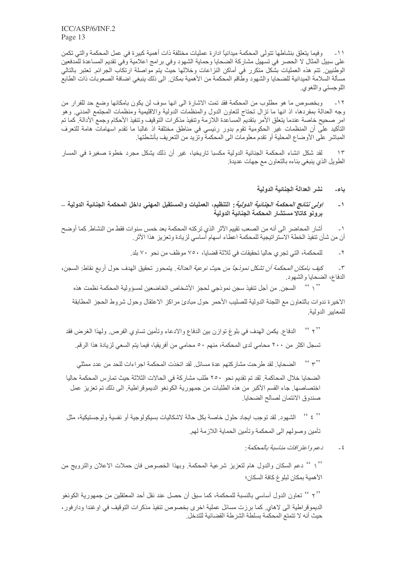وفيما يتعلَّق بنشاطها تتولَّى المحكمة ميدانياً ادار ة عمليات مختلفة ذات أهمية كبير ة في عمل المحكمة والتي تكمن  $-11$ على سبيل المثال لا الحصر في تسهيل مشاركة الضحايا وحماية الشهود وفي بر امج اعلامية وفي تقديم المساعدة للمدفعين الوطنيين تتم هذه العمليات بشكل متكرر في أماكن النزاعات وخلالها حيث يتم مواصلة ارتكاب الجرائم تعتبر بالتالي مسألة السلامة الميدانية للضحايا والشهود وطاقم المحكمة من الأهمية بمكان الى ذلك ينبغي اضافة الصعوبات ذات الطابع اللوجستي واللغوي

وبخصوص ما هو مطلوب من المحكمة فقد تمت الاشارة الى انها سوف لن يكون بامكانها وضع حد للفرار من  $-11$ وجه العدالة بمفردها، اذ انها ما نزال نحتاج لتعاون الدول والمنظمات الدولية والاقليمية ومنظمات المجتمع المدنى وهو امر صحيح خاصة عندما يتعلق الأمر بتقديم المساعدة اللازمة وتنفيذ مذكرات التوقيف وتنفيذ الأحكام وجمع الأدالة. كما تم التأكيد على أن المنظمات غير الحكومية تقوم بدور رئيسي في مناطق مختلفة إذ غالبا ما تقدم اسهامات هامة للتعرف المباشر على الأوضاع المحلية أو تقدم معلومات الى المحكمة وتزيد من التعريف بأنشطتها ِ

لقد شكل انشاء المحكمة الجنائية الدولية مكسبا تاريخيا، غير أن ذلك يشكل مجرد خطوة صغيرة في المسار  $\gamma$ الطويل الذي ينبغي بناءه بالتعاون مع جهات عديدة

> نشر العدالة الجنائية الدولية باء۔

*اولى نتائج المحكمة الجنائية الدولية* : التنظيم، العمليات والمستقبل المهنى داخل المحكمة الجنائية الدولية \_  $\rightarrow$ برونو كاتآلا مستثنار المحكمة الجنائية الدولية

أشار المحاضر الى أنه من الصعب تقييم الأثر الذي تر كته المحكمة بعد خمس سنو ات فقط من النشاط. كما أو ضح  $-1$ أن من شأن تنفيذ الخطة الاستر اتيجية للمحكمة اعطاء اسهام أساسي لزيادة وتعزيز هذا الأثر .

> للمحكمة، التي تجر ي حاليا تحقيقات في ثلاثة قضايا، ٧٥٠ موظف من نحو ٧٠ بلد.  $-\tau$

كي*ف بامكان المحكمة أن تشكل نموذجاً من حيث نوعية العدالة* . يتمحور تحقيق الهدف حول أربع نقاط: السجن،  $-\tau$ الدفاع، الضحايا والشهود

'' \ '' السجن من أجل تنفيذ سجن نموذجي لحجز الأشخاص الخاضعين لمسؤولية المحكمة نظمت هذه الاخيرة ندوات بالتعاون مع اللجنة الدولية للصليب الأحمر حول مبادئ مراكز الاعتقال وحول شروط الحجز المطابقة للمعايير الدولية.

 $\sim$   $\sim$   $\sim$   $\sim$ الدفاع. يكمن الهدف في بلوغ توازن بين الدفاع والادعاء وتأمين تساوي الفرص. ولهذا الغرض فقد تسجل اكثر من ٢٠٠ محامي لدى المحكمة، منهم ٥٠ محامي من أفريقيا، فيما يتم السعي لزيادة هذا الرقم.

 $(4, 2)$ الضحايا. لقد طرحت مشاركتهم عدة مسائل. لقد اتخذت المحكمة اجر اءات للحد من عدد ممثلي

الضحايا خلال المحاكمة. لقد تم تقديم نحو ٢٥٠ طلب مشاركة في الحالات الثلاثة حيث تمارس المحكمة حاليا اختصاصها. جاء القسم الأكبر من هذه الطلبات من جمهورية الكونغو الديموقر اطية. الى ذلك تم تعزيز عمل صندوق الائتمان لصالح الضحايا.

 $\frac{1}{2}$  (c)  $\frac{1}{2}$  (c) الشهود. لقد توجب ايجاد حلول خاصة بكل حالة لاشكاليات بسيكولوجية أو نفسية ولوجستيكية، مثل تأمين وصولهم الى المحكمة وتأمين الحماية اللازمة لهم

> دعمرواعتر افات مناسبة بالمحكمة :  $-\xi$

'' \ '' دعم السكان والدول هام لتعزيز شرعية المحكمة ٍ وبهذا الخصوص فان حملات الاعلان والترويج من الأهمية بمكان لبلوغ كافة السكان؛

'' ۲ '' تعاون الدول أساسي بالنسبة للمحكمة، كما سبق أن حصل عند نقل أحد المعتقلين من جمهورية الكونغو الديموقر اطية الى لاهاي كما برزت مسائل عملية اخرى بخصوص تنفيذ مذكرات التوقيف في اوغندا ودارفور، حيث أنه لا تتمتع المحكمة بسلطة الشر طة القضائية للتدخل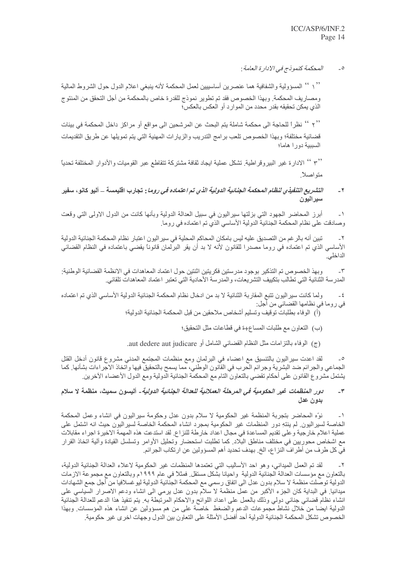المحكمة كنموذج في الإدار ة العامة :  $\overline{\phantom{a}}$ 

'' ( '' المسؤولية والشفافية هما عنصرين أساسييين لعمل المحكمة لأنه ينبغي اعلام الدول حول الشروط المالية ومصاريف المحكمة. وبهذا الخصوص فقد تم تطوير نموذج للقدرة خاص بالمحكمة من أجل التحقق من المنتوج الذي يمكن تحقيقه بقدر محدد من الموارد أو العكس بالعكس؛

'' ٢ '' نظر أ للحاجة الى محكمة شاملة يتم البحث عن المرشحين الى مواقع أو مراكز داخل المحكمة في بيئات قضائية مختلفة؛ وبهذا الخصوص تلعب برامج التدريب والزيارات المهنية التي يتم تمويلها عن طريق التقديمات السببية دورا هاما؛

'' ٣ '' الادارة غير البيروقراطية<sub>.</sub> تشكل عملية ايجاد ثقافة مشتركة تتقاطع عبر القوميات والأدوار المختلفة تحدياً متواصلاً.

*التشريع التنفيذي لنظام المحكمة الجنائية الدولية الذي تم اعتماده في روما* : تجارب اقليمسة – أليو كانو، سفير  $-7$ سير اليو ن

أبرز المحاضر الجهود التي بزلتها سيراليون في سبيل العدالة الدولية وبأنها كانت من الدول الاولى التي وقعت  $\overline{\phantom{0}}$ وصادقت على نظام المحكمة الجنائية الدولية الأساسي الذي تم اعتماده في روما.

تبين أنه بالر غم من التصديق عليه ليس بامكان المحاكم المحلية في سير اليون اعتبار نظام المحكمة الجنائية الدولية  $-\tau$ الأساسي الذي تم اعتماده في روما مصدرا للقانون لأنه لا بد أن يقر البرلمان قانوناً يقضي باعتماده في النظام القضائي الداخلي.

وبهذ الخصوص تم التذكير بوجود مدرستين فكريتين اثنتين حول اعتماد المعاهدات في الانظمة القضائية الوطنية:  $-\tau$ المدرسة الثنائية التي تطالب بتكييف التشريعات، والمدرسة الأحادية التي تعتبر اعتماد المعاهدات تلقائي.

و لما كانت سير اليون تتبع المقار بة الثنائية لا بد من ادخال نظام المحكمة الجنائية الدولية الأساسي الذي تم اعتماده  $-5$ في روما في نظامها القضائي من أجل:

- (أ) الوفاء بطلبات توقيف وتسليم أشخاص ملاحقين من قبل المحكمة الجنائية الدولية؛
	- (ب) النعاون مع طلبات المساع+ة في قطاعات مثل النحقيق؛
- (ج) الوفاء بالتزامات مثل النظام القضائي الشامل أو aut dedere aut judicare.

لقد اعدت سيراليون بالتنسيق مع اعضـاء في البرلمان ومع منظمات المـجتمع المدنـي مشروع قانون أدخل القتل الجماعي والجرائم ضد البشرية وجرائم الحرب في القانون الوطني، مما يسمح بالتحقيق فيها واتخاذ الاجراءات بشأنها كما يشتمل مشروع القانون على أحكام تقضي بالتعاون التام مع المحكمة الجنائية الدولية ومع الدول الأعضاء الآخرين.

### *دور المنظمات غير ال*حك*ومية في المر*حلة *العملانية للعدالة الجنائية الدولية*- أليسون سميث، منظمة لا سلام  $-\tau$ بدون عدل

نوِّه المحاضر بتجربة المنظمة غير الحكومية لا سلام بدون عدل وحكومة سيراليون في انشاء وعمل المحكمة  $-1$ الخاصة لسير اليون ِ لم ينتهِ دور المنظمات غير الحكومية بمجرد انشاء المحكمة الخاصة لسيراليون حيث انه اشتمل على عملية اعلام خار جية و على تقديم المساعدة في مجال اعداد خار طة للنز اع. لقد استدعت هذه المهمة الاخير ة اجر اء مقابلات مع اشخاص محوريين في مختلف مناطق البلاد. كما تطلبت استحضار وتحليل الأوامر وتسلسل القيادة وآلية اتخاذ القرار في كل طرف من أطر اف النز اع، الخ ِ بهدف تحديد أهم المسؤولين عن ارتكاب الجر ائم ِ

لقد تم العمل الميداني، وهو احد الأساليب التي تعتمدها المنظمات غير الحكومية لاعلاء العدالة الجنائية الدولية،  $-\tau$ بالنعاون مع مؤسسات العدالة الجنائية الدولية واحيانا بشكل مستقل فمثلاً في عام ١٩٩٩م وبالنعاون مع مجموعة الازمات الدولية توصلت منظمة لا سلام بدون عدل الى اتفاق رسمي مع المحكمة الجنائية الدولية ليوغسلافيا من أجل جمع الشهادات ميدانيا. في البداية كان الجزء الأكبر من عمل منظمة لا سلام بدون عدل برمي الى انشاء ودعم الاصرار السياسي على انشاء نظام قضائي جنائي دولي وذلك بالعمل على اعداد اللوائح والاحكام المرتبطة به يتم تنفيذ هذا الدعم للعدالة الجنائية الدولية ايضا من خلال نشاط مجموعات الدعم والضغط خاصة على من هم مسؤولين عن انشاء هذه المؤسسات وبهذا الخصوص تشكل المحكمة الجنائية الدولية أحد أفضل الأمثلة على التعاون بين الدول وجهات اخرى غير حكومية.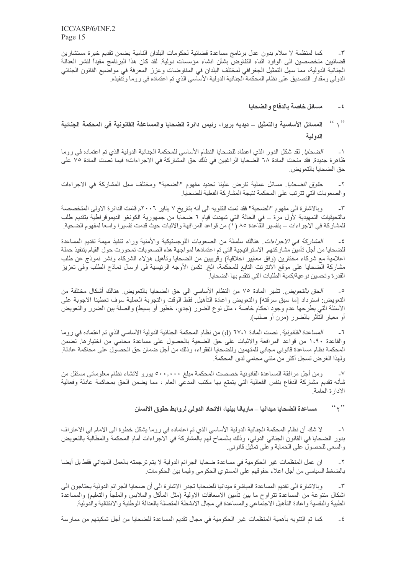كما لمنظمة لا سلام بدون عدل برنامج مساعدة قضائية لحكومات البلدان النامية يضمن تقديم خبرة مستشارين  $-\tau$ قضائيين متخصصين الى الوفود اثناء التفاوضّ بشأن انشاء مؤسسات دولية. لقد كان هذا البرنامج مفيداً لنشر العدالة الجنائية الدولية، مما سهل التمثيل الجغرافي لمختلف البلدان في المفاوضات وعزز المعرفة في مواضيع القانون الجنائي الدولي ومقدار التصديق على نظام المحكمة الجنائية الدولية الأساسي الذي تم اعتماده في روما وتّنفيذه.

### مسائل خاصة بالدفاع والضحايا  $-4$

## $\left($   $\left($   $\right)$   $\right)$ المسائل الأساسية والتمثيل \_ ديديه بريرا، رئيس دائرة الضحايا والمساعفة القانونية في المحكمة الجنائية الدولية

*الضحايا* . لقد شكل الدور الذي اعطاه للضحايا النظام الأساسي للمحكمة الجنائية الدولية الذي تم اعتماده في روما  $-1$ ظاهرة جديدة. فقد منحت المادة ٦٨ الضحايا الراغبين في ذلك حق المشاركة في الاجراءات؛ فيما نصت المادة ٧٥ على حق الضحابا بالتعو بض

ح*قوق الضحايا* ِ مسائل عملية تفرض علينا تحديد مفهوم "الضحية" ومختلف سبل المشاركة في الإجراءات  $-\tau$ والصعوبات التي تترتب على المحكمة نتيجة المشاركة الفعلية للضحايا.

وبالاشارة الى مفهوم "الضحية" فقد تمت التنويه الى أنه بتاريخ ٧ يناير. ٢٠٠٦م قامت الدائرة الاولى المتخصصة  $-\tau$ بالتحيقيات التمهيدية لأول مرة ــ في الحالة التي شهدت قيام ٦ ضحايا من جمهورية الكونغو الديموقراطية بتقديم طلب للمشاركة في الاجر اءات – بتفسير القاعدة ٨٥ (١) من قواعد المرافهة والاثبات حيث قدمت تفسير ا واسعا لمفهوم الضحية

*العشاركة في الاجراءات*. هنالك سلسلة من الصعوبات اللوجستيكية والأمنية وراء تنفيذ مهمة تقديم المساعدة  $-\xi$ للضحايا من أجل تأمين مشاركتهم الاستراتيجية التي تم اعتمادها لمواجهة هذه الصعوبات تمحورت حول القيام بتنفيذ حملة اعلامية مع شركاء مختارين (وفق معايير اخلاقية) وقريبين من الضحايا وتأهيل هؤلاء الشركاء ونشر نموذج عن طلب مشاركة الصححايا على موقع الانترنت التابع للمحكمة، الخ تكمن الأوجه الرئيسية في ارسال نماذج الطلب وفي تعزيز القدرة وتحسين نوعية/كمية الطلبات التي تتقدم بها الضحايا.

ا*لحق بالتعويض* تشير المادة ٧٥ من النظام الأساسي الى حق الضحايا بالتعويض هنالك أشكال مختلفة من  $\overline{\phantom{a}}$ النعويض: استرداد [ما سبق سرقته] والنعويض واعادة الناهيلُ فقط الوقت والنجربة العملية سوف نعطينا الاجوبة على الأسئلة التي يطرحها عدم وجود احكام خاصة ، مثل نوع الضرر (جدي، خطير أو بسيط) والصلة بين الضرر والتعويض أو معيار التأثر بالضرر (مرن أو صلب).

ا*لمساعدة القانونية* فصت المادة (٢٧،١ (d) من نظام المحكمة الجنائية الدولية الأساسي الذي تم اعتماده في روما  $\mathcal{L}_{-}$ والقاعدة ١،٩٠ من قواعد المرافعة والاثبات على حق الضحية بالحصول على مساعدة محامى من اختيارها. تضمن المحكمة نظام مساعدة قانوني مجاني للمتهمين وللضحايا الفقراء، وذلك من أجل ضمان حق الحصول على محاكمة عادلة. ولهذا الغرض تسجل أكثر من مئتي محامي لدى المحكمة.

ومن أجل مرافقة المساعدة القانونية خصصت المحكمة مبلغ ٥٠٠,٠٠٠ يورو لانشاء نظام معلوماتي مستقل من  $-<sup>V</sup>$ شأنه تقديم مشاركة الدفاع بنفس الفعالية التي يتمتع بها مكتب المدعي العام ، مما يضمن الحق بمحاكمة عادلة وفعالية الادارة العامة.

> $(1, 2)$ مساعدة الضحايا ميدانيا ـــ ماريانا بينيا، الاتحاد الدولي لروابط حقوق الانسان

لا شك أن نظام المحكمة الجنائية الدولية الأساسي الذي تم اعتماده في روما يشكل خطوة الى الامام في الاعتر اف  $-1$ بدور الضحايا في القانون الجنائي الدولي، وذلك بالسماح لهم بالمشاركة في الاجراءات أمام المحكمة والمطالبة بالتعويض والسعى للحصول على الحماية وعلى تمثيل قانوني.

ان عمل المنظمات غير الحكومية في مساعدة ضحايا الجرائم الدولية لا يتم ترجمته بالعمل الميداني فقط بل أيضا  $-\tau$ بالضغط السياسي من أجل اعلاء حقوقهم على المستوي الحكومي وفيما بين الحكومات ِ

وبالاشارة الى تقديم المساعدة المباشرة ميدانيا للضحايا تجدر الاشارة الى أن ضحايا الجرائم الدولية يحتاجون الى  $-\tau$ اشكال متنوعة من المساعدة تتراوح ما بين تأمين الاسعافات الاولية (مثل المأكل والملابس والملجأ والتعليم) والمساعدة الطبية والنفسية واعادة التأهيل الاجتماعي والمساعدة في مجال الانشطة المتصلة بالعدالة الوطنية والانتقالية والدولية

كما تم التنويه بأهمية المنظمات غير الحكومية في مجال تقديم المساعدة للضحايا من أجل تمكينهم من ممارسة  $-\xi$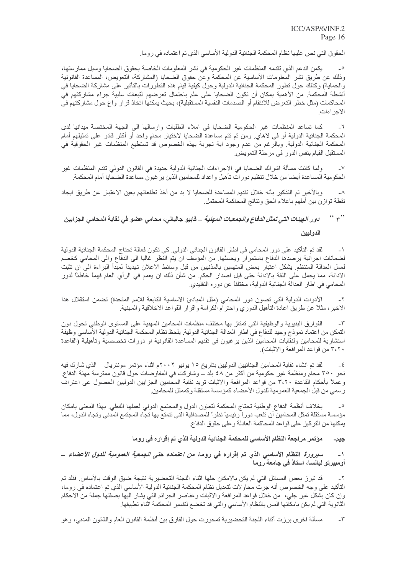الْحقوق الَّتي نص عليها نظام المحكمة الْجنائية الدولية الأساسي الذي تم اعتماده في روما.

يكمن الدعم الذي تقدمه المنظمات غير الحكومية في نشر المعلومات الخاصة بحقوق الضحايا وسبل ممارستها، وذلك عن طريق نشر المعلومات الأساسية عن المحكمة وعن حقوق الضحايا (المشاركة، التعويض، المساعدة القانونية والحماية) وكذلك حول تطور المحكمة الجنائية الدولية وحول كيفية قيام هذه التطورات بالتأثير على مشاركة الضحايا في أنشطة المحكمة. من الأهمية بمكان أن تكون الضحايا على علم باحتمال تعرضهم لتبعات سلبية جراء مشاركتهم في المحاكمات (مثل خطر التعرض للانتقام أو الصدمات النفسية المستقبلية)، بحيث يمكنها اتخاذ قرار واع حول مشاركتهم في الاجر اءات

كما تساعد المنظمات غير الحكومية الضحايا في املاء الطلبات وارسالها الى الجهة المختصة ميدانيا لدى  $-7$ المحكمة الجنائية الدولية أو في لاهاي ومن ثم تتم مساعدة الضحايا لاختيار محامٍ واحد أو أكثر قادر على تمثيلهم أمام المحكمة الجنائية الدولية. وبالرغم من عدم وجود اية تجربة بهذه الخصوص قد تستطيع المنظمات غير الحقوقية في المستقبل القيام بنفس الدور في مرحلة التعويض.

ولما كانت مسألة اشراك الضحايا في الاجراءات الجنائية الدولية جديدة في القانون الدولي تقدم المنظمات غير  $-<sup>6</sup>$ الحكومية المساعدة أيضا من خلال تنظيم دورات تأهيل واعداد للمحامين الذين ير غبون مساعدة الضحايا أمام المحكمة<sub>.</sub>

وبالأخير تم التذكير بأنه خلال تقديم المساعدة للضحايا لا بد من أخذ تطلعاتهم بعين الاعتبار عن طريق ايجاد  $-\lambda$ نقطة توازن بين أملهم باعلاء الحق ونتائج المحاكمة المحتمل

## $(4, 2)$ *دور الهيئات التي تمثل الدفاع والجمعيات المهنية* \_ فابيو جالياني، محامي عضو في نقابة المحامي الجزايين الدوليين

لقد تم التأكيد على دور المحامي في اطار القانون الجنائي الدولي. كي تكون فعالة تحتاج المحكمة الجنائية الدولية  $-1$ لضمانات اجرائية يرصدها الدفاع باستمرار ويحسنّها ٍ من المؤسف ان يتم النظر غالبا الى الدفاع والى المحامى كخصم لعمل العدالة المنتظم يشكل اعتبار بعض المتهمين بالمذنبين من قبل وسائط الاعلان تهديداً لمبدأ البراءة الى ان تثبت الادانة، مما يحمل على الثقة بالادانة حتى قبل اصدار الحكم. من شأن ذلك ان يعمم في الرأي العام فهمًا خاطئًا لدور المحامي في اطار العدالة الجنائية الدولية، مختلفاً عن دور ه التقليدي.

الأدوات الدولية التي تصون دور المحامي (مثل المبادئ الاساسية التابعة للامم المتحدة) تضمن استقلال هذا  $-\tau$ الاخير ، مثلاً عن طريق اعادة التأهيل الدوري واحترام الكرامة واقرار القواعد الاخلاقية والمهنية<sub>.</sub>

الفوارق البنيوية والوظيفية التي تمتاز بها مختلف منظمات المحامين المهنية على المستوى الوطني تحول دون  $-\tau$ التمكن من اعتماد نموذج وحيد للدفاع في اطار العدالة الجنائية الدولية. يلحظ نظام المحكمة الجنائية الدولية الأساسي وظيفة استشارية للمحامين ولنقابات المحامين الذين يرغبون في تقديم المساعدة القانونية او دورات تخصصية وتأهيلية (القاعدة ٣،٢٠ من قواعد المر افعة و الاثبات).

لقد تم انشاء نقابة المحامين الجنائيين الدوليين بتاريخ ١٥ يونيو ٢٠٠٢م اثناء مؤتمر مونتريال ــ الذي شارك فيه نحو ٣٥٠ محامِ ومنظمة غير حكومية من أكثر من ٤٨ بلد ــ وشاركت في المفاوضات حول قانون ممترسة مهنة الدفاع. وعملاً بأحكام القاعدة ٣،٢٠ من قواعد المرافعة والاثبات تريد نقابة المحامين الجزابين الدوليين الحصول عي اعتراف رسمي من قبل الجمعية العمومية للدول الأعضاء كمؤسسة مستقلة وكممثل للمحامين.

بخلاف أنظمة الدفاع الوطنية تحتاج المحكمة لتعاون الدول والمجتمع الدولي لعملها الفعلي بهذا المعنى بامكان  $\overline{\phantom{a}}$ مؤسسة مستقلة تمثل المحامين أن تلعب دوراً رئيسياً نظراً للمصداقية التي تتمتع بها تجاه المجتمع المدني وتجاه الدول، مما يمكنها من التركيز على قواعد المحاكمة العادلة وعلى حقوق الدفاع.

> موَتمر مراجعة النظام الأساسي للمحكمة الجنائية الدولية الذي تم إقراره في روما جيم۔

### *سيرورة* النظام الأساسي الذي تم إقراره في روما*، من اعتماده حتى الجمعية العمومية للدول الأعضاء* \_  $-1$ أومبيرتو ليانسا، استاذ في جامعة روما

قد تبرز بعض المسائل التي لم يكن بالامكان حلها اثناء اللجنة التحضيرية نتيجة ضيق الوقت بالأساس فقلد تم  $-\tau$ التأكيد على وجه الخصوص أنه جرت محاولات لتعديل نظام المحكمة الجنائية الدولية الأساسي الذي تم اعتماده في روما، وإن كان بشكل غير جلي، من خلال قواعد المرافعة والاثبات وعناصر الجرائم التي يشار اليها بصفتها جملة من الاحكام الثانوية التي لم يكن بامكانها المس بالنظام الأساسي والتي قد تخضع لتفسير المحكمة اثناء تطبيقها ِ

مسألة اخرى برزت أثناء اللجنة التحضيرية تمحورت حول الفارق بين أنظمة القانون العام والقانون المدني، وهو  $-\tau$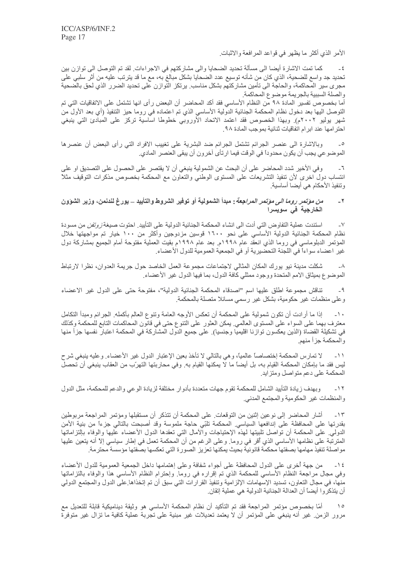الأمر الذي أكثر ما يظهر في قواعد المرافعة والاثبات.

كما تمت الاشارة أيضـا الـى مسألة تـحديد الضـحايـا والـى مشاركتهم في الاجراءات. لقد تم التوصـل الـى توازن بين  $-\epsilon$ تحديد جد واسع للضحية، الذي كان من شأنه توسيع عدد الضحايا بشكل مبالغ به، مع ما قد يترتب عليه من أثر سلبي على مجرى سير المحاكمة، والحاجة الى تأمين مشاركتهم بشكل مناسب يرتكز النوازن على تحديد الضرر الذي لحق بالضحية و الصلة السببية بالجر يمة مو ضوع المحاكمة.

أما بخصوص تفسير المادة ٩٨ من النظام الأساسي فقد أكد المحاضر أن البعض رأى انها تشتمل على الاتفاقيات التي تم التوصل اليها بعد دخول نظام المحكمة الجنائية الدولية الأساسي الذي تم اعتماده في روما حيز التنفيذ (أي بعد الأول من شهر بوليو ٢٠٠٢م). وبهذا الخصوص فقد اعتمد الاتحاد الأوروبي خطوطا اساسية تركز على المبادئ التي ينبغي احتر امها عند ابر ام اتفاقيات ثنائية بموجب المادة ٩٨.

وبالاشارة الى عنصر الجرائم تشتمل الجرائم ضد البشرية على تغييب الافراد التي رأى البعض أن عنصرها  $\overline{\phantom{a}}$ الموضوعي يجب أن يكون محدوداً في الوقت فيما ارتأى آخرون أن يبقى العنصر المادي.

وفي الأخير شدد المحاضر على أن البحث عن الشمولية ينبغي أن لا يقتصر على الحصول على التصديق او على  $-7$ انتساب دول اخرى لأن تنفيذ التشريعات على المستوى الوطني والنعاون مع المحكمة بخصوص مذكرات التوقيف مثلاً وتنفيذ الأحكام هي أيضا أساسية

### *من مؤتمر روما الى مؤتمر المراجعة* : مبدأ الشمولية أو توفير الشروط والتأييد ــ يورغ لندنمن، وزير الشؤون  $-7$ الخارجية في سويسرا

استندت عملية التفاوض التي أدت الى انشاء المحكمة الجنائية الدولية على التأييد<sub>.</sub> احتوت صيغة *زوتفن* من مسودة  $\mathsf{L}\mathsf{V}$ نظام المحكمة الجنائية الدولية الأساسي على نحو ١٦٠٠ قوسين مزدوجين وأكثر من ١٠٠ خيار تم مواجهتها خلال المؤتمر الدبلوماسي في روما الذي انعقد عام ١٩٩٨م. بعد عام ١٩٩٨م بقيت العملية مفتوحة أمام الجميع بمشاركة دول غير اعضاء سواءاً في اللجنة التحضيرية أو في الجمعية العمومية للدول الأعضاء.

شكلت مدينة نيو يورك المكان المثالي لاجتماعات مجموعة العمل الخاصد حول جريمة العدوان، نظرا لارتباط  $-\lambda$ الموضوع بميثاق الامم المتحدة ووجود ممثلي كافة الدول، بما فيها الدول غير الأعضاء

تناقش مجموعة اطلق عليها اسم "اصدقاء المحكمة الجنائية الدولية"، مفتوحة حتى على الدول غير الاعضاء  $-9$ وعلى منظمات غير حكومية، بشكل غير رسمي مسائلا متصلة بالمحكمة.

إذا ما أرادت أن تكون شمولية على المحكمة أن تعكس الأوجه العامة وتنوع العالم بأكمله. الجرائم ومبدأ التكامل  $-1$ معترف بهما على السواء على المستوى العالمي يمكن العثور على التنوع حتى في قانون المحاكمات التابع للمحكمة وكذلك في تشكيلة القضاة (الذين يعكسون توازنا اقليميا وجنسيا). على جميع الدول المشاركة في المحكمة اعتبار نفسها جزأ منها والمحكمة جزأ منهم

لا تمارس المحكمة إختصاصاً عالمياً، وهي بالتالي لا تأخذ بعين الإعتبار الدول غير الأعضاء وعليه ينبغي شرح  $-11$ ليس فقد ما بإمكان المحكمة القيام به، بل أيضاً ما لا يمكنها القيام به. وفي محاربتها التهرّب من العقاب ينبغي أن تحصل المحكمة على دعم متواصل ومتزايد

وبهدف زيادة التأييد الشامل للمحكمة تقوم جهات منعددة بأدوار مختلفة لزيادة الوعي والدعم للمحكمة، مثل الدول  $-11$ والمنظمات غير الحكومية والمجتمع المدنى

أشار المحاضر إلى نوعين إثنين من التوقعات على المحكمة أن تتذكر أن مستقبلها ومؤتمر المراجعة مربوطين  $-15$ بقدرتها على المحافظة على إندافعها السياسي المحكمة تلبّي حاجة ملموسة وقد أصبحت بالتالي جزءاً من بنية الأمن الدولـي علـى المحكمة أن تواصل تلبيتها لـهذه الإحتياجات والأمال التـي تعقدها الدول الأعضـاء عليها والوفاء بالتزاماتها المترتبة على نظامها الأساسي الذي أقر في روما. وعلى الرغم من أن المحكمة تعمل في إطار سياسي إلاَّ أنه يتعين عليها مواصلة تنفيذ مهامها بصفتها محكمة قانونية بحيث يمكنها تعزيز الصورة التي تعكسها بصفتها مؤسسة محترمة.

من جهة أخرى على الدول المحافظة على أجواء شفافة وعلى إهتمامها داخل الجمعية العمومية للدول الأعضاء  $-15$ وفي مجال مراجعة النظام الأساسي للمحكمة الذي تم إقراره في روما. وإحترام النظام الأساسي هذا والوفاء بالتزاماتها منهاً، في مجال النعاون، تسديد الإسهامات الإلزامية وتنفيذ القرارات التي سبق أن تم إتخذاها على الدول والمجتمع الدولي أن يتذكر و ا أيضاً أن العدالة الجنائية الدولية هي عملية إنقان.

أمّا بـخصوص مؤتمر المراجعة فقد تم التأكيد أن نظام المحكمة الأساسي هو وثيقة ديناميكية قابلة للتعديل مع  $\bigwedge$ مرور الزمن غير أنه ينبغي على المؤتمر أن لا يعتمد تعديلات غير مبنية على تجربة عملية كافية ما تزال غير متوفرة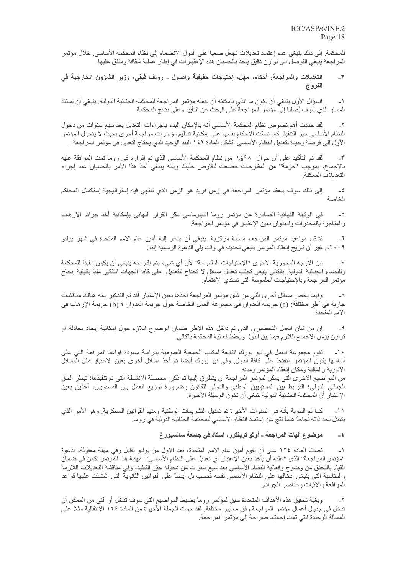للمحكمة. إلى ذلك ينبغي عدم إعتماد تعديلات تجعل صعباً على الدول الإنضمام إلى نظام المحكمة الأساسي. خلال مؤتمر المر اجعة ينبغي التوصلُ الى توازن دقيق يأخذ بالحسبان هذه الإعتبار ات في إطارٍ عملية شقافة ومتفقٍ عليها ً

### التعديلات والمراجعة: أحكام، مهل، إحتياجات حقيقية واصول ـ رولف فيفي، وزير الشؤون الخارجية في  $-\mathbf{Y}$ النروج

السؤال الأول ينبغي أن يكون ما الذي بإمكانه أن يفعله مؤتمر المراجعة للمحكمة الجنائية الدولية. ينبغي أن يستند  $-1$ المسار الذي سوف يُصلنا إلى مؤتمر المراجعة على البحث عن التأييد وعلى نتائج المحكمة.

لقد حددت أهم نصوص نظام المحكمة الأساسي أنه بالإمكان البدء باجر اءات التعديل بعد سبع سنوات من دخول  $-\tau$ النظام الأساسي حيّز التنفيذ. كما نصّت الأحكام نفسها على إمكانية تنظيم مؤتمر ات مر اجعة أخرى بحيث لا يتحول المؤتمر الأول الى فرصة وحيدة لتعديل النظام الأساسي. تشكل المادة ١٤٢ البند الوحيد الذي يحتاج لتعديل في مؤتمر المراجعة .

لقد تم التأكيد على أن حوال ٩٨% من نظام المحكمة الأساسي الذي تم إقراره في روما تمت الموافقة عليه  $-\tau$ بالإجماع، بموجب "حزمة" من المقترحات خضعت لتفاوض حثيث وبأنه ينبغي أخذ هذا الأمر بالحسبان عند إجراء التعديلات الممكنة.

إلى ذلك سوف ينعقد مؤتمر المراجعة في زمن فريد هو الزمن الذي تنتهي فيه إستراتيجية إستكمال المحاكم  $-\epsilon$ الخاصة

في الوثيقة النهائية الصادرة عن مؤتمر روما الدبلوماسي ذكَّر القرار النهائي بإمكانية أخذ جرائم الإرهاب  $\overline{\phantom{0}}$ والمتاجرة بالمخدرات والعدوان بعين الإعتبار في مؤتمر المراجعة.

تشكل مواعيد مؤتمر المراجعة مسألة مركزية. ينبغي أن يدعو إليه أمين عام الامم المتحدة في شهر يوليو  $-7$ ٢٠٠٩م. غير أن تاريخ إنعقاد المؤتمر ينبغي تحديده في وقت يلي الدعوة الرسمية إلبه.

من الأوجه المحورية الاخرى "الإحتياجات الملموسة" لأن أي شيء يتم إقتراحه ينبغي أن يكون مفيداً للمحكمة  $-V$ وللقضاء الجنائية الدولية بالتالي ينبغي تجئب تعديل مسائل لا تحتاج للتعديل على كافة الجهات التفكير ملياً بكيفية إنجاح مؤتمر المراجعة وبالإحتياجات الملموسة التي تستدي الإهتمام.

و فيما يخص مسائل أخر ي التي من شأن مؤتمر المر اجعة أخذها بعين الإعتبار فقد تم التذكير ٍ بأنه هنالك مناقشات  $-\lambda$ جارية في أطرٍ مختلفة: (a) جريمة العدوان في مجموعة العمل الخاصـة حول جريمة العدوان ؛ (b) جريمة الإر هاب في الامم المتحدة.

إن من شأن العمل التحضيري الذي تم داخل هذه الاطر ضمان الوضوح اللازم حول إمكانية إيجاد معادلة أو  $-9$ توازن يؤمن الإجماع اللازم فيما بين الدول ويحفظ فعالية المحكمة بالتالي.

١٠- تقوم مجموعة العمل في نيو يورك التابعة لمكتب الجمعية العمومية بدراسة مسودة قواعد المرافعة التي على أساسها يكون المؤتمر منفتحاً على كافة الدول ِ وفي نيو يورك أيضاً تم أخذ مسائل أخرى بعين الإعتبار مثل المسائل الإدارية والمالية ومكان إنعقاد المؤتمر ومدته

من المواضيع الاخرى التي يمكن لمؤتمر المراجعة أن يتطرق إليها تم ذكر : محصلة الأنشطة التي تم تنفيذها؛ تبعثر الحق الْجِنائي الدولي؛ الترابط بين المستويين الوطني والدولي للقانون وضرورة توزيع العمل بين المستويين، أخذين بعين الإعتبار أن المحكمة الجنائية الدولية ينبغي أن تكون الوسيلة الأخيرة.

كما تم التنوية بأنه في السنوات الأخيرة تم تعديل التشريعات الوطنية ومنها القوانين العسكرية. وهو الأمر الذي  $-11$ يشكل بحد ذاته نجاحاً هاماً نتج عن إعتماد النظام الأساسي للمحكمة الجنائية الدولية في روما.

#### موضوع آليات المراجعة ــ أوتّو تريفترر ، استاذ في جامعة سالسبورغ  $-\xi$

نصت المادة ١٢٤ على أن يقوم أمين عام الامم المتحدة، بعد الأول من يوليو بقليل وفي مهلة معقولة، بدعوة  $-1$ "مؤتمر المراجعة" الذي "عليه أن يأخذ بعين الإعتبار أي تعديل على النظام الأساسي". مهمة هذا المؤتمر تكمن في ضمان القيام بالتحقق من وضوح وفعالية النظام الأساسي بعد سبع سنوات من دخوله حيّز التنفيذ، وفي مناقشة التعديلات اللازمة والمناسبة التي ينبغي إدخالها على النظام الأساسي نفسه فحسب بل أيضاً على القوانين الثانوية التي إشتملت عليها قواعد المرافعة والإثبات وعناصر الجرائم

وبغية تحقيق هذه الأهداف المتعددة سبق لمؤتمر روما بضبط المواضيع التي سوف تدخل أو التي من الممكن أن  $-7$ تدخل في جدول أعمال مؤتمر المراجعة وفق معايير مختلفة. فقد حوت الجملة الأخيرة من المادة ١٢٤ الإنتقالية مثلاً على المسألة الوحيدة التي تمت إحالتها صراحة إلى مؤتمر المراجعة.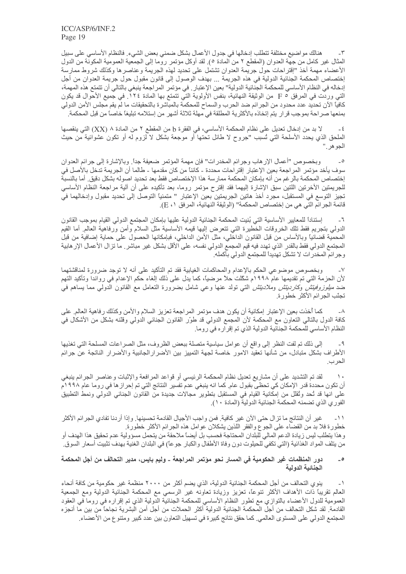هنالك مواضيع مختلفة تتطلب إدخالها في جدول الأعمال بشكل ضمني بعض الشيء. فالنظام الأساسي على سبيل  $-\tau$ المثال غير كامل من جهة العدوان (المقطع ٢ من المادة ٥). لقد أوكل مؤتمر روما إلى الجمعية العمومية المكونة من الدول الأعضاء مهمة أخذ "إقتراحات حول جريمة العدوان تشتمل على تحديد لهذه الجريمة وعناصرها وكذلك شروط ممارسة إختصاص المحكمة الجنائية الدولية في هذه الجريمة ... بهدف الوصول إلى قانون مقبول حول جريمة العدوان من أجل إدخاله في النظام الأساسي للمحكمة الجنائية الدولية" بعين الإعتبار . في مؤتمر المراجعة ينبغي بالتالي أن تتمنع هذه المهمة، التي وردت في المرفق P 0 من الوثيقة النهائية، بنفس الأولوية التي تتمتع بها المادة ١٢٤. في جميع الأحوال قد يكون كافياً الآن تحديد عدد محدود من الجرائم ضد الحرب والسماح للمحكمة بالمباشرة بالتحقيقات ما لم يقم مجلس الأمن الدولي بمنعها صراحة بموجب قرار يتم إتخاذه بالأكثرية المطلقة في مهلة ثلاثة أشهر من إستلامه تبليغا خاصاً من قبل المحكمة

لا بد من إدخال تعديل على نظام المحكمة الأساسي، في الفقرة b من المقطع ٢ من المادة ٨ (XX) التي ينقصها  $-\xi$ الملحق الذي يحدد الأسلحة التي تُسبب "جروح لا طائل تحتها أو موجعة بشكل لا لزوم له أو تكون عشوائية من حيث الجو هر ."

وبخصوص "أعمال الإرهاب وجرائم المخدرات" فإن مهمة المؤتمر ضعيفة جداً. وبالإشارة إلى جرائم العدوان  $\overline{\phantom{a}}$ سوف يأخد مؤتمر المراجعة بعين الإعتبار إقتراحات محددة ـ كائناً من كان مقدمها ـ طالما أن الجريمة تدخل بالأصل في إختصاص المحكمة بالرغم من أنه بإمكان المحكمة ممارسة هذا الإختصاص فقط بعد تحديد اصوله بشكل دقيق ٍ أما بالنسبة للجريمتين الأخرنتين اللتين سبق الإشارة إليهما فقد إقترح مؤتمر روما، بعد تأكيده على أن ألية مراجعة النظام الأساسي تجيز التوسع في المستقبل، مجرد أخذ هاتين الجريمتين بعين الإعتبار " متمنياً التوصل إلى تحديد مقبول وإدخالهما في قائمة الجرائم التَّى هي من إختصاص المحكمة'' (الوثيقة النهائية، المرفق ١، E).

إستنادأ للمعايير الأساسية التي بُنيت المحكمة الجنائية الدولية عليها بإمكان المجتمع الدولي القيام بموجب القانون  $-7$ الدولي بتجريع فقط تلك الخروقات الخطيرة التي تتعرض إليها قيمه الأساسية مثل السلام وأمن ورفاهية العالم أما القيم المحمية قضائيًا وبالأساس من قبل القانون الداخلي، مثل الأمن الداخلي، فبإمكانها الحصول على حماية إضافية من قبل المجتمع الدولي فقط بالقدر الذي تهدد فيه قيم المجمع الدولي نفسه، على الأقل بشكل غير مباشر ٍ ما تزال الأعمال الإر هابية وجرائم المخدرات لا تشكل تهديداً للمجتمع الدولي بأكمله.

وبخصوص موضوعي الحكم بالإعدام والمحاكمات الغيابية فقد تم التأكيد على أنه لا توجد ضرورة لمناقشتهما  $-<sup>1</sup>$ لأن الحزمة التي تم تقديمها عام ١٩٩٨م شكَّلت حلاً مرضياً، كما يدل على ذلك إلغاء حكم الإعدام في رواندا وتأكيد التهم ضد *ملِلوزوفيتِش وكارديتِش وملاديتِش* التـي تولُّد عنـها وعـي شامل بضرورة النعامل مع القانون الدولـي مما يساهم فـي تجنّب الجر ائم الأكثر خطور ة.

كما أخذت بعين الإعتبار إمكانية أن يكون هدف مؤتمر المراجعة تعزيز السلام والأمن وكذلك رفاهية العالم على  $-\lambda$ كافة الدول بالتالي التعاون مع المحكمة لأن المجمع الدولي قد طوّر القانون الجنائي الدولي وقتّنه بشكل من الأشكال في النظام الأساسي للمحكمة الجنائية الدولية الذي تم إقرار ه في روما.

إلى ذلك تم لفت النظر إلى واقع أن عوامل سياسية متصلة ببعض الظروف، مثل الصر اعات المسلحة التي تغذيها - 9 الأطراف بشكل متبادل، من شأنها تعقيد الامور خاصة لجهة التمييز بين الأضرارالجانبية والأضرار الناتجة عن جرائم الحرب.

لقد تم التشديد على أن مشاريع تعديل نظام المحكمة الرئيسي أو قواعد المرافعة والإثبات وعناصر الجرائم ينبغي  $\lambda$ أن تكون محددة قدر الإمكان كي تحظى بقبول عام. كما انه ينبغي عدم تفسير النتائج التي تم إحراز ها في روما عام ١٩٩٨م على انها قد تُحد وتُقلَّل من إمكانية القيام في المستقبل بتطوير مجالات جديدة من القانون الجنائي الدولي ونمط التطبيق الفوري الذي تضمنه المحكمة الجنائية الدولية (المادة ١٠).

غير أن النتائج ما تزال حتى الآن غير كافية. فمن واجب الأجيال القادمة تحسينها. وإذا أردنا تفادي الجرائم الأكثر  $-11$ خطورة فلا بد من القضاء على الجوع والفقر اللذين يشكلان عوامل هذه الجرائم الأكثر خطورة. وهذا يتطلب ليس زيادة الدعم المالي للبلدان المحتاجة فحسب بل أيضاً ملاحقة من يتحمل مسؤولية عدم تحقيق هذا الهدف أو من يتلف المواد الغذائية (التي تكفي للحيلوت دون وفاة الأطفال والكبار جوعاً) في البلدان الغنية بهدف تثبيت أسعار السوق.

### دور المنظمات غير الحكومية في المسار نحو مؤتمر المراجعة ـ وليم بايس، مدير التحالف من أجل المحكمة  $\overline{\phantom{a}}$ الحنائبة الدولية

ينوي التحالف من أجل المحكمة الجنائية الدولية، الذي يضم أكثر من ٢٠٠٠ منظمة غير حكومية من كافة أنحاء  $-1$ العالم نقريبًا ذات الأهداف الأكثر تنوعًا، تعزيز وزيادة تعاونه غير الرسمي مع المحكمة الجنائية الدولية ومع الجمعية العمومية للدول الأعضاء بالتوازي مع نطور النظام الأساسي للمحكمة الجنائية الدولية الذي تم إقراره في روما في العقود القادمة ِ لقد شكل التحالف من أجل المحكمة الجنائية الدولية أكثر الحملات من أجل أمن البشرية نجاحاً من بين ما أنجزء المجتمع الدولي على المستوى العالمي. كما حقق نتائج كبيرة في تسهيل التعاون بين عدد كبير ومتنو ع من الأعضـاء.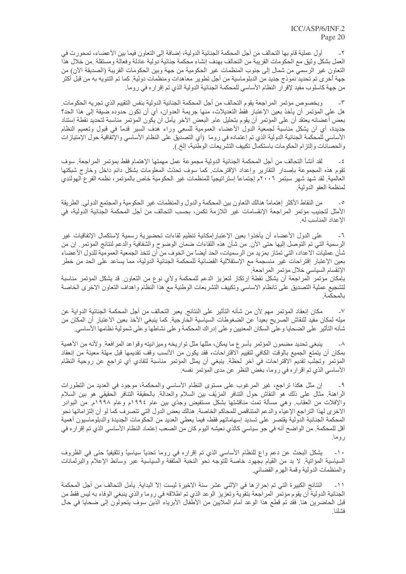أول عملية قام بها التحالف من أجل المحكمة الجنائية الدولية، إضافة إلى التعاون فيما بين الأعضاء، تمحورت في  $-\tau$ العمل بشكل وثيق مع الحكومات القريبة من التحالف بهدف إنشاء محكمة جنائية دولية عادلة وفعالة ومستقلة ٍ من خلال هذا النعاون غير الرسمي من شمال إلى جنوب المنظمات غير الحكومية من جهة وبين الحكومات القريبة (الصديقة الأن) من جهة أخرى تم تحديد نموذج جديد من الدبلوماسية من أجل تطوير معاهدات ومنظمات دولية. كما تم التنويه به من قبل أكثر من جهة كاسلوب مفيد لإقرار النظام الأساسي للمحكمة الجنائية الدولية الذي تم إقراره في روما.

و بخصوص مؤتمر المر اجعة يقوم التحالف من أجل المحكمة الجنائية الدولية بنفس التقييم الذي تجريه الحكومات  $-\tau$ هل على المؤتمر أن يأخذ بعين الإعتبار فقط التعديلات، منها جريمة العدوان، أي أن تكون حدوده ضيقة إلى هذا الحد؟ بعض أعضائه يعتقد أن على المؤتمر أن يقوم بتحليل عام. البعض الآخر يأمل أن يكون المؤتمر مناسبة لتحديد نقطة إستناد جديدة، أي أن يشكل مناسبة لجمعية الدول الأعضاء العمومية للسعي وراء هدف السير قدماً في قبول وتعميم النظام الأساسي للمحكمة الجنائية الدولية الذي تم إعتماده في روما (أي التصديق على النظام الأساسي والإتفاقية حول الإمتيازات والحصانات وإلتزام الحكومات باستكمال تكييف التشريعات الوطنية، إلخ.).

لقد أنشأ النحالف من أجل المحكمة الجنائية الدولية مجموعة عمل مهمتها الإهتمام فقط بمؤتمر المراجعة سوف  $-\xi$ تقوم هذه المجموعة بإصدار التقارير وإعداد الإقترحات كما سوف تحدّث المعلومات بشكل دائم داخل وخارج شبكتها العالمية. لقد شهد شهر سبتمر ٢٠٠٦م إجتماعاً إستراتيجياً للمنظمات غير الحكومية خاص بالمؤتمر ، نظمه الفر ع الهولندي لمنظمة العفو الدولية

من النقاط الأكثر إهتمامًا هنالك التعاون بين المحكمة والدول والمنظمات غير الحكومية والمجتمع الدولي ِ الطريقة  $\overline{\phantom{a}}$ الأمثل لتجنيب مؤتمر المراجعة الإنقسامات غير اللازمة تكمن، بحسب التحالف من أجل المحكمة الجنائية الدولية، في الاعداد المناسب له.

على الدول الأعضاء أن يأخذوا بعين الإعتبار إمكانية تنظيم لقاءات تحضيرية رسمية لإستكمال الإتفاقيات غير  $-7$ الرسمية التي تم التوصل إليها حتى الأن ِ من شأن هذه اللقاءات ضمان الوضوح والشفافية والدعم لنتائج المؤتمر ِ إن من شأن عمليات الاعداد، التي تمتاز بمزيد من الرسميات، الحد أيضاً من الخوف من أن تتخذ الجمعية العمومية للدول الأعضاء بعين الإعتبار إقتراحات غير منسجمة مع الإستقلالية القضائية للمحكمة الجنائية الدولية، مما يساعد على الحد من خطر الإنقسام السياسي خلال مؤتمر المراحعة.

بإمكان مؤتمر المراجعة أن يشكل نقطة إرتكاز لتعزيز الدعم للمحكمة ولأي نوع من التعاون قد يشكل المؤتمر مناسبة لتشجيع عملية التصديق على تانظام الاساسي وتكييف التشربعات الوطنية مع هذا النظام واهداف التعاون الاخرى الخاصة بالمحكمة

مكان إنعقاد المؤتمر مهم لأن من شأنه التأثير على النتائج. يعبر التحالف من أجل المحكمة الجنائية الدواية عن  $-<sup>V</sup>$ ميله لمكان مفيد للنقاش الصريح بعيداً عن الضغوطات السياسية الخارجية. كما ينبغي الأخذ بعين الاعتبار أن المكان من شأنه التأثير على الضحايا و على السكان المعنيين و على إدر اك المحكمة و على نشاطها و على شمولية نظامها الأساسي<sub>.</sub>

ينبغي تحديد مضمون المؤتمر بأسرع ما يمكن، مثلها مثل تواريخه وميزانيته وقواعد المرافعة. ولأنه من الأهمية  $-\lambda$ بمكان أن يتمتع الجميع بالوقت الكافي لتقييم الاقتراحات، فقد يكون من الأنسب وقف تقديمها قبل مهلة معينة من إنعقاد المؤتمر وتجنَّب تقديم الاقتراحات في أخر لحظة. ينبغي أن يمثِّل المؤتمر مناسبة لتفادي أي تراجع عن روحية النظام الأساسي الذي تم اقراره في روما، بغض النظر عن مدى المؤتمر نفسه.

إن مثل هكذا تراجع، غير المرغوب على مستوى النظام الأساسي والمحكمة، موجود في العديد من التطورات  $-9$ الراهنة ِ مثال على ذلك هو النقاش حول التنافر المزيّف بين السلام والعدالة ِ بالحقيقة التنافر الحقيقي هو بين السلام والإفلات من العقاب وهي مسألة تمت مناقشتها بشكل مستفيض وجدّي بين عام ١٩٩٤م وعام ١٩٩٨م من البوادر الاخرى لهذا التراجع الإعياء والدعم المتناقص للمحاكم الخاصة. هنالك بعض الدول التي تتصرف كما لو أن إلتز اماتها نحو المحكمة الجنائية الدولية يقتصر على تسديد إسهاماتهم فقط، فيما يعطي العديد من الحكومات الجديدة والدبلوماسيون أهمية أقل للمحكمة<sub>.</sub> من الواضح أنه في جو ٍ سياسي كالذي نعيشه اليوم كان من الصعب إعتماد النظام الأساسي الذي تم إقر ار ه في روما.

يشكل البحث عن دعم واع للنظام الأساسي الذي تم إقراره في روما تحديًا سياسيًا وتثقيفيًا حتى في الظروف  $-1$ السياسية المؤاتية. لا بد من القيام بجهود خاصة للتوجه نحو النخبة المثقفة والسياسية عبر وسائط الإعلام والبرلمانات والمنظمات الدولية وقمة الهرم القضائي

النتائج الكبيرة التي تم إحراز ها في الإثني عشر سنة الاخيرة ليست إلاّ البداية. يأمل التحالف من أجل المحكمة  $-11$ الجنائية الدولية أن يقوم مؤتمر المراجعة بتقوية وتعزيز الوعد الذي تم اطلاقه في روما والذي ينبغي الوفاء به ليس فقط من قبل الحاضرين هنا فقد تم قطع هذا الوعد أمام الملايين من الأطفال الأبرياء الذين سوف يتحولون إلى ضحايا في حال فشلنا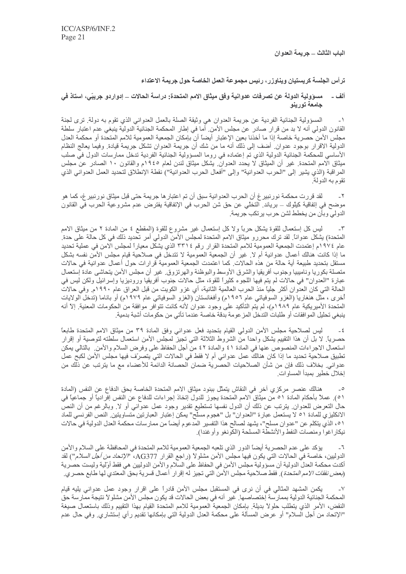الباب الثالث ــ جريمة العدوان

ترأس الجلسة كريستيان ويناوزر ، رئيس مجموعة العمل الخاصة حول جريمة الاعتداء

## ألف \_ مسوّولية الدولة عن تصرفات عدوانية وفق ميثاق الامم المتحدة: دراسة الحالات \_ إدواردو جريبَي، استاذ في جامعة تورينو

المسؤولية الجنائية الفردية عن جريمة العدوان هي وثيقة الصلة بالعمل العدواني الذي تقوم به دولة ٍ ترى لجنة  $-1$ القانون الدولي أنه لا بد من قر ار صادر عن مجلس الأمن. أما في إطار المحكمة الجنائية الدولية ينبغي عدم اعتبار سلطة مجلس الأمن حصرية خاصة إذا ما أخذنا بعين الإعتبار أيضاً أن بإمكان الجمعية العمومية للامم المتحدة أو محكمة العدل الدولية الاقرار بوجود عدوان ِ أضف إلى ذلك أنه ما من شك أن جريمة العدوان تشكل جريمة قيادة ِ وفيما يعالج النظام الأساسي للمحكمة الجنائية الدولية الذي تم إعتماده في روما المسؤولية الجنائية الفردية تدخل ممارسات الدول في صلب ميثاق الامم المتحدة. غير أن الميثاق لا يحدد العدوان بشكل ميثاق لندن لعام ١٩٤٥م والقانون ١٠ الصادر عن مجلس المراقبة (الذي يشير إلى "الحرب العدوانية" وإلى "أفعال الحرب العدوانية") نقطة الإنطلاق لتحديد العمل العدواني الذي تقوم به الدولة.

لقد قررت محكمة نورنبير غ أن الحرب العدوانية سبق أن تم اعتبار ها جريمة حتى قبل ميثاق نورنبير غ، كما هو  $-\tau$ موضح في إتفاقية كيلُوك ـــ برياند. التخلْي عن حق شن الحرب في الإتفاقية يفترض عدم مشروعية الحرب في القانون الدولي وبأن من يخطط لشن حرب يرتكب جريمة.

ليس كل إستعمال للقوة يشكل حربًا ولا كل إستعمال غير مشروع للقوة (المقطع ٤ من المادة ٢ من ميثاق الامم  $-\tau$ المتحدة) يشكل عدواناً. لقد ترك محررو ميثاق الامم المتحدة لمجلس الأمن الدولي أمر تحديد ذلك في كل حالة على حدة. عام ١٩٧٤م إعتمدت الجمعية العمومية للامم المتحدة القرار رقم ٣٣١٤ الذي يشكل معياراً لمجلس الامن في عملية تحديد ما إذا كانت هنالك أعمال عدوانية أم لا ٍ غير أن الجمعية العمومية لا تتدخل في صلاحية قيام مجلس الأمن نفسه بشكل مستقل بتحديد طبيعة أية حالة من هذه الحالات كما اعتمدت الجمعية العمومية قرارات حول أعمال عدوانية في حالات متصلة بكوريا وناميبيا وجنوب أفريقيا والشرق الأوسط والبوظنة والهرتزوق غير أن مجلس الأمن يتحاشى عادة إستعمال عبارة "العدوان" فـي حالات لم يتم فيها اللـجوء كثيراً للقوة، مثل حالات جنوب أفريقيا وروديزيا وإسرائيل ولكن ليس في الحالة التي كان العدوان أكثر جليًا منذ الحرب العالمية الثانية، أي غزو الكويت من قبل العراق عام ١٩٩٠م. وفي حالات أخرى ، مّثل هنغاريا (الغزو السوفياتي عام ١٩٥٦م) وأفغانستان (الغزو السوفياتي عام ١٩٧٩م) أو باناما (تدخل الولايات المتحدة الأميريكية عام ١٩٨٩م)، لم يتم التأكيد على وجود عدوان لأنه كانت تتوافر موافقة من الحكومات المعنية. إلا أنه ينبغي تحليل الموافقات أو طلبات التدخل المز عومة بدقة خاصة عندما تأتي من حكومات أشبة بدمية ِ

ليس لصلاحية مجلس الأمن الدولي القيام بتحديد فعل عدواني وفق المادة ٣٩ من ميثاق الامم المتحدة طابعًا  $-\xi$ حصرياً. لا بل أن هذا التقييم يشكل واحداً من الشروط الثلاثة التي تجيز لمجلس الأمن استعمال سلطته لتوصية أو إقرار استعمال الاجراءات المنصوص عنها في المادة ٤١ والمادة ٤٢ من أجل الحفاظ على وفرض السلام والأمن. بالتالي يمكن تطبيق صلاحية تحديد ما إذا كان هنالك عمل عدواني أم لا فقط في الحالات التي يتصرّف فيها مجلس الأمن لكبح عمل عدواني. بخلاف ذلك فإن من شأن الصلاحيات الحصرية ضمان الحصانة الدائمة للأعضاء مع ما يترتب عن ذلك من إخلال خطير بمبدأ المساوات.

هنالك عنصر مركزي آخر في النقاش يتمثَّل ببنود ميثاق الامم المتحدة الخاصة بحق الدفاع عن النفس (المادة  $\overline{\phantom{a}}$ ٥١). عملاً بأحكام المادة ٥١ من ميثاق الامم المتحدة يجوز للدول إتخاذ إجراءات للدفاع عن النفس إفرادياً أو جماعياً في حال النعرض للعدوان ِ يترتب عن ذلك أن الدول نفسها تستطيع تقدير وجود عمل عدواني أو لا ٍ وبالرغم من أن النص الانكليز ي للمادة ٥١ لا يستعمل عبارة "العدوان" بل "هجوم مسلح" يمكن إعتبار العبارتين متساويتين. النص الفرنسي للماد ٥١، الذي يتكلم عن "عدوان مسلح"، يشهد لصالح هذا التفسير المدعوم أيضاً من ممارسات محكمة العدل الدولية في حالات نبكار اغوا ومنصات النفط والأنشطة المسلحة (الكونغو وأوغندا).

يؤكد على عدم الحصرية أيضاً الدور الذي تلعبه الجمعية العمومية للامم المتحدة في المحافظة على السلام والأمن  $-7$ الدوليين، خاصـة في الـحالات التي يكون فيها مجلس الأمن مشلولاً (راجع القرار AG377، "/لإ*تحاد من أجل السلام*") لقد أكدت محكمة العدل الدولية أن مسؤولية مجلس الأمن في الحفاظ على السلام والأمن الدوليين هي فقط أولية وليست حصرية (*بعض نفقات الامم المت*حدة ). فقط صلاحية مجلس الأمن التي تجيز له إقرار أعمال قسرية بحق المعتدي لها طابع حصر *ي.* 

 $\mathord{\hspace{1pt}\text{--}\hspace{1pt}}\vee$ يكمن المشهد المثالي في أن نرى في المستقبل مجلس الأمن قادراً على اقرار وجود عمل عدواني يليه قيام المحكمة الجنائية الدولية بممارسة إختصاصها ٍ غير أنه في بعض الحالات قد يكون مجلس الأمن مشلولاً نتيجة ممارسة حق النقض، الأمر الذي يتطلب حلولاً بديلة. بإمكان الجمعية العمومية للامم المتحدة القيام بهذا التقييم وذلك باستعمال صيغة "الإتحاد من أجل السلام" أو عرض المسألة على محكمة العدل الدولية التي بإمكانها تقديم رأي إستشاري<sub>.</sub> وفي حال عدم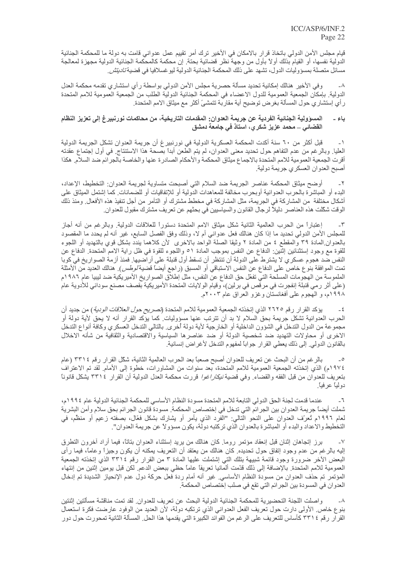قيام مجلس الأمن الدولي باتخاذ قرار بالامكان في الأخير ترك أمر تقييم عمل عدواني قامت به دولة ما للمحكمة الجنائية الدولية نفسها، أو القيام بذلك أولاً بأول من وجهة نظر قضائية بحتة. إن محكمة كالمحكمة الجنائية الدولية مجهزة لمعالجة مسائل متصلة بمسؤوليات الدول، تشهد على ذلك المحكمة الجنائية الدولية ليو غسلافيا في قضية *تاديتش*.

وفي الأخير هنالك إمكانية تحديد مسألة حصرية مجلس الأمن الدولي بواسطة رأى استشاري تقدمه محكمة العدل  $-\lambda$ الدولية. بإمكان الجمعية العمومية للدول الاعضاء في المحكمة الجنائية الدولية الطلب من الجمعية العمومية للامم المتحدة ر أي إستشار ي حول المسألة بغر ض توضيح أية مقاربة تتمشىً أكثر مع ميثاق الامم المتحدة.

### المسؤولية الجنائية الفردية عن جريمة العدوان: المقدمات التاريخية، من محاكمات نورنبيرغ إلى تعزيز النظام باء ۔ القضائي \_ محمد عزيز شكر ي، استاذ في جامعة دمشق

قبل أكثر من ٦٠ سنة أكدت المحكمة العسكرية الدولية في نورنبيرغ أن جريمة العدوان تشكل الجريمة الدولية  $-1$ العليا. وبالرغم من عدم التفاهم حول تحديد معنى العدوان، لم يتم الطعن أبداً بصحة هذا الاستنتاج. في أول إجتماع عقدته أقرت الجمعية العمومية للامم المتحدة بالاجماع ميثاق المحكمة والأحكام الصادرة عنها والخاصة بالجرائم ضد السلام هكذا أصبح العدوان العسكري جريمة دولية

أوضح ميثاق المحكمة عناصر الجريمة ضد السلام التي أصبحت متساوية لجريمة العدوان: التخطيط، الإعداد،  $-\tau$ البدء أو المباشر ة بالحرب العدوانية أوبحرب مخالفة للمعاهدات الدولية أو للإتفاقيات أو للضمانات كما إشتمل الميثاق على أشكال مختلفة من المشاركة في الجريمة، مثل المشاركة في مخطط مشترك أو النآمر من أجل تنفيذ هذه الأفعال. ومنذ ذلك الوقت شكّلت هذه العناصر دليلاً لرجال القانون والسياسيين في بحثهم عن تعريف مشترك مقبول للعدوان ِ

إعتباراً من الحرب العالمية الثانية شكل ميثاق الامم المتحدة دستوراً للعلاقات الدولية ٍ وبالرغم من أنه أجاز  $-\tau$ للمجلس الأمن الدولي تحديد ما إذا كان هنالك فعل عدواني أم لا، وذلك وفق الفصل السابع، غير أنه لم يحدد ما المقصود بالعدوان المادة ٣٩ والمقطع ٤ من المادة ٢ وثيقا الصلة الواحد بالاخرى لأن كلاهما يندد بشكل قوى بالتهديد أو اللجوء للقوة مع وجود إستثنائين إثنين: الدفاع عن النفس بموجب المادة ٥١ واللجوء للقوة في ظل راية الامم المتحدة. الدفاع عن النفس ضد هجوم عسكري لا يشترط على الدولة أن تنتظر أن تسقط أول قنبلة على أرآضيها. فمنذ أزمة الصواريخ في كوبا تمت الموافقة بنوع خاص على الدفاع عن النفس الاستباقي أو المسبق (راجع أيضاً قضية *لوطس*). هنالك العديد من الأمثلة الملموسة من الهجومات المسلحة التي تفعّل حق الدفاع عن النفس، مثل إطلاق الصواريخ الأميريكية ضد ليبيا عام ١٩٨٦م (على أثر رمي قنبلة إنفجرت في مرقص في برلين)، وقيام الولايات المتحدة الأميريكية بقصف مصنع سوداني للأدوية عام ۱۹۹۸م، و الهجوم على أفغانستان وغزو العراق عام ۲۰۰۳م.

يؤكد القرار رقم ٢٦٢٥ الذي إتخذته الجمعية العمومية للامم المتحدة (*تصريح حول العلاقات الودية* ) من جديد أن  $-\xi$ الحرب العدوانية تشكل جريمة بحق السلام لا بد أن نترتب عنها مسؤوليات كما يؤكد القرار أنه لا يحق لأية دولة أو مجموعة من الدول التدخل في الشؤون الداخلية أو الخارجية لأية دولة أخرى. بالتالي التدخل العسكري وكافة أنواع التدخل الاخرى أو محاولات التهديد ضد شخصية الدولة أو ضد عناصرها السياسية والاقتصادية والثقافية من شأنه الاخلال بالقانون الدولي ٍ إلى ذلك يعطي القرار جواباً لمفهوم التدخل لأغراض إنسانية ِ

بالرغم من أن البحث عن تعريف للعدوان أصبح صعباً بعد الحرب العالمية الثانية، شكَّل القرار رقم ٣٣١٤ (عام  $\overline{\phantom{a}}$   $\circ$ ١٩٧٤م) الذي إتخذته الجمعية العمومية للامم المتحدة، بعد سنوات من المشاورات، خطوة إلى الأمام. لقد تم الاعتراف بتعريف للعدوان من قبل الفقه والقضاء<sub>.</sub> وفي قضية *نيكار اغوا* قررت محكمة العدل الدولية أن القرار ٣٣١٤ يشكل قانوناً دولياً عرفياً.

عندما قدمت لجنة الحق الدولي التابعة للامم المتحدة مسودة النظام الأساسي للمحكمة الجنائية الدولية عام ١٩٩٤م،  $-7$ شملت أيضـًا جريمـة الـعدوان بين الـجرائم التي تدخل في إختصـاص المـحكمـة. مسودة قانون الـجرائم بـحق سلام وأمن البشريـة لعام ١٩٩٦م تُعرّف العدوان على النحو التالي: "الفرد الذي يأمر أو يشارك بشكل فعّال، بصفته زعيم أو منظم، في التخطيط والاعداد والبدء أو المباشرة بالعدوان الذي تركتبه دولة، يكون مسؤولاً عن جريمة العدوان".

برز إتجاهان إثنان قبل إنعقاد مؤتمر روما كان هنالك من بريد إستثناء العدوان بتاتًا، فيما أراد أخرون التطرق  $-<sup>1</sup>$ إليه بالرغم من عدم وجود إنفاق حول تحديده. كان هنالك من يعتقد أن التعريف يمكنه أن يكون وجيزاً وعاماً، فيما رأى البعض الأخر ضرورة وجود قائمة شبيهة بتلك التي إشتملت عليها المادة ٣ من القرار رقم ٣٣١٤ الذي إتخذته الجمعية العمومية للامم المتحدة بالإضافة إلى ذلك قدّمت ألمانيا تعريفًا عامًا حظي ببعض الدعم لكن قبل يومين إثنين من إنتهاء المؤتمر تم حذف العدوان من مسودة النظام الأساسي ِ غير أنه أمام ردة فعل حركة دول عدم الإنحياز الشديدة تم إدخال العدو ان في المسودة بين الجر ائم التي تقع في صلب إختصـاص المحكمة ِ

واصلت اللجنة التحضيرية للمحكمة الجنائية الدولية البحث عن تعريف للعدوان. لقد تمت مناقشة مسألتين إثنتين  $-\lambda$ بنوع خاص الأولى دارت حول تعريف الفعل العدواني الذي ترتكبه دولة، لأن العديد من الوفود عارضت فكرة استعمال القر ار رقم ٢٣١٤ كأساس للتعريف على الرغم من الفوائد الكبيرة التي يقدمها هذا الحل. المسألة الثانية تمحورت حول دور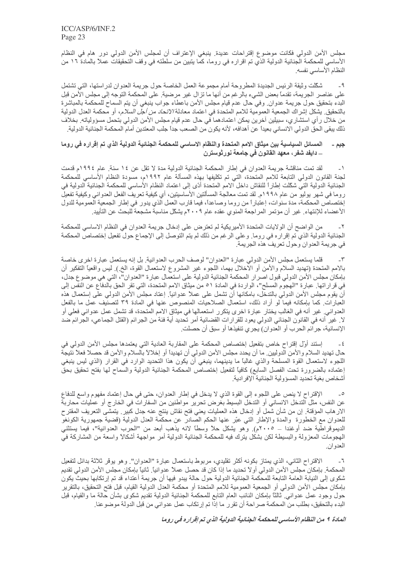مجلس الأمن الدولي فكانت موضوع إقتراحات عديدة. ينبغي الإعتراف أن لمجلس الأمن الدولي دور هام في النظام الأساسي للمحكمة الجنائية الدولية الذي تم اقراره في روما، كما يتبين من سلطته في وقف التحقيقات عملاً بالمادة ١٦ من النظام الأساسي نفسه

شكّلت وثيقة الرئيس الجديدة المطروحة أمام مجموعة العمل الخاصة حول جريمة العدوان لدراستها، التي تشتمل  $-9$ على عناصر الجريمة، تقدماً بعض الشيء بالرغم من أنها ما تزال غير مرضية. على المحكمة التوجه إلى مجلس الأمن قبل البدء بتحقيق حول جريمة عدوان ٍ وفي حال عدم قيام مجلس الأمن باعطاء جواب ينبغي أن يتم السماح للمحكمة بالمباشرة بالتحقيق. يشكل إشراك الجمعية العمومية للامم المتحدة في اعتماد معادلة *الاتحاد من أجل السلام*، أو محكمة العدل الدولية من خلال ر أي استشار ي، سبيلين آخر ين يمكن اعتمادهما في حال عدم قيام مجلس الأمن الدولي بتحمل مسؤولياته. بخلاف ذلك يبقى الحق الدولي الانساني بعيداً عن أهدافه، لأنه يكون من الصعب جداً جلب المعتدين أمام المحكمة الجنائية الدولية ِ

### المسائل السياسية بين ميثاق الامم المتحدة والنظام الاساسي للمحكمة الجنائية الدولية الذي تم إقراره في روما جيم ۔ \_ دايفد شفر ، معهد القانون في جامعة نورثوسترن

لقد تمت مناقشة جريمة العدوان في إطار المحكمة الجنائية الدولية مدة لا تقل عن ١٤ سنة. عام ١٩٩٤م قدمت  $-1$ لجنة القانون الدولي النابعة للامم المتحدة، التي تم تكليفها بهذه المسألة عام ١٩٩٢م، مسودة النظام الأساسي للمحكمة الجنائية الدولية التي شكَّلت إطاراً للنقاش داخل الامم المتحدة أدّى إلى اعتماد النظام الأساسي للمحكمة الجنائية الدولية في ر وما في شهر يوليو من عام ١٩٩٨م. لقد تمت معالجة المسألتين الأساسيتين، أي كيفية تعريف الفعل العدواني وكيفية تفعيل إختصاص المحكمة، مدة سنوات، إعتباراً من روما وصاعداً، فيما قارب العمل الذي يدور في إطار الجمعية العمومية للدول الأعضـاء للإنتهاء. غير أن مؤتمر المراجعة المنوي عقده عام ٢٠٠٩م يشكِّل مناسبة مشجعة للبحث عن التأييد.

من الواضح أن الولايات المتحدة الأميريكية لم تعترض على إدخال جريمة العدوان في النظام الاساسي للمحكمة الجنائية الدولية الذي تم إقراره في روما. وعلى الرغم من ذلك لم يتم التوصل إلى الإجماع حول تفعيل إختصاص المحكمة في جر يمة العدوان وحول تعر يف هذه الجر يمة.

قلما يستعمل مجلس الأمن الدولي عبارة "العدوان" لوصف الحرب العدوانية. بل إنه يستعمل عبارة اخرى خاصة  $-\tau$ بالامم المتحدة (تهديد السلام والأمن أو الاخلال بهما، اللجوء غير المشروع لاستعمال القوة، الخ ) ليس واقعياً التفكير أن بإمكان مجلس الأمن الدولي قبول اصر ار المحكمة الجنائية الدولية على استعمال عبار ة "العدوان"، التي هي موضوع جدل، في قر ار اتها. عبارة "الهجوم المسلح"، الواردة في المادة ٥١ من ميثاق الامم المتحدة، التي تقر الحق بالدفاع عن النفس إلى أن يقوم مجلس الأمن الدولي بالتدخل، بامكانها أن تشمل على عملاً عدوانياً. إعتاد مجلس الأمن الدولي على إستعمال هذه العبارات كما بإمكانه فيما لو أراد ذلك، استعمال الصلاحيات المنصوص عنها في المادة ٣٩ لتصنيف عمل ما بالفعل العدواني. غير أنه في الغالب يختار عبارة اخرى يتكرر استعمالها في ميثاق الامم المتحدة، قد تشمل عمل عدواني فعلي أو لا. غير أنه في القانون الجنائي الدولي يعود للقرارات القضائية أمر تحديد أية فئة من الجرائم (القتل الجماعي، الجرائم ضد الإنسانية، جرائم الحرب أو العدوان) يجري تنفيذها أو سبق أن حصلت.

إستند أوّل إقتراح خاص بتفعيل إختصاص المحكمة على المقاربة العادية التي يعتمدها مجلس الأمن الدولي في  $-\epsilon$ حال تهديد السلام والأمن الدوليين ما أن يحدد مجلس الأمن الدولي أن تهديداً أو إخلالاً بالسلام والأمن قد حصلا فعلأ نتيجة اللجوء لاستعمال القوة المسلحة والذي غالبًا ما يدينهما، ينبغي أن يكون هذا التحديد الوارد في القرار (الذي ليس ينبغي إعتماده بالضرورة تحت الفصل السابع) كافياً لنفعيل إختصاص المحكمة الجنائية الدولية والسماح لها بفتح تحقيق بحق أشخاص بغية تحديد المسؤ ولية الجنائية الإفر ادية

الإقتراح لا ينص على اللجوء إلى القوة الذي لا يدخل في إطار العدوان، حتى في حال إعتماد مفهوم واسع للدفاع  $\overline{\phantom{a}}$ عن النفس، مثل التدخل الانساني أو التدخل البسيط بغرض تحرير مواطنين من السفارات في الخارج أو عمليات محاربة الار هاب المؤقتة. إن من شأن شمل أو إدخال هذه العمليات يعني فتح نقاش ينتج عنه جدل كبير . يتمشى التعريف المقترح للعدوان مع الخطورة والمدة والإطار التي عبّر عنها الحكم الصادر عن محكمة العدل الدولية (قضية جمهورية الكونغو الديموقراطية ضد أوغندا ــ ٢٠٠٥م). وهو يشكل حلاً وسطاً لانه يذهب أبعد من "الحرب العدوانية"، فيما يستثنى الهجومات المعزولة والبسيطة لكن بشكل يترك فيه للمحكمة الجنائية الدولية أمر مواجهة أشكالأ واسعة من المشاركة في العدوان.

الاقتراح الثاني، الذي يمتاز بكونه أكثر تقليدي، مربوط باستعمال عبارة "العدوان". وهو يوفّر ثلاثة بدائل لتفعيل  $\mathcal{F}_-$ المحكمة. بإمكان مجلس الأمن الدولي أولاً تحديد ما إذا كان قد حصل عملاً عدوانياً. ثانياً بإمكان مجلس الأمن الدولي تقديم شكوى إلى النيابة العامة التابعة للمحكمة الجنائية الدولية حول حالة يبدو فيها أن جريمة أعتداء قد تم إرتكابها بحيث يكون بإمكان مجلس الأمن الدولي أو الجمعية العمومية للامم المتحدة أو محكمة العدل الدولية القيام، قبل فتح التحقيق، بالتقرير حول وجود عمل عدواني ِ ثالثًا بإمكان النائب العام التابع للمحكمة الجنائية الدولية تقديم شكوى بشأن حالة ما والقيام، قبل البدء بالتحقيق، بطلب من المحكمة صراحة أن تقرر ما إذا تم إرتكاب عمل عدواني من قبل الدولة موضوعنا.

المادة ٩ من النظام الأساسي للمحكمة الجنائية الدولية الذي تم إقراره في روما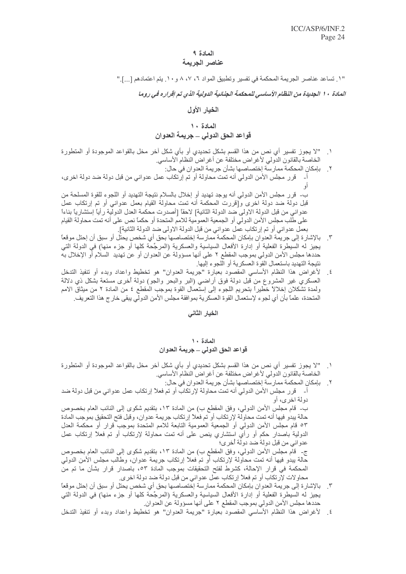# المادة ٩

## عناصر الجريمة

"١. تساعد عناصر الجريمة المحكمة في تفسير وتطبيق المواد ٦، ٧، ٨ و ١٠. يتم اعتمادهم [...]."

الملاة ١٠ الجديدة من النظام الأساسي للمحكمة الجنائية الدولية الذي تم إقراره في روما

## الخيار الأول

## المعادة ١٠

# قواعد الحق الدولي ــ جريمة العدوان

- "لا يجوز تفسير أي نص من هذا القسم بشكل تحديدي أو بأي شكل أخر مخل بالقواعد الموجودة أو المتطورة الخاصة بالقانون الدولي لأغراض مختلفة عن أغراض النظام الأساسي
- ٢ . بإمكان المحكمة ممارسة إختصاصها بشأن جريمة العدوان في حال: قرر مجلس الأمن الدولي أنه تمت محاولة أو تم إرتكاب عمل عدواني من قبل دولة ضد دولة اخرى،  $-1$ ب- قرر مجلس الأمن الدولي أنه يوجد تهديد أو إخلال بالسلام نتيجة التهديد أو اللجوء للقوة المسلحة من قبل دولة ضد دولة اخرى و[قررت المحكمة أنه تمت محاولة القيام بعمل عدواني أو تم إرتكاب عمل عدواني من قبل الدولة الاولى ضد الدولة الثانية] لاحقًا [أصدرت محكمة العدل الدولية رأيًا إستشاريًا بناءًا على طلب مجلس الأمن الدولي أو الجمعية العمومية للامم المتحدة أو حكماً نص على أنه تمت محاولة القيام بعمل عدواني أو تم إرتكاب عمل عدواني من قبل الدولة الاولي ضد الدولة الثانية].
- ٣. بالإشارة إلى جريمة العدوان بإمكان المحكمة ممارسة إختصـاصـها بـحق أي شخص يحتل أو سبق أن إحتل موقعاً يجيز له السيطرة الفعلية أو إدارة الأفعال السياسية والعسكرية (المرجَّحة كلَّها أو جزء منها) في الدولة التي حددها مجلس الأمن الدولي بموجب المقطع ٢ على أنها مسؤولة عن العدوان أو عن تهديد السلام أو الإخلال به نتيجة التهديد باستعمال القوة العسكرية أو اللجوء إليها.
- لأغراض هذا النظام الأساسي المقصود بعبارة "جريمة العدوان" هو تخطيط واعداد وبدء أو تنفيذ التدخل  $\cdot$ .  $\epsilon$ العسكري غير المشروع من قبل دولة فوق أراضـي (البر والبـحر والـجو) دولة أخرى مستعة بشكل ذي دلالة ولمدة تشكلان إخلالاً خطيراً بتحريم اللجوء إلى إستعمال القوة بموجب المقطع ٤ من المادة ٢ من ميثاق الامم المتحدة، علمـًا بـأن أي لجو ء لإستعمال القوة العسكرية بموافقة مجلس الأمن الدولي يبقى خار ج هذا التعريف.

الخيار الثانى

## المادة ١٠ قواعد الحق الدولي ــ جريمة العدوان

- "لا يجوز تفسير أي نص من هذا القسم بشكل تحديدي أو بأي شكل آخر مخل بالقواعد الموجودة أو المتطورة الخاصة بالقانون الدولي لأغراض مختلفة عن أغراض النظام الأساسي.
	- ٢ . بإمكان المحكمة ممارسة إختصاصها بشأن جريمة العدوان في حال:
- أ- قرر مجلس الأمن الدولي أنه تمت محاولة لإرتكاب أو تم فعلاً إرتكاب عمل عدواني من قبل دولة ضد دولة اخر ي، أو

ب- قام مجلس الأمن الدولي، وفق المقطع ب) من المادة ١٣، بتقديم شكوى إلى النائب العام بخصوص حالة يبدو فيها أنه تمت محاولة لإرتكاب أو تم فعلاً إرتكاب جريمة عدوان، وقبل فتح التحقيق بموجب المادة ٥٣ قام مجلس الأمن الدولي أو الجمعية العمومية التابعة للامم المتحدة بموجب قرار أو محكمة العدل الدولية باصدار حكم أو رأي استشاري ينص على أنه تمت محاولة لإرتكاب أو تم فعلأ إرتكاب عمل عدواني من قبل دولة ضد دولة أخرى؛ ج- قام مجلس الأمن الدولي، وفق المقطع ب) من المادة ١٣، بتقديم شكوى إلى النائب العام بخصوص

حالة يبدو فيها أنه تمت محاولة لإرتكاب أو تم فعلاً إرتكاب جريمة عدوان، وطالب مجلس الأمن الدولمي المحكمة في قرار الإحالة، كشرط لفتح التحقيقات بموجب المادة ٥٣، باصدار قرار بشأن ما تم من محاولات لإّرتكاب أو تم فعلاً إرتكاب عمل عدواني من قبل دولة ضد دولة اخرى ٍ

- ٣. بالإشارة إلى جريمة العدوان بإمكان المحكمة ممارسة إختصاصها بحق أي شخص يحتل أو سبق أن إحتل موقعاً يجيز له السيطرة الفعلية أو إدارة الأفعال السياسية والعسكرية (المرجَّحة كلها أو جزء منها) في الدولة التي حددها مجلس الأمن الدولي بموجب المقطع ٢ على أنها مسؤولة عن العدوان.
- ٤] لأغراض هذا النظام الأساسي المقصود بعبارة "جريمة العدوان" هو تخطيط واعداد وبدء أو تنفيذ التدخل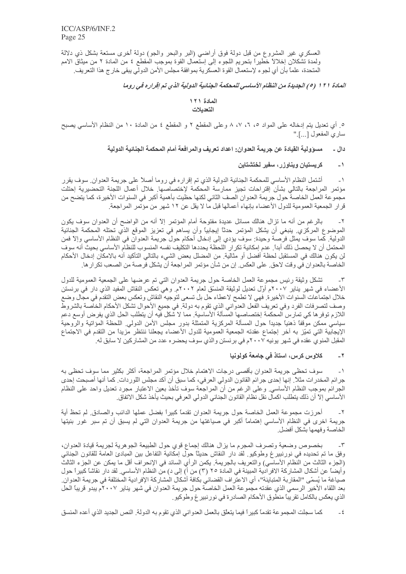العسكري غير المشروع من قبل دولة فوق أراضـي (البر والبـحر والـجو) دولة أخرى مستعة بشكل ذي دلالة ولمدة تشكلان إخلالاً خطيراً بتحريم اللجوء إلى إستعمال القوة بموجب المقطع ٤ من المادة ٢ من ميثاق الامم المتحدة، علماً بأن أي لجو ء لإستعمال القوة العسكرية بموافقة مجلس الأمن الدولي يبقى خار ج هذا التعريف.

المادة ١٢١ (٥) الجديدة من النظام الأساسي للمحكمة الجنائية الدولية الذي تم إقراره في روما

## المادة ١٢١ التعديلات

٥\_ أي تعديل بنِّم إدخاله على المواد ٥، ٦، ٧، ٨ وعلى المقطع ٢ و المقطع ٤ من المادة ١٠ من النظام الأساسي يصبح ساري المفعول [...]."

## دال ـ مسوّولية القيادة عن جريمة العدوان: اعداد تعريف والمرافعة أمام المحكمة الجنائية الدولية

### كريستيان ويناوزر، سفير لختشتاين  $\rightarrow$

أشتمل النظام الأساسي للمحكمة الجنائية الدولية الذي تم إقراره في روما أصلاً على جريمة العدوان سوف يقرر  $\rightarrow$ مؤتمر المراجعة بالتالي بشأن إقتراحات تجيز ممارسة المحكمة لإختصاصها خلال أعمال اللجنة التحضيرية إحتلت مجموعة العمل الخاصة حول جريمة العدوان الصف الثاني لكنها حظيت بأهمية أكبر في السنوات الأخيرة، كما يتضح من قرار الجمعية العمومية للدول الأعضاء بإنهاء أعمالها قبل ما لا يقل عن ١٢ شهر من مؤتمر المراجعة.

بالرغم من أنه ما نزال هنالك مسائل عديدة مفتوحة أمام المؤتمر إلاّ أنه من الواضح أن العدوان سوف يكون  $-\tau$ الموضوع المركزي ِ ينبغي أن يشكل المؤتمر حدثًا إيجابيًا وأن يساهم في تعزيز الموقع الذي تحتله المحكمة الجنائية الدولية. كما سوف يمثل فرصة وحيدة: سوف يؤدي إلى إدخال أحكام حول جريمة العدوان في النظام الأساسي وإلاّ فمن المحتمل أن لا يحصل ذلك أبداً ِ عدم إمكانية تكر ار اللحظة يحددها التكليف نفسه المنسوب للنظام الأساسي بحيث أنه سوف لن يكون هنالك في المستقبل لحظة أفضل أو مثالية. من المضلل بعض الشيء بالتالي التأكيد أنه بالامكان إدخال الأحكام الخاصة بالعدوان في وقت لاحق. على العكس. إن من شأن مؤتمر المراجعة أن يشكل فرصة من الصعب تكر ار ها.

تشكل وثيقة رئيس مجموعة العمل الخاصة حول جريمة العدوان التي تم عرضها على الجمعية العمومية للدول  $\mathcal{N}$ الأعضاء في شهر يناير ٢٠٠٧م أوّل تعديل لوثيقة المنسّق لعام ٢٠٠٢م. و هي تعكس النقاش المفيد الذي دار في برنستن خلال اجتماعات السنوات الأخير ة. فهي لا تطمح لاعطاء حل بل تسعى لتوجيه النقاش وتعكس بعض التقدم في مجال وضع وصف لتصرفات الفرد وفي تعريف الفعل العدواني الذي تقوم به دولة. في جميع الأحوال تشكل الأحكام الخاصة بالشروط اللازم توفر ها كي تمارس المحكمة إختصاصها المسألة الأساسية. مما لا شكل فيه أن يتطلب الحل الذي يفرض أوسع دعم سياسي ممكن موقفًا ذهنيًا جديدًا حول المسألة المركزية المتمثلة بدور مجلس الأمن الدولي ِ اللحظة المؤاتية والروحية الإيجابية التي تميّز به أخر إجتماع عقدته الجمعية العمومية للدول الأعضاء يجعلنا ننتظر مزيدًا من التقدم في الاجتماع المقبل المنوي عقده في شهر يونيه ٢٠٠٧م في برنستن والذي سوف يحضره عدد من المشاركين لا سابق له.

### كلاوس كرس، استاذ في جامعة كولونيا  $-7$

سوف تحظي جريمة العدوان بأقصىي درجات الاهتمام خلال مؤتمر المراجعة، أكثر بكثير مما سوف تحظى به  $\overline{a}$ جرائم المخدرات مثلاً. إنها إحدى جرائم القانون الدولي العرفي، كما سبق أن أكد مجلس اللوردات. كما أنها أصبحت إحدى الجرائم بموجب النظام الأساسي وعلى الرغم من أن المراجعة سوف تأخذ بعين الاعتبار مجرد تعديل واحد على النظام الأساسي إلاَّ أن ذلك يتطلب اكمال نقل نظام القانون الجنائي الدولي العر في بحيث يأخذ شكل الاتفاق.

أحرزت مجموعة العمل الخاصة حول جريمة العدوان تقدماً كبيراً بفضل عملها الدائب والصادق لم تحظ أية  $-\tilde{v}$ جريمة اخرى في النظام الأساسي إهتماماً أكبر في صياغتها من جريمة العدوان التي لم يسبق أن تم سبر غور بنيتها الخاصة وفهمها بشكل أفضل

بخصوص وضعية وتصرف المجرم ما يزال هنالك إجماع قوى حول الطبيعة الجوهرية لجريمة قيادة العدوان،  $-\tau$ وفق ما تم تحديده في نورنبيرغ وطوكيو ٍ لقد دار النقاش حديثًا حول إمكانية التفاعل بين المبادئ العامة للقانون الجنائي (الجزء الثالث من النظام الأساسي) والتعريف بالجريمة. يكمن الرأي السائد في الإنحراف أقل ما يمكن عن الجزء الثالث وأيضاً عن أشكال المشاركة الافرادية المبينة في المادة ٢٥ (٣) من أ) إلى د) من النظام الأساسي. لقد دار نقاشا كبيرا حول صباغة ما يُسمّى "المقاربة المتباينة"، أي الاعتر اف القضائي بكافة أشكال المشاركة الإفرادية المختلفة في جريمة العدوان ِ بعد اللقاء الأخير الرسمي الذي عقدته مجموعة العمل الخاصة حول جريمة العدوان في شهر يناير ٢٠٠٧م يبدو قريباً الحل الذي يعكس بالكامل تقريباً منطوق الأحكام الصـادر ة في نور نبير غ وطوكيو ِ

 $\pm \xi$ كما سجلت المجموعة تقدماً كبيراً فيما يتعلَّق بالعمل العدواني الذي تقوم به الدولة ِ النص الجديد الذي أعده المنسق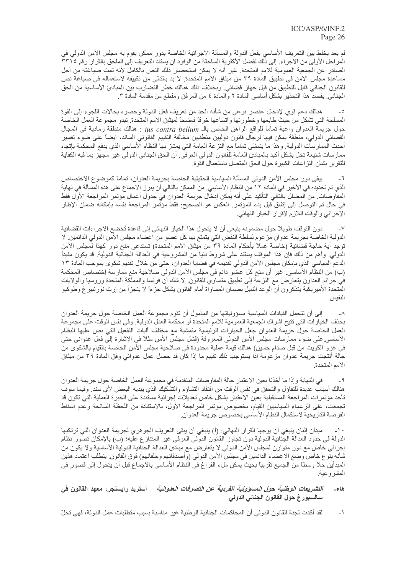لم يعد يخلط بين التعريف الأساسي بفعل الدولة والمسألة الاجرائية الخاصة بدور ممكن يقوم به مجلس الأمن الدولي في المراحل الأولى من الاجراء. إلى ذلك تفضل الأكثرية الساحقة من الوفود ان يستند التعريف إلى الملحق بالقرار رقم ٣٣١٤ الصادر عن الجمعية العمومية للامم المتحدة. غير أنه لا يمكن استحضار ذلك النص بالكامل لأنه تمت صياغته من أجل مساعدة مجلس الامن في تطبيق المادة ٣٩ من ميثاق الامم المتحدة. لا بد بالتالي من تكييفه لاستعماله في صياغة نص للقانون الجنائي قابل للتطبيق من قبل جهاز قضائي ٍ وبخلاف ذلك هنالك خطر التّضارب بين المبادئ الأساسية من الحق الجنائي ِ يقصد هذا التحذير بشكل أساسي المادة ٢ والمادة ٤ من المرفق ومقطع من مقدمة المادة ٣ ِ

هنالك دعم قوي لإدخال عنصر نوعي من شأنه الحد من تعريف فعل الدولة وحصره بحالات اللجوء إلى القوة  $\overline{\phantom{a}}^{\circ}$ المسلحة التي تشكل من حيث طابعها وخطورتها واتساعها خرقاً فاضحاً لميثاق الامم المتحدة. تبدو مجموعة العمل الخاصة حول جريمة العدوان واعية تمامًا للواقع الراهن الخاص بالـ jus contra bellum : هنالك منطقة رمادية في المجال القضائي الدولي، منطقة يمكن فيها لرجال قانون دوليين منطقيين مخالفة التقييم القانوني السائد، ايضاً على ضوء تفسير أحدث الممارسات الدولية. وهذا ما يتمشَّى تماماً مع النز عة العامة التي يمتاز بها النظام الأساسي الذي يدفع المحكمة بإتجاه ممارسات شنيعة تخل بشكل أكيد بالمبادئ العامة للقانون الدولي العرفي. أن الحق الجنائي الدولي غير مجهز بما فيه الكفاية للتقرير بشأن النز اعات الكبير ة حول الحق المتصل باستعمال القوة.

يبقى دور مجلس الأمن الدولي المسألة السياسية الحقيقية الخاصة بجريمة العدوان، تمامًا كموضوع الاختصاص الذي تم تحديده في الأخير. في المادة ١٢ من النظام الأساسي. من الممكن بالتالي أن يبر ز الاجماع على هذه المسألة في نهاية المفاوضات. من المضلل بالتالي التأكيد على أنه يمكن إدخال جريمة العدوان في جدول أعمال مؤتمر المراجعة الأول فقط في حال تم التوصل إلى إتفاق قبل بدء المؤتمر . العكس هو الصحيح: فقط مؤتمر المراجعة نفسه بإمكانه ضمان الإطار الإجرائي والوقت اللازم لإقرار الخيار النهائي.

دون النوقف طويلاً حول مضمونه ينبغي أن لا يتحول هذا الخيار النهائي إلى قاعدة تُخضع الاجراءات القضائية  $\mathsf{L}\mathsf{V}$ الدولية الخاصة بجريمة عدوان مز عوم لسلطة النقض التي يتمتع بها كل عضو من اعضاء مجلس الأمن الدولي الدائمين. لا توجد أية حاجة قضائية (خاصة عملأ بأحكام المادة ٣٩ من ميثاق الامم المتحدة) تستدعي منح دور كهذا لمجلس الأمن الدولي ٍ وأهم من ذلك فإن هذا الموقف يستند على شروط دنيا من المشروعية في العدالة الجنائية الدولية ِ قد يكون مفيداً الدعم السياسي الذي بإمكان مجلس الأمن الدولي تقديمه في قضايا العدوان، حتى من خلال تقديم شكوى بموجب المادة ١٣ (ب) من النظام الأساسي. غير أن منح كل عضو دائم في مجلس الأمن الدولي صلاحية منع ممارسة إختصاص المحكمة في جرائم العداون يتعارض مع النزعة إلى تطبيق متساوي للقانون لا شك أن فرنسا والمملكة المتحدة وروسيا والولايات المتحدة الأميريكية يتذكرون أن الوعد النبيل بضمان المساواة أمام القانون يشكل جزءاً لا يتجزأ من إرث نور نبير غ وطوكيو

إلى أن تتحمل القيادات السياسية مسؤولياتها من المأمول أن تقوم مجموعة العمل الخاصة حول جريمة العدوان  $-\lambda$ بحذف الخيارات التي تتيح اشراك الجمعية العمومية للامم المتحدة أو محكمة العدل الدولية. وفي نفس الوقت على مجموعة العمل الخاصة حول جريمة العدوان جعل الخيارات الرئيسية متمشية مع مختلف أليات التفعيل التي نص عليها النظام الأساسي على ضوء ممارسات مجلس الأمن الدولي المعروفة (فشل مجلس الأمن مثلاً في الإشارة إلى فعل عدواني حتى في غزو الكويت من قبل صدام حسين) هنالك قيمة عملية محدودة في صلاحية مجلس الأمن الخاصـة بالقيام بالشكوى من حالة أنتجت جريمة عدوان مزعومة إذا يستوجب ذلك تقييم ما إذا كان قد حصل عمل عدواني وفق المادة ٣٩ من ميثاق الامم المتحدة.

في النهاية وإذا ما أخذنا بعين الاعتبار حالة المفاوضات المتقدمة في مجموعة العمل الخاصة حول جريمة العدوان  $-9$ هنالك أسبابٌ عديدة للتفاؤل والتحقق في نفس الوقت من افتقاد التشاؤم والتشكيك الذي يبديه البعض لأي سند<sub>.</sub> وفيما سوف تأخذ مؤتمرات المراجعة المستقبلية بعين الاعتبار بشكل خاص تعديلات إجرائية مستندة على الخبرة العملية التي تكون قد تجمعت، على الزعماء السياسيين القيام، بخصوص مؤتمر المراجعة الأول، بالاستفادة من اللحظة السانحة وعدم اسقاط الفرصة التاريخية لاستكمال النظام الأساسي بخصوص جريمة العدوان.

مبدأن إثنان ينبغي أن يوجها القرار النهائي: (أ) ينبغي أن يبقى التعريف الجوهري لجريمة العدوان التي تر تكبها  $-1$ الدولة في حدود العدالة الجنائية الدولية دون تجاوز القانون الدولي العرفي غير المتنازع عليه؛ (ب) بالإمكان تصور نظام إجرائي خاص مع دور متوازن لمجلس الأمن الدولي لا يتعارض مع مبادئ العدالة الجنائية الدولية الأساسية ولا يكون من شأنه بنوع خاص وضع الاعضاء الدائمين في مجلس الأمن الدولي (وأصدقائهم وحلفائهم) فوق القانون يتطلب اعتماد هذين المبدأين حلاً وسطـًا من الجميع تقريبًا بحيث يمكن ملء الفراغ في النظام الأساسي بالاجماع قبل أن يتحول إلى قصور ٍ في المشر وعية.

## التشريعات الوطنية ح*ول المسؤولية الفردية عن التصرفات العدوانية* \_ أستريد رايسنجر، معهد القانون في هاءِ۔ سالسبورغ حول القانون الجنائى الدولى

لقد أكدت لجنة القانون الدولي أن المحاكمات الجنائية الوطنية غير مناسبة بسبب متطلبات عمل الدولة، فهي تخلّ  $\overline{a}$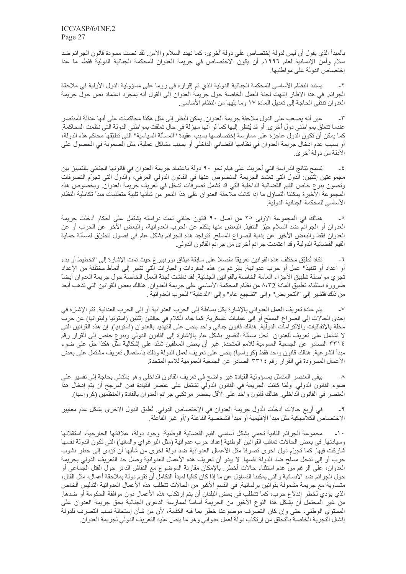بالمبدأ الذي يقول أن ليس لدولة إختصاص على دولة أخرى، كما تهدد السلام والأمن لقد نصت مسودة قانون الجرائم ضد سلام وأمن الإنسانية لعام ١٩٩٦م أن يكون الاختصاص في جريمة العدوان للمحكمة الجنائية الدولية فقط، ما عدا إختصاص الدولة على مواطنيها.

يستند النظام الأساسي للمحكمة الجنائية الدولية الذي تم إقراره في روما على مسؤولية الدول الأولية في ملاحقة  $-\tau$ الجرائم. في هذا الاطار إنتهت لجنة العمل الخاصة حول جريمة العدوان إلى القول أنه بمجرد اعتماد نص حول جريمة العدوان تنتفي الحاجة إلى تعديل المادة ١٧ وما يليها من النظام الأساسي.

غير أنه يصعب على الدول ملاحقة جريمة العدوان. يمكن النظر إلى مثل هكذا محاكمات على أنها عدالة المنتصر  $-\tau$ عندما تتعلَّق بمواطني دول أخرى ٍ أو قد يُنظر إليها كما لو أنها مهزلة في حال تعلَّقت بمواطني الدولة التي نظمت المحاكمة ِ كما يمكن أن تكون الدول عاجزة على ممارسة إختصاصها بسبب عقيدة "المسألة السياسية" التي تطبّقها محاكم هذه الدولة، أو بسبب عدم ادخال جريمة العدوان في نظامها القضائي الداخلي أو بسبب مشاكل عملية، مثل الصعوبة في الحصول على الأدلة من دولة أخر ي.

تسمح نتائج الدراسة التي أجريت على قيام نحو ٩٠ دولة باعتماد جريمة العدوان في قانونها الجنائي بالتمييز بين  $-\xi$ مجموعتين اِثنتين: الدول التي تعتمد الجريمة المنصوص عنها في القانون الدولي العرفي، والدول التي تجرّم التصرفات وتصون بنوع خاص القيم القضائية الداخلية التي قد تشمل تصرفات تدخل في تعريف جريمة العدوان وبخصوص هذه المجموعة الأخيرة يمكننا التساؤل ما إذا كانت ملاحقة العدوان على هذا النحو من شأنها تلبية متطلبات مبدأ تكاملية النظام الأساسي للمحكمة الجنائية الدولية

هنالك في المجموعة الاولى ٢٥ من أصل ٩٠ قانون جنائي تمت دراسته يشتمل على أحكام أدخلت جريمة  $\overline{\phantom{a}}$ العدوان أو الجرائم ضد السلام حيّز التنفيذ ِ البعض منها يتكلّم عن الحرب العدوانية، والبعض الاخر عن الحرب أو عن العدوان فقط والبعض الأخير عن بداية الصراع المسلح ِ نتواجد هذه الجرائم بشكل عام في فصول نتطرَّق لمسألة حماية القيم القضائية الدولية وقد اعتمدت جر ائم أخرى من جر ائم القانون الدولي.

تكاد تُطبّق مختلف هذه القوانين تعريقًا مفصلاً على سابقة ميثاق نورنبيرغ حيث تمت الإشارة إلى "تخطيط أو بدء  $-7$ أو اعداد أو تنفيذ" عمل أو حرب عدوانية. بالرغم من هذه المفردات والعبارات التي تشير إلى أنماط مختلفة من الإعداد تجري مواصلة تطبيق الأجزاء العامة الخاصة بالقوانين الجنائية. لقد ناقشت لجنة العمل الخاصة حول جريمة العدوان أيضاً ضرورة استثناء تطبيق المادة 72،8 من نظام المحكمة الأساسي على جريمة العدوان. هنالك بعض القوانين التي تذهب أبعد من ذلك فتُشير إلى "التحريض" وإلى "تشجيع عام" وإلى "الدعاية" للحرب العدوانية .

يتم عادة تعريف العمل العدواني بالإشارة بكل بساطة إلى الحرب العدوانية أو إلى الحرب العدائية. تتم الإشارة في  $-V$ إحدى الحالات إلى الصراع المسلح أو إلى عمليات عسكرية. كما جاء الكلام في حالتين إثنتين (استونيا وليتوانيا) عن حرب مخلَّة بالإتفاقيات والإلتزامات الدولية. هنالك قانون جنائي واحد ينص على التهديد بالعدوان (استونيا). إن هذه القوانين التي لا تشتمل على تعريف للعدوان تـحل مسألة التفسير بشكل عام بالإشارة إلى القانون الدولمي وبنوع خاص إلى القرار رقم ٢٣١٤ الصادر عن الجمعية العمومية للامم المتحدة. غير أن بعض المعلقين شدّد على إشكالية مثل هكذا حل على ضوء مبدأ الشرعية. هنالك قانون واحد فقط (كرواسيا) ينص على تعريف لعمل الدولة وذلك باستعمال تعريف مشتمل على بعض الأعمال المسرودة في القرار رقم ٢٣١٤ الصادر عن الجمعية العمومية للامم المتحدة.

يبقى العنصر المتمثل بمسؤولية القيادة غير واضح في تعريف القانون الداخلي وهو بالتالي بحاجة إلى تفسير على  $-\lambda$ ضوء القانون الدولي ولمّا كانت الجريمة في القانون الدولي تشتمل على عنصر القيادة فمن المرجح أن يتم إدخال هذا العنصر في القانون الداخلي. هنالك قانون واحد على الأقل يحصر مرتكبي جرائم العدوان بالقادة والمنظمين (كرواسيا).

في أربع حالات أدخلت الدول جريمة العدوان في الإختصاص الدولي. تُطبق الدول الاخرى بشكل عام معايير -9 الاختصاص الكلاسيكية مثل مبدأ الإقليمية أو مبدأ الشخصية الفاعلة و/أو غير الفاعلة ِ

مجموعة الجرائم الثانية تحمى بشكل أساسي القيم القضائية الوطنية: وجود دولة، علاقاتها الخارجية، استقلالها  $-1$ وسيادتها. في بعض الحالات تعاقب القوانين الوطنية إعداد حرب عدوانية (مثل البر غواي والمانيا) التي تكون الدولة نفسها شاركت فيها٬ كما تجرّم دول اخر ي تصرفاً مثل الأعمال العدوانية ضد دولة اخرى من شأنها أن تؤدى إلى خطر نشوب حرب أو إلى تدخل مسلح ضد الدولة نفسها ٍ لا يبدو أن تعريف هذه الأعمال العدوانية وصل حد التعريف الدولي بجريمة العدوان، على الرغم من عدم استثناء حالات أخطر٬ بالإمكان مقارنة الموضوع مع النقاش الدائر حول القتل الجماعي أو حول الجرائم ضد الانسانية والتي يمكننا التساؤل عن ما إذا كان كافياً لمبدأ التكامل أن تقوم دولة بملاحقة أعمال، مثل القتل، متساوية مع جريمة مشمولة بقوانين برلمانية. في القسم الأكبر من الحالات تتطلَّب هذه الأعمال العدوانية التدليس الخاص الذي يؤدي لخطر إندلاع حرب، كما تتطلب في بعض البلدان أن يتم إرتكاب هذه الأعمال دون موافقة الحكومة أو ضدها ِ من غير المحتمل أن يشكل هذا النوع الأخير من الجريمة أساساً لممارسة الدعوى الجنائية بحق جريمة العدوان على المستوي الوطني، حتى وإن كان التصرف موضوعنا خطر بما فيه الكفاية، لأن من شأن إستحالة نسب التصرف للدولة إفشال التجربة الخاصة بالتحقق من إرتكاب دولة لعمل عدواني وهو ما ينص عليه التعريف الدولي لجريمة العدوان.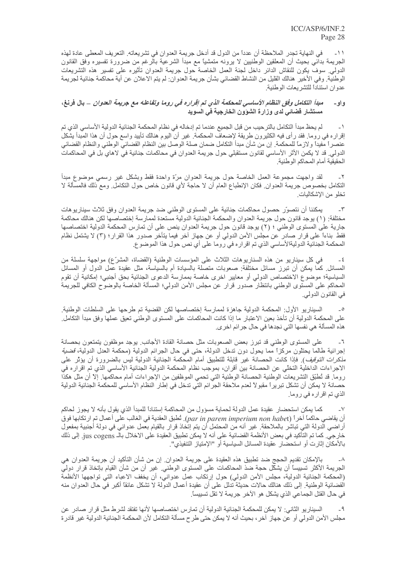في النهاية تجدر الملاحظة أن عددًا من الدول قد أدخل جريمة العدوان في تشريعاته. التعريف المعطى عادة لهذه  $-11$ الْجريمة بدائـي بـحيث أن المعلقين الوطنيين لا يرونـه متمشيًا مـع مبدأ الشرعية بالرغم من ضـرورة تفسيره وفق القانون الدولي. سوف يكون للنقاش الدائر داخل لجنة العمل الخاصة حول جريمة العدوان تأثيره على تفسير هذه التشريعات الوطنية. وفي الأخير هنالك القليل من النشاط القضائي بشأن جريمة العدوان: لم يتم الاعلان عن أية محاكمة جنائية لجريمة عدوان استناداً للتشريعات الوطنية.

### مبدأ التكامل وفق النظام الأساسي للمحكمة الذي تم إقراره في روما وتفاعله مع جريمة العدوان \_ بال فرنغ، و او ۔ مستشار قضائي لدى وزارة الشؤون الخارجية في السويد

لم يحظ مبدأ النكامل بالنر حيب من قبل الجميع عندما تم إدخاله في نظام المحكمة الجنائية الدولية الأساسي الذي تم  $\rightarrow$ إقراره في روما. فقد رأى فيه الكثيرون طريقة لإضعاف المحكمة. غير أن اليوم هنالك تأييد واسع حول أن هذا المبدأ يشكل عنصراً مفيداً و لازماً للمحكمة. إن من شأن مبدأ التكامل ضمان صلة الوصل بين النظام القضائي الوطني والنظام القضائي الدولي. قد لا يكمن الأثر الأساسي لقانون مستقبلي حول جريمة العدوان في محاكمات جنائية في لاهاي بل في المحاكمات الحقيقية أمام المحاكم الوطنية

لَّقد واجهت مجموعة العمل الخاصة حول جريمة العدوان مرَّة واحدة فقط وبشكل غير رسمي موضوع مبدأ  $-\tau$ التكامل بخصوص جريمة العدوان فكان الإنطباع العام أن لا حاجة لأي قانون خاص حول التكامل ومع ذلك فالمسألة لا تخلو من الإشكاليات.

يمكننا أن نتصوَّر حصول محاكمات جنائية على المستوى الوطني ضد جريمة العدوان وفق ثلاث سيناريوهات  $-\tau$ مختلفة: (١) يوجد قانون حول جريمة العدوان والمحكمة الجنائية الدولية مستعدة لممارسة إختصاصها لكن هنالك محاكمة جارية على المستوى الوطني ؛ (٢) يوجد قانون حول جريمة العدوان ينص على أن تمارس المحكمة الدولية اختصاصها فقط بناءاً على قرار صادر عن مجلس الأمن الدولي أو عن جهاز آخر فيما يتأخر صدور هذا القرار؛ (٣) لا يشتمل نظام المحكمة الجنائية الدوليةالأساسي الذي تم اقرار ه في روما على أي نص حول هذا الموضوع.

في كل سيناريو من هذه السناريوهات الثلاث على المؤسسات الوطنية (القضاة، المشرّع) مواجهة سلسلة من  $-\xi$ المسائل كمَّا يمكن أن تبرز مسائل مختلفة: صعوبات متصلة بالسيادة أم بالسياسة، مثل عقيدة عَمَّل الدول أو المسائل السياسية؛ موضوع الاختصاص الدولي أو معايير اخرى خاصة بممارسة الدعوى الجنائية بحق أجنبي؛ إمكانية أن تقوم المحاكم على المستوى الوطني بانتظار صدور قرار عن مجلس الأمن الدولي؛ المسألة الخاصة بالوضوح الكافي للجريمة في القانون الدولي.

السيناريو الأول: المحكمة الدولية جاهزة لممارسة إختصاصها لكن القضية تم طرحها على السلطات الوطنية. على المحكمة الدولية أن تأخذ بعين الاعتبار ما إذا كانت المحاكمات على المستوى الوطني تعيق عملها وفق مبدأ التكامل هذه المسألة هي نفسها التي نجدها في حال جر ائم اخر ي.

على المستوى الوطني قد تبرز بعض الصعوبات مثل حصانة القادة الأجانب يوجد موظفون يتمتعون بحصانة  $-7$ إجرائية طالما يحتلون مركزاً مما يحول دون تدخل الدولة، حتى في حال الجرائم الدولية (محكمة العدل الدولية، قضي*ة مذكرات التوقيف*)<sub>.</sub> فإذا كانت الحصانة غير قابلة للتطبيق أمام المحكمة الجنائية الدولية ليس بالضرورة أن يؤثر على الاجراءات الداخلية التخلّي عن الحصانة بين أقران، بموجب نظام المحكمة الدولية الجنائية الأساسي الذي تم اقراره في روما. قد تُطبّق التشريعات الوطنية الحصانة الوطنية التي تحمي الموظفين من الإجراءات أمام محاكمها. إلاّ أن مثل هكذا حصانة لا يمكن أن تشكل تبريراً مقبولاً لعدم ملاحقة الجرائم التي تدخل في إطار النظام الأساسي للمحكمة الجنائية الدولية الذي تم اقرار ه في روما.

كما يمكن استحضار عقيدة عمل الدولة لحماية مسؤول من المحاكمة إستناداً للمبدأ الذي يقول بأنه لا يجوز لحاكم  $\mathsf{V}$ ان يقاضـي حاكمـًا اخرـاً (par in parem imperium non habet). نُطبق العقدية في الغالب على اعمال نم ارتكابها فوق أراضـي الدولة التـي تباشر بالملاحقة ِ غير أنه من المحتمل أن يتم إتخاذ قرار بالقيام بعمل عدوانـي في دولة أجنبية بمفعول خارجي. كما تم التأكيد في بعض الأنظمة القضائية على أنه لا يمكن تطبيق العقيدة على الاخلال بالـ jus cogens. إلى ذلك بالأمكان إثار ت أو استحضار عقيدة المسائل السياسية أو "الإمتياز التنفيذي".

بالإمكان تقديم الحجج ضد تطبيق هذه العقيدة على جريمة العدوان. إن من شأن التأكيد أن جريمة العدوان هي  $-\lambda$ الجريمة الأكثر تسبيساً أن يشكّل حجة ضذ المحاكمات على المستوى الوطني. غير أن من شأن القيام بإتخاذ قرار دولي (المحكمة الجنائية الدولية، مجلس الأمن الدولي) حول إرتكاب عمل عدواني، أن يخفف الاعباء التي تواجهها الأنظمة القضائية الوطنية<sub>.</sub> إلى ذلك هنالك حالات حديثة تدلل على أن عقيدة أعمال الدولة لا تشكل عائقاً أكبر في حال العدوان منه في حال القتل الجماعي الذي يشكل هو الآخر جريمة لا تقل تسبيساً.

السيناريو الثاني: لا يمكن للمحكمة الجنائية الدولية أن تمارس اختصاصها لأنها تفتقد لشرط مثل قرار صادر عن  $-9$ مجلس الأمن الدولي أو عن جهاز آخر ، بحيث أنه لا يمكن حتى طرح مسألة التكامل لأن المحكمة الجنائية الدولية غير قادرة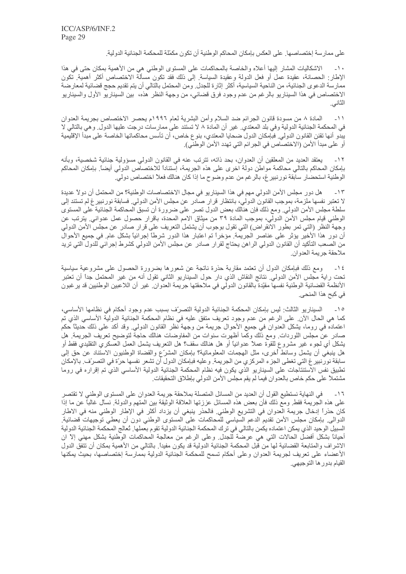على ممار سة إختصـاصـها. على العكس بإمكان المحاكم الوطنية أن تكون مكمّلة للمحكمة الجنائية الدولية.

الاشكاليات المشار إليها أعلاه والخاصة بالمحاكمات على المستوى الوطني هي من الأهمية بمكان حتى في هذا  $\mathbf{L}$  )  $\mathbf{A}$ الإطار: الحصانة، عقيدة عمل أو فعل الدولة وعقيدة السياسة. إلى ذلك فقد تكون مسألة الاختصاص أكثر أهمية. تكون ممارسة الدعوى الجنائية، من الناحية السياسية، أكثر إثارة للجدل ٍ ومن المحتمل بالتالي أن يتم تقديم حجج قضائية لمعارضة الاختصـاص في هذا السينـاريو بـالرغم من عدم وجود فرق قضـائي، من وجهة النظر هذه، بين السينـاريو الأول والسينـاريو الثاني.

المادة ٨ من مسودة قانون الجرائم ضد السلام وأمن البشرية لعام ١٩٩٦م يحصر الاختصاص بجريمة العدوان  $-11$ في المحكمة الجنائية الدولية وفي بلد المعتدي٬ غير أن المادة ٨ لا تستند على ممارسات درجت عليها الدول٬ وهي بالتالي لا يبدّو أنها تقنن القانون الدولي. فبإمكان الدول ضحايا المعتدي، بنوع خاص، أن تأسس محاكماتها الخاصة على مبدأ الإقليمية أو على مبدأ الأمن (الاختصاص في الجر ائم التي تهدد الأمن الوطني).

يعتقد العديد من المعلقين أن العدوان، بحد ذاته، تترتب عنه في القانون الدولي مسؤولية جنائية شخصية، وبأنه  $-11$ بإمكان المحاكم بالتالي محاكمة مواطن دولة اخرى على هذه الجريمة، إستناداً للاختصاص الدولي أيضاً. بإمكان المحاكم الوطنية استحضار سابقة نورنبير غ، بالرغم من عدم وضوح ما إذا كان هنالك فعلأ اختصاص دولي.

هل دور مجلس الأمن الدولي مهم في هذا السيناريو في مجال الاختصاصات الوطنية؟ من المحتمل أن دو لأ عديدة  $-15$ لا تعتبر نفسها ملزمة، بموجب القانون الدولي، بانتظار قرار صادر عن مجلس الأمن الدولي ِ فسابقة نورنبير غ لم تستند إلى سلطة مجلس الأمن الدولي<sub>.</sub> ومع ذلك فإن هنالك بعض الدول تصر على ضرورة أن تسبق المحاكمة الجنائية على المستوى الوطني قيام مجلس الأمن الدولي، بموجب المادة ٣٩ من ميثاق الامم المحدة، باقرار حصول عمل عدواني ِ يترتب عن وجهة النظر (التي تمر بطور الانقراض) التي تقول بوجوب أن يشتمل التعريف على قرار صادر عن مجلس الأمن الدولي أن دور هذا الأخير يؤثر على عناصر الجريمة. مؤخراً تم اعتبار هذا الدور شرطاً إجرائياً بشكل عام. في جميع الأحوال من الصـعب النّاكيد أن القانون الدولي الراهن يحتاج لقرار صـادر عن مجلس الأمن الدولي كشرط إجرائي للدول التي تريد ملاحقة جر يمة العدوان

١٤- ومع ذلك فبإمكان الدول أن نعتمد مقاربة حذرة ناتجة عن شعورها بضرورة الحصول على مشروعية سياسية تحت راية مجلس الأمن الدولي. نتائج النقاش الذي دار حول السيناريو الثاني تقول أنه من غير المحتمل جداً أن تعتبر الأنظمة القضائية الوطنية نفسها مقيّدة بالقانون الدولي في ملاحقتها جريمة العدوان ِ غير أن اللاعبين الوطنيين قد ير غبون في كبح هذا المنحي.

السيناريو الثالث: ليس بإمكان المحكمة الجنائية الدولية التصرّف بسبب عدم وجود أحكام في نظامها الأساسي،  $-10$ كما هي الحال الآن. على الرغم من عدم وجود تعريف متفق عليه في نظام المحكمة الجنائية الدولية الأساسي الذي تم اعتماده في روما، يشكل العدوان في جميع الأحوال جريمة من وجهة نظر القانون الدولي. وقد أكد على ذلك حديثًا حكم صادر عنَّ مجلس اللوردات ومع ذلك وكما أظهرت سنوات من المفاوضات هنالك حاجة لتوضيح تعريف الجريمة هل يشكل أي لجوء غير مشروع للقوة عملاً عدوانياً أو هل هنالك سقف؟ هل التعريف يشمل العمل العسكري التقليدي فقط أو هل ينبغي أن يشمل وسائط أخرى، مثل المهجمات المعلوماتية؟ بـإمكان المشرّع والقضاة الوطنيون الاستناد عن حق إلى سابقة نورنبير غ التي تغطي الجزء المركزي من الجريمة. وعليه فبإمكان الدول أن تشعر نفسها حرّة في التصرّف. بالإمكان تطبيق نفس الآستنتآجات على السيناريو الذي يكون فيه نظام المحكمة الجنائية الدولية الأساسي الذي تم إقراره في روما مشتملاً على حكم خاص بالعدوان فيما لم يقم مجلس الأمن الدولي بإطلاق التحقيقات ِ

في النهاية نستطيع القول أن العديد من المسائل المتصلة بملاحقة جريمة العدوان على المستوى الوطني لا تقتصر  $-17$ على هذه الجريمة فقط ومع ذلك فأن بعض هذه المسائل عززتها العلاقة الوثيقة بين المتهم والدولة ِ نسأل غالبًا عن ما إذا كان حذراً إدخال جريمة العدوان في التشريع الوطني. فالحذر ينبغي أن يزداد أكثر في الإطار الوطني منه في الاطار الدوالي ِ بإمكان مجلس الأمن تقديم الدعم السياسي للمحاكمات على المستوى الوطني دون أن يعطي توجيهات قضائية ِ السبيل الوحيد الذي يمكن اعتماده يكمن بالتالي في ترك المحكمة الجنائية الدولية تقوم بعملها. تُعالج المحكمة الجنائية الدولية أحياناً بشكل أفضل الحالات التي هي عرضة للجدل. وعلى الرغم من معالجة المحاكمات الوطنية بشكل مهنى إلا ان الاشراف والمتابعة القضائية لها من قبل المحكمة الجنائية الدولية قد يكون مفيدًا ِ بالتالي من الأهمية بمكان أن تتفق الدول الأعضاء على تعريف لجريمة العدوان وعلى أحكام تسمح للمحكمة الجنائية الدولية بممارسة إختصاصها، بحيث يمكنها القيام بدور ها التوجيهي.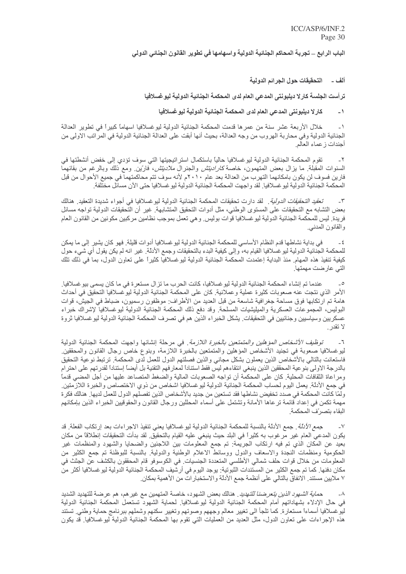الباب الرابع \_ تجربة المحاكم الجنائية الدولية واسهامها في تطوير القانون الجنائي الدولي

ألف \_ التحقيقات حول الجرائم الدولية

ترأست الجلسة كارلا ديلبونتي المدعى العام لدى المحكمة الجنائية الدولية ليو غسلافيا

كارلا ديلبونتي المدعى العام لدى المحكمة الجنائية الدولية ليوغسلافيا  $\overline{\phantom{0}}$ 

خلال الأربعة عشر سنة من عمرها قدمت المحكمة الجنائية الدولية ليوغسلافيا اسهاماً كبيراً في تطوير العدالة  $\overline{\phantom{0}}$ الجنائية الدولية وفي محاربة الهروب من وجه العدالة، بحيث أنها أبقت على العدالة الجنائية الدولية في المراتب الاولى من أجندات ز عماء العالم

تقوم المحكمة الجنائية الدولية ليوغسلافيا حالياً باستكمال استراتيجيتها التي سوف تؤدي إلى خفض أنشطتها في  $-\tau$ السنوات المقبلة ما يزال بعض المتهمون، خاصة *كاراديتش* والجنرال *ملاديتش،* فارّين ومع ذلك وبالرغم من بقائهما فارين فسوف لن يكون بامكانهما التهرب من العدالة بعد عام ٢٠١٠م لأنه سوف تتم محاكمتهما في جميع الأحوال من قبل المحكمة الجنائية الدولية ليو غسلافيا. لقد واجهت المحكمة الجنائية الدولية ليو غسلافيا حتى الآن مسائل مختلفة.

تعق*يد التحقيقات الدولية* فقد دارت تحقيقات المحكمة الجنائية الدولية ليوغسلافيا في أجواء شديدة التعقيد فمنالك  $-\tau$ بعض التشابه مع التحقيقات على المستوى الوطني، مثل أدوات التحقيق المتشابهة. غير أن التحقيقات الدولية تواجه مسائل فريدة. ليس للمحكمة الجنائية الدولية ليوغسلافيا قوات بوليس وهي تعمل بموجب نظامين مركبين مكونين من القانون العام والقانون المدني<sub>.</sub>

في بداية نشاطها قدم النظام الأساسي للمحكمة الجنائية الدولية ليو غسلافيا أدو ات قليلة ٍ فهو كان يشير ِ إلى ما يمكن  $-\xi$ للمحكمة الجنائية الدولية ليوغسلافيا القيام به، وإلى كيفية البدء بالتحقيقات وجمع الأدلة. غير انه لم يكن يقول أي شيء حول كيفية تنفيذ هذه الممهام منذ البداية إعتمدت المحكمة الجنائية الدولية ليوغسلافيا كثيراً على تعاون الدول، بما في ذلك تلك التي عارضت مهمتها.

عندما تم إنشاء المحكمة الجنائية الدولية ليو غسلافيا، كانت الحرب ما تزال مستعرة في ما كان يسمى بيو غسلافيا ِ  $\overline{\phantom{a}}$ الأمر الذي نتجت عنه صعوبات كثيرة عملية وعملانية. كان على المحكمة الجنائية الدولية ليوغسلافيا التحقيق في أحداث هامة تم ارتكابها فوق مساحة جغرافية شاسعة من قبل العديد من الأطراف: موظفون رسميون، ضباط في الجيش، قوات البوليس، المجموعات العسكرية والميليشيات المسلحة وقد دفع ذلك المحكمة الجنائية الدولية ليوغسلافيا لإشراك خبراء عسكريين وسياسيين وجنائيين في التحقيقات. يشكل الخبر اء الذين هم في تصرف المحكمة الجنائية الدولية ليو غسلافيا ثروة لا تقدر

*توظيف الأشخاص المؤهلين والمتمتعين بالخبرة اللازمة*. في مرحلة إنشائها واجهت المحكمة الجنائية الدولية  $\mathcal{L}$ ليوغسلافيا صعوبة في تجنيد الأشخاص المؤهلين والمتمتعين بالخبرة اللازمة، وبنوع خاص رجال القانون والمحققين فاستعانت بالتالي بالأشخاص الذين يعملون بشكل مجاني والذين فصلتهم الدول للعمل لدى المحكمة. ترتبط نوعية التحقيق بالدرجة الاولى بنوعية المحققين الذين ينبغي انتقاءهم ليس فقط استنادأ لمعار فهم التقنية بل أيضاً إستناداً لقدرتهم على احترام ومراعاة الثقافات المحلية ٍ كان على المحكمة أن تواجه الصعوبات المالية والضغط المتصاعد عليها من أجل المضي قدماً في جمع الأدلة. يعمل اليوم لحساب المحكمة الجنائية الدولية ليوغسلافيا اشخاص من ذوي الاختصاص والخبرة اللازمتين. ولمّا كانت المحكمة في صدد تخفيض نشاطها فقد تستعين من جديد بالأشخاص الذين تفصلهم الدول للعمل لديها٬ هنالك فكرة مهمة نكمن في إعداد قائمة نر عاها الأمانة وتشتمل على أسماء المحللين ورجال القانون والحقوقيين الخبراء الذين بإمكانهم البقاء بتصرّف المحكمة

*جمع الأدلة* . جمع الأدلة بالنسبة للمحكمة الجنائية الدولية ليو غسلافيا يعني تنفيذ الاجر اءات بعد إرتكاب الفعلة قد يكون المدعى العام غير مرغوب به كثيراً في البلد حيث ينبغي عليه القيام بالتحقيق لقد بدأت التحقيقات إنطلاقاً من مكان بعيد عن المكان الذي تم فيه ارتكاب الجريمة: تم جمع المعلومات بين اللاجئين والضحايا والشهود والمنظمات غير الحكومية ومنظمات النجدة والاسعاف والدول ووسائط الاعلام الوطنية والدولية بالنسبة للبوظنة تم جمع الكثير من المعلومات من خلال قوات حلف شمالي الأطلسي المتعددة الجنسيات في الكوسوفو قام المحققون بالكشف عن الجثث في مكان دفنها. كما تم جمع الكثير من المستندات الثبوتية: يوجد اليوم في أرشيف المحكمة الجنائية الدولية ليوغسلافيا أكثر من ٧ ملايين مستند. الانفاق بالتالي على أنظمة جمع الأدلة والاستخبار ات من الأهمية بمكان.

ح*ماية الشهود الذين يتعرضنا للتهديد*. هنالك بعض الشهود، خاصة المتهمين مع غير هم، هم عرضة للتهديد الشديد  $-\lambda$ في حال الإدلاء بشهاداتهم أمام المحكمة الجنائية الدولية ليوغسلافيا. لحماية الشهود تستعمل المحكمة الجنائية الدولية ليو غسلافيا أسماءاً مستعارة كما تلجأ الى تغيير معالم وجههم وصوتهم وتغيير سكنهم وشملهم ببرنامج حماية وطني تستند هذه الإجراءات على تعاون الدول، مثل العديد من العمليات التبي تقوم بها المحكمة الجنائية الدولية ليوغسلافيا<sub>.</sub> قد يكون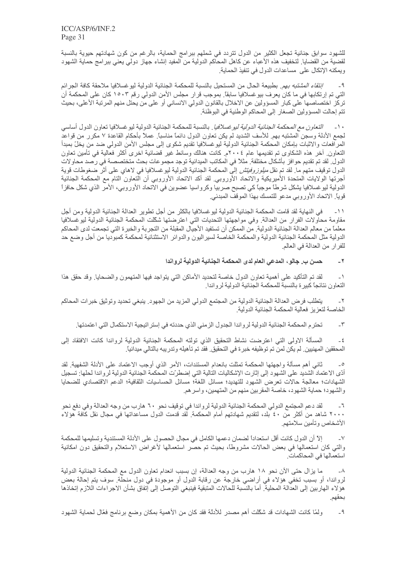للشهود سوابق جنائية تجعل الكثير من الدول تتردد في شملهم ببرامج الحماية، بالرغم من كون شهادتهم حيوية بالنسبة لقضية من القضايا لتخفيف هذه الأعباء عن كاهل المحاكم الدولية من المفيد إنشاء جهاز دولي يعني ببرامج حماية الشهود ويمكنه الإتكال على مساعدات الدول في تنفيذ الحماية.

*إنتقاء المشتبه بهم*. بطبيعة الحال من المستحيل بالنسبة للمحكمة الجنائية الدولية ليو غسلافيا ملاحقة كافة الجرائم  $-9$ التي تم إرتكابها في ما كان يعرف بيوغسلافيا سابقاً. بموجب قرار مجلس الأمن الدولي رقم ١٥٠٣ كان على المحكمة أن تركز اختصاصها على كبار المسؤولين عن الاخلال بالقانون الدولي الانساني أو على من يحتل منهم المرتبة الأعلى، بحيث تتم إحالت المسؤولين الصغار إلى المحاكم الوطنية في البوظنة.

*التعاون مع المحكمة الجنائية الدولية ليوغسلافيا* ِ بالنسبة للمحكمة الجنائية الدولية ليوغسلافيا تعاون الدول أساسي  $-1$ لجمع الأدلة وسجن المشتبه بهم ِ للأسف الشديد لم يكن تعاون الدول دائمًا مناسبًا ِ عملاً بأحكام القاعدة ٧ مكرر من قواعد المرافعات والاثبات بإمكان المحكمة الجنائية الدولية ليوغسلافيا تقديم شكوى إلى مجلس الأمن الدولمي ضد من يخلّ بمبدأ النعاون ِ أخر هذه الشكاوي تم تقديمها عام ٢٠٠٤م. كانت هنالك وسائط غير قضائية اخرى أكثر فعالية في تأمين تعاون الدول ِ لقد تم تقديم حو افز بأشكال مختلفة مثلاً في المكاتب الميدانية توجد مجموعات بحث متختصصة في ر صد محاو لات الدول توقيف متهم ما<sub>.</sub> لقد تم نقل *ميلوز وفيتش* إلى المحكمة الجنائية الدولية ليوغسلافيا في لاهاي على أثر ضغوطات قوية أجرتها الولايات المتحدة الأميريكية والاتحاد الأوروبي لقد أكد الاتحاد الأوروبي أن التعاون التام مع المحكمة الجنائية الدولية ليوغسلافيا يشكل شرطاً موجباً كي تصبح صربيا وكرواسيا عضوين في الاتحاد الأوروبي، الأمر الذي شكل حافزاً قوياً. الاتحاد الأوروبي مدعو للتمسك بهذا الموقف المبدئي.

في النهاية لقد قامت المحكمة الجنائية الدولية ليو غسلافيا بالكثر من أجل تطوير العدالة الجنائية الدولية ومن أجل  $-11$ مقاومة محاولات الفرار من العدالة. وفي مواجهتها التحديات التي اعترضتها شكّلت المحكمة الجنائية الدولية ليوغسلافيا معلماً من معالم العدالة الجنائية الدولية. من الممكن أن تستفيد الأجيال المقبلة من التجربة والخبرة التي تجمعت لدى المحاكم الدولية مثل المحكمة الجنائية الدولية والمحكمة الخاصة لسير اليون والدوائر الاستثنائية لمحكمة كمبوديا من أجل وضع حد للفرار من العدالة في العالم.

> حسن ب. جالو، المدعى العام لدى المحكمة الجنائية الدولية لرواندا  $-7$

لقد تم التأكيد على أهمية تعاون الدول خاصة لتحديد الأماكن التي يتواجد فيها المتهمون والضحايا. وقد حقق هذا  $-1$ التعاون نتائجا كبيرة بالنسبة للمحكمة الجنائية الدولية لرواندا

يتطلب فرض العدالة الجنائية الدولية من المجتمع الدولي المزيد من الجهود. ينبغي تحديد وتوثيق خبر ات المحاكم  $-\tau$ الخاصة لتعزيز فعالية المحكمة الجنائية الدولية

تحترم المحكمة الجنائية الدولية لرواندا الجدول الزمني الذي حددته في إستراتيجية الاستكمال التي اعتمدتها.  $-\tau$ 

المسألة الاولى التي اعترضت نشاط التحقيق الذي تولته المحكمة الجنائية الدولية لرواندا كانت الافتقاد إلى  $-\xi$ المحققين المهنيين ِ لم يكن لمن تم توظيفه خبر ة في التحقيق ِ فقد تم تأهيله وتدريبه بالتالي ميدانياً ِ

ثاني أهم مسألة واجهتها المحكمة تمثلت بانعدام المستندات، الأمر الذي أوجب الاعتماد على الأدلة الشفهية لقد  $\overline{\phantom{a}}^{\circ}$ أدّى الاعتماد الشديد على الشهود إلى إثارت الإشكاليات التالية التي إضطرّت المحكمة الجنائية الدولية لرواندا لحلها: تسجيل الشهادات؛ معالجة حالات تعرض الشهود للتهديد؛ مسائل اللغة؛ مسائل الحساسيات الثقافية؛ الدعم الاقتصادي للضحايا والشهود؛ حماية الشهود، خاصة المقربين منهم من المتهمين، واسر هم ِ

لقد دعم المجتمع الدولي المحكمة الجنائية الدولية لرواندا في توقيف نحو ٦٠ هارب من وجه العدالة وفي دفع نحو  $-7$ ٢٠٠٠ شاهد من أكثر من ٤٠ بلد، لتقديم شهادتهم أمام المحكمة. لقد قدمت الدول مساعداتها في مجال نقل كافة هو لاء الأشخاص وتأمين سلامتهم

إلاَّ أن الدول كانت أقل استعداداً لضمان دعمها الكامل في مجال الحصول على الأدلة المستندية وتسليمها للمحكمة  $-<sup>6</sup>$ والتي كان استعمالها في بعض الحالات مشروطًا، بحيث تم حصر استعمالها لأغراض الاستعلام والتحقيق دون امكانية استعمالها في المحاكمات.

ما يزال حتى الأن نحو ١٨ هارب من وجه العدالة، إن بسبب انعدام تعاون الدول مع المحكمة الجنائية الدولية  $-\lambda$ لرواندا، أو بسبب تخفي هؤلاء في أراضي خارجة عن رقابة الدول أو موجودة في دول منحلة ِ سوف يتم إحالة بعض هؤلاء الهاربين إلى العدالة المحلية ۖ أما بالنِّسبة للحالات المتبقية فينبغي التوصل إلى إتفاق بشأن الاجراءات اللازم إتخاذها بحقهم.

ولَّمَّا كانت الشهادات قد شكَّلت أهم مصدر للأدلَّة فقد كان من الأهمية بمكان وضع برنامج فعَّال لحماية الشهود  $-9$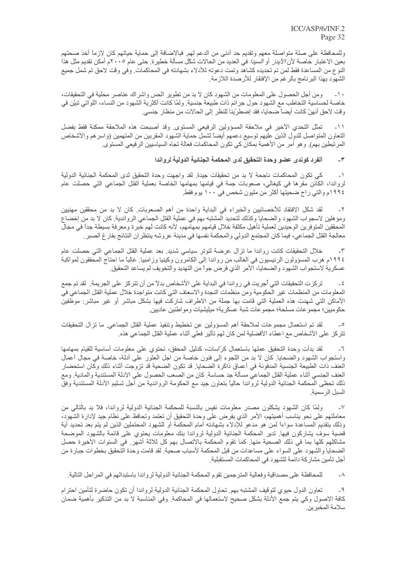وللمحافظة على صلة متواصلة معهم وتقديم حد أدنى من الدعم لهم. فبالاضافة إلى حماية حياتهم كان لازماً أخذ صحتهم بعين الاعتبار خاصة لأن *الأيدز* أو *السيدا* في العديد من الحالات شكّل مسألة خطيرة. حتى عام ٢٠٠٥م أمكن تقديم مثل هذا النوع من المساعدة فقط لمن تم تحديده كشاهد وتمت دعوته للأدلاء بشهادته في المحاكمات وفي وقت لاحق تم شمل جميع الشهود بهذا البر نامج بالر غم من الإفتقار للأرصدة اللاز مة

ومن أجل الحصول على المعلومات من الشهود كان لا بد من تطوير الحس واشراك عناصر محلية في التحقيقات،  $-1$ خاصة لحساسية التخاطب مع الشهود حول جرائم ذات طبيعة جنسية. ولمّا كانت أكثرية الشهود من النساء، اللواتي تبيّن في وقت لاحق أنهنّ كانت أيضاً صحايا، فقد إضطرّينا للنظر إلى الحالات من منظار جنسي.

تمثَّل التحدي الأخير في ملاحقة المسؤولين الرفيعي المستوى ٍ وقد أصبحت هذه الملاحقة ممكنة فقط بفضل  $-11$ النعاون المتواصل للدول الذين عليهم توسيع دعمهم أيضاً لشمل حماية الشهود المقربين من المتهمين (واسر هم والأشخاص المرتبطين بهم). وهو أمر من الأهمية بمكان كي تكون المحاكمات فعالة تجاه السياسيين الرفيعي المستوى.

> ألفر د كوندي عضو وحدة التحقيق لدى المحكمة الجنائية الدولية لرواندا  $-\tau$

كي تكون المحاكمات ناجحة لا بد من تحقيقات جيدة. لقد واجهت وحدة التحقيق لدى المحكمة الجنائية الدولية  $-1$ لرواندا، الكاَّنن مقرها في كيغالي، صعوبات جمة في قيامها بمهامها الخاصة بعملية القتل الجماعي التي حصلت عام ١٩٩٤م والتي راح ضحيتها أكثر من مليون شخص في ١٠٠ يوم فقط.

لقد شكل الافتقاد للأخصائيين والخبراء في البداية واحدة من أهم الصعوبات كان لا بد من محققين مهنيين ومؤهلين لاسجواب الشهود والضحايا وكذلك لتحديد المشتبه بهم في عملية القتل الجماعي الرواندية. كان لا بد من إخضاع المحققين المتوفرين الوحيدين لعملية تأهيل مكثفة خلال قيامهم بمهامهم، لأنه كانت لهم خبرة ومعرفة بسيطة جدأ في مجال معالجة القتل الجماعي، فيما كان المجتمع الدولي والمحكمة نفسها في مدينة عروشه ينتظران النتائج بفار غ الصبر ِ

خلال التحقيقات كانت رواندا ما تزال عرضة لتوتر سياسي شديد بعد عملية القتل الجماعي التي حصلت عام  $-\tau$ ١٩٩٤م هرب المسؤولون الرئيسيون في الغالب من رواندا إلى الكامرون وكينيا وزامبيا غالباً ما احتاج المحققون لمواكبة عسكرية لاستجواب الشهود والضحايا، الأمر الذي فرض جواً من التهديد والتخويف لم يساعد التحقيق ِ

تركزت التحقيقات التي أُجريت في رواندا في البداية على الأشخاص بدلاً من أن تتركز على الجريمة. لقد تم جمع  $-\xi$ المعلومات من المنظمات غير الحكومية ومن منظمات النجدة والاسعاف التي كانت متواجدة خلال عملية القتل الجماعي في الأماكن التي شهدت هذه العملية التي قامت بها جملة من الاطراف شاركت فيها بشكل مباشر أو غير مباشر: موظفين حكو ميين؛ مجمو عات مسلحة؛ مجمو عات شبة عسكر ية؛ ميليشيات و مو اطنين عاديين ِ

لقد تم استعمال مجموعات لملاحقة أهم المسؤولين عن تخطيط وتنفيذ عملية القتل الجماعي ما تزال التحقيقات  $\overline{\phantom{a}}$ تتركز على الأشخاص مع اعطاء الأفضلية لمن كان لهم تأثير فعلى أثناء عملية القتل الجماعي هذه.

لَّقد بدأت وحدة التحقيق عملها باستعمال كرَّاسات، كدليل المحقق، تحتوي على معلومات أساسية للقيام بمهامها  $-7$ واستجواب الشهود والضحايا. كان لا بد من اللجوء إلى فنون خاصة من اجل العثور على أدلة، خاصة في مجال أعمال العنف ذات الطبيعة الجنسية المدفونة في أعماق ذاكرة الضحايا٬ قد تكون الضحية قد تزوجت أثناء ذلك وكان استحضار العنف الجنسي أثناء عملية القتل الجماعي مسألة جد حساسة. كان من الصعب الحصول على الادلة المستندية والمادية. ومع ذلك نحظى المحكمة الجنائية الدولية لرواندا حالياً بتعاون جيد مع الحكومة الرواندية من أجل تسليم الأدلة المستندية وفق السبل الر سمبة

ولَّمَّا كان الشَّهود يشكلون مصدر معلومات نفيس بالنسبة للمحكمة الجنائية الدولية لرواندا، فلا بد بالتالي من  $-<sup>V</sup>$ معاملتهم على نحو يناسب أهميتهم، الأمر الذي يفرض على وحدة التحقيق أن تعتمد وتحافظ على نظام جيد لإدارة الشهود، وذلك بتقديم المساعدة سواءاً لمن هو مدعو للإدلاء بشهادته أمام المحكمة أو للشهود المحتملين الذين لم يتم بعد تحديد أية قضية سوف يشاركون فيها ِ تدير المحكمة الجنائية الدولية لرواندا بنك معلومات يحتوي على قائمة بالشهود الموضحة مشاكلهم كلها بما في ذلك الصحية منها. كما تقوم المحكمة بالاتصال بهم كل ثلاثة أشهر. في السنوات الأخيرة حصل الضحايا والشهود على السواء على مساعدات من قبل المحكمة لأسباب صحية. لقد قامت وحدة التحقيق بخطوات جبارة من أجل تأمين مشاركة دائمة للشهود في المحاكمات المستقبلية.

للمحافظة على مصداقية وفعالية المترجمين تقوم المحكمة الجنائية الدولية لر واندا باستبدالهم في المر احل التالية ِ  $-\lambda$ 

تعاون الدول حيوي لتوقيف المشتبه بهم تحاول المحكمة الجنائية الدولية لرواندا أن تكون حاضرة لتأمين احترام  $-9$ كافة الاصول وكي يتم جمع الأدلة بشكل صحيح لاستعمالها في المحاكمة. وفي المناسبة لا بد من التذكير بأهمية ضمان سلامة المخبرين.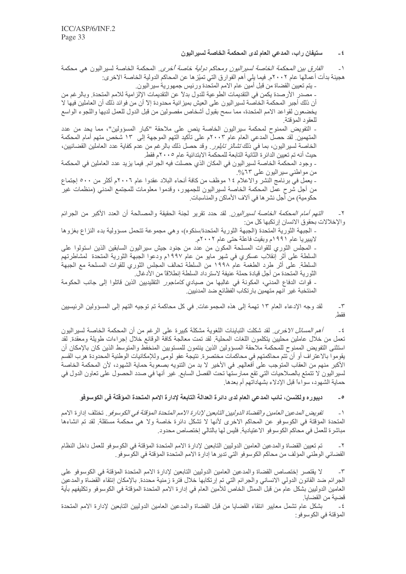### ستيفان راب، المدعى العام لدى المحكمة الخاصة لسيراليون  $-5$

*الفارق بين المحكمة الخاصة لسير اليون ومحاكم دولية خاصة أخرى.* المحكمة الخاصة لسير اليون هي محكمة  $\overline{a}$ هجينة بدأت أعمالها عام ٢٠٠٢م. فيما يلي أهم الفوارق التي تميِّز ها عن المحاكم الدولية الخاصة الاخر ي:

ـ يتم تعيين القضـاة من قبل أمين عام الامم المتحدة ورئيس جمهورية سير اليون.

ـ مصدر الأرصدة يكمن في التقديمات الطوعية للدول بدلاً عن التقديمات الإلزامية للامم المتحدة. وبالرغم من أن ذلك أجبر المحكمة الخاصـة لسير اليون على العيش بميز انية محدودة إلآ أن من فوائد ذلك أن العاملين فيها لا يخضعون لقواعد الامم المتحدة، مما سمح بقبول أشخاص مفصولين من قبل الدول للعمل لديها واللجوء الواسع للعقود المؤقتة

ـ التفويض الممنوح لمحكمة سيراليون الخاصة ينص على ملاحقة "كبار المسؤولين"، مما يحد من عدد المتهمين ِ لقد حصل المدعي العام عام ٢٠٠٣م على تأكيد التهم الموجهة إلى ١٣ شخص متهم أمام المحكمة الخاصة لسير اليون، بما في ذلك *تشالز تايلور* ٍ وقد حصل ذلك بالر غم من عدم كفاية عدد العاملين القضائيين، حيث أنه تم تعيين الدائر ة الثانية التابعة للمحكمة الابتدائية عام ٢٠٠٥م فقط.

- وجود المحكمة الخاصـة لسير اليون في المكان الذي حصلت فيه الجر ائم. فيما يزيد عدد العاملين في المحكمة من مواطني سيراليون على ٦٣%.

ـ يعمل في برنامج النشر والاعلام ١٤ موظف من كافة أنحاء البلاد عقدوا عام ٢٠٠٦م أكثر من ٥٠٠ إجتماع من أجل شرح عمل المحكمة الخاصة لسيراليون للجمهور، وقدموا معلومات للمجتمع المدني (منظمات غير حكومية) من أجل نشر ها في آلاف الأماكن والمناسبات.

*التهم أمام المحكمة الخاصة لسير اليون*. لقد حدد تقرير لجنة الحقيقة والمصالحة أن العدد الأكبر من الجرائم والإخلالات بحقوق الانسان إرتكبها كل من:

- الجبهة الثورية المتحدة (الجبهة الثورية المتحدة/سنكوه)، وهي مجموعة تتحمل مسؤولية بدء النزاع بغزوها لايبيريا عام ١٩٩١م وبقيت فاعلة حتى عام ٢٠٠٢م.

ـ المجلس الثوري للقوات المسلحة المكون من عدد من جنود جيش سير اليون السابقين الذين استولوا على السلطة على أثر إنقلاب عسكري في شهر مايو من عام ١٩٩٧م ودعوا الجبهة الثورية المتحدة لمشاطرتهم السلطة. على أثر طرد الطغمة عام ١٩٩٨ من السلطة تحالف المجلس الثوري للقوات المسلحة مع الجبهة الثورية المتحدة من أجل قيادة حملة عنيفة لاسترداد السلطة إنطلاقاً من الأدغال.

- قوات الدفاع المدني، المكونة في غالبها من صيادي *كاماجور* التقليديين الذين قاتلوا إلى جانب الحكومة المنتخبة غير انهم متهمين بارتكاب الفظائع ضد المدنيين

لقد وجه الإدعاء العام ١٣ تهمة إلى هذه المجموعات. في كل محاكمة تم توجيه التهم إلى المسؤولين الرئيسيين  $-\tau$ فقط

*أهم المسائل الاخرى.* لقد شكلت التباينات اللغوية مشكلة كبيرة على الرغم من أن المحكمة الخاصة لسير اليون  $-\xi$ تعمل من خلال عاملين محليين يتكلمون اللغات المحلية ٍ لقد تمت معالجة كافة الوقائع خلال إجراءات طويلة ومعقدة ٍ لقد استثنى التفويض الممنوح للمحكمة ملاحقة المسؤولين الذين ينتمون للمستويين المنخفط والمتوسط الذين كان بالإمكان أن يقوموا بالاعتراف أو أن تتم محاكمتهم في محاكمات مختصرة. نتيجة عفو لومي وللإمكانيات الوطنية المحدودة هرب القسم الأكبر منهم من العقاب المتوجب على أفعالهم في الأخير لا بد من التنويه بصعوبة حماية الشهود، لأن المحكمة الخاصة لسير اليون لا نتمتع بالصلاحيات التي تقع ممارستها تحت الفصل السابع. غير أنها في صدد الحصول على تعاون الدول في حماية الشهو د، سو اءاً قبل الإدلاء بشهاداتهم أم بعدها ِ

ديبوره ولكنسن، نـائب المدعي العام لدى دائرة العدالة التابعة لإدارة الامم المتحدة الموَقتة في الكوسوفو  $\overline{\phantom{a}}$ 

تفويض المدعين العامين والقضاة الدوليين التابعين لإدارة الامم المتحدة المؤقتة في الكوسوفو . تختلف إدار ة الامم  $-1$ المتحدة المؤقتة في الكوسوفو عن المحاكم الاخرى لأنها لا تشكل دائرة خاصة ولا هي محكمة مستقلة ٍ لقد تم انشاءها مباشرة للعمل في محاكم الكوسوفو الاعتيادية. فليس لها بالتالي إختصاص محدود.

تم تعيين القضاة والمدعين العامين الدوليين التابعين لإدارة الامم المتحدة المؤقتة في الكوسوفو للعمل داخل النظام  $-\tau$ القضـائي الوـطني المؤلف من مـحاكم الكوسوفو التي تدير ها إدار ة الامم المتحدة المؤقتة في الكوسوفو .

لا يقتصر إختصاص القضاة والمدعين العامين الدوليين التابعين لإدارة الامم المتحدة المؤقتة في الكوسوفو على  $-\tau$ الجرائم ضد القانون الدولي الانساني والجرائم التي تم إرتكابها خلال فترة زمنية محددة<sub>.</sub> بالإمكان إنتقاء القضاة والمدعين العامين الدوليين بشكل عام من قبل الممثل الخاص للأمين العام في إدارة الامم المتحدة المؤقتة في الكوسوفو وتكليفهم بأية قضبة من القضايا.

بشكل عام تشمل معايير انتقاء القضايا من قبل القضاة والمدعين العامين الدوليين التابعين لإدارة الامم المتحدة المؤقتة في الكوسوفو :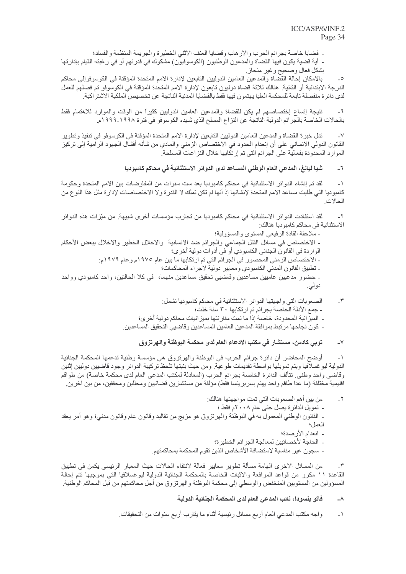$-\tau$ 

- قضايا خاصة بجرائم الحرب والار هاب وقضايا العنف الاثنى الخطيرة والجريمة المنظمة والفساد؛

- أية قضية يكون فيها القضاة والمدعون الوطنيون (الكوسوفيون) مشكوك في قدرتهم أو في رغبته القيام بإدارتها بشكل فعال وصحيح وغير منحاز ِ

بالامكان إحالة القضاة والمدعين العامين الدوليين التابعين لإدارة الامم المتحدة المؤقتة في الكوسوفوإلى محاكم  $\overline{\phantom{a}}$ الدرجة الابتدائية أو الثانية٬ هنالك ثلاثة قضاة دوليون تابعون لإدارة الامم المتحدة المؤقتة في الكوسوفو تم فصلهم للعمل لدى دائرة منفصلة تابعة للمحكمة العليا يهتمون فيها فقط بالقضايا المدنية الناتجة عن تخصيص الملكية الاشتر اكية ِ

نتيجة إتساع إختصاصهم لم يكن للقضاة والمدعين العامين الدوليين كثيراً من الوقت والموارد للاهتمام فقط  $-7$ بالحالات الخاصة بالجر ائم الدولية الناتجة عن النز اع المسلح الذي شهده الكوسوفو في فتر ة ١٩٩٨-١٩٩٩م.

تدل خبرة القضاة والمدعين العامين الدوليين التابعين لإدارة الامم المتحدة المؤقتة في الكوسوفو في تنفيذ وتطوير  $-<sup>1</sup>$ القانون الدولي الانساني على أن إنعدام الحدود في الاختصاص الزمني والمادي من شأنه أفشال الجهود الرامية إلى تركيز الموارد المحدودة بفعالية على الجرائم التي تم إرتكابها خلال النز اعات المسلحة.

### شيا ليانـغ، المدعى الـعام الوطني المساعد لدى الدوائر الاستثنـائيـة في محاكم كامبوديـا  $\mathcal{L}_{-}$

لقد تم إنشاء الدوائر الاستثنائية في محاكم كامبوديا بعد ست سنوات من المفاوضات بين الامم المتحدة وحكومة  $-1$ كامبوديا التي طلبت مساعد الامم المنحدة لإنشائها إذ أنها لم تكن تملك لا القدر ة و لا الاختصاصات لإدار ة مثل هذا النو ع من الحالات

لقد استفادت الدوائر الاستثنائية في محاكم كامبوديا من تجارب مؤسسات أخرى شبيهة. من ميّزات هذه الدوائر  $\mathbf{r}$ الاستثنائية في محاكم كامبوديا هنالك:

- ملاحقة القادة الرفيعي المستوى والمسؤولية؛ - الاختصاص في مسائل القتل الجماعي والجرائع ضد الانسانية والاخلال الخطير والاخلال ببعض الأحكام الواردة في القانون الجنائي الكامبودي أو في أدوات دولية أخرى؛ ـ الاختصاص الزمني المحصور في الجرائم التي تم ارتكابها ما بين عام ١٩٧٥م وعام ١٩٧٩م: ـ نطبيق القانون المدني الكامبودي ومعايير دولية لاجراء المحاكمات؛ - حضور مدعيين عاميين مساعدين وقاضيي تحقيق مساعدين منهما، في كلا الحالتين، واحد كامبودي وواحد دولي.

الصعوبات التي واجهتها الدوائر الاستثنائية في محاكم كامبوديا تشمل: - جمع الأدلة الخاصة بجرائم تم ارتكابها ٣٠ سنة خلت؛ - الميز انية المحدودة، خاصـة إذا ما تمت مقار نتها بميز انيات محاكم دولية أخر ي؛ - كون نجاحها مرتبط بموافقة المدعين العامين المساعدين وقاضيي التحقيق المساعدين

### توبي كادمن، مستشار في مكتب الادعاء العام لدى محكمة البوظنة والهرتزوق  $-<sup>1</sup>$

أوضح المحاضر أن دائرة جرائم الحرب في البوظنة والهرتزوق هي مؤسسة وطنية تدعمها المحكمة الجنائية  $\rightarrow$ الدولية ليوغسلافيا ويتم تمويلها بواسطة تقديمات طوعية ومن حيث بنيتها تلحظ تركيبة الدوائر وجود قاضيين دوليين إثنين وقاضي واحد وطني. تتألف الدائرة الخاصة بجرائم الحرب (المعادلة لمكتب المدعي العام لدى محكمة خاصة) من طواقم اقليمية مختلفة (ما عدا طاقم واحد يهتم بسربرينسا فقط) مؤلفة من مستشارين قضائيين ومحللين ومحققين، من بين أخرين ِ

- من بين أهم الصعو بات التي تمت مو اجهتها هنالك:  $-\tau$ - نمويل الدائر ة يصل حتى عام ٢٠٠٨م فقط ؛ - القانون الوطني المعمول به في البوظنة والهرتزوق هو مزيج من تقاليد وقانون عام وقانون مدنى؛ وهو أمر يعقد العمل؛ - انعدام الأرصدة؛
	- ـ الحاجة لأخصائيين لمعالجة الجرائم الخطيرة؛ - سجون غير مناسبة لاستضافة الأشخاص الذين تقوم المحكمة بمحاكمتهم.

من المسائل الاخرى المهامة مسألة تطوير معايير فعالة لانتقاء الحالات حيث المعيار الرئيسي يكمن في تطبيق  $\mathcal{N}$ القاعدة ١١ مكرر من قواعد المرافعة والاثبات الخاصة بالمحكمة الجنائية الدولية ليوغسلافيا التي بموجبها نتم إحالة المسؤولين من المستويين المنخفض والوسطى إلى محكمة البوظنة والهرتزوق من أجل محاكمتهم من قبل المحاكم الوطنية ِ

### فاتو بنسودا، نائب المدعى العام لدى المحكمة الجنائية الدولية  $-\lambda$

واجه مكتب المدعى العام أربع مسائل رئيسية أثناء ما يقارب أربع سنوات من التحقيقات ِ  $-1$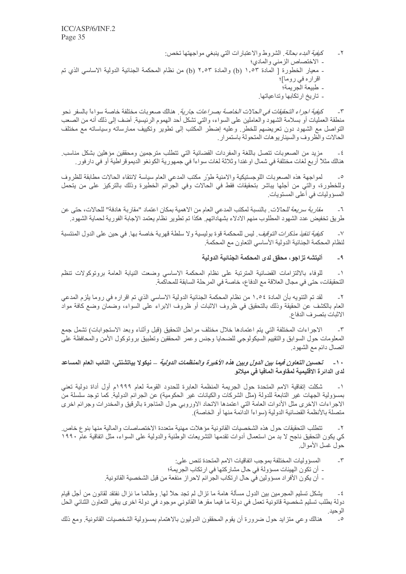كي*فية البدء بحالة*. الشروط والاعتبارات التي ينبغي مواجهتها تخص:  $-\tau$ - الاختصاص الزمني والمادي؛ - معيار الخطورة [ المادة ١,٥٣ (b) والمادة ٢,٥٣ (b) من نظام المحكمة الجنائية الدولية الاساسي الذي تم اقراره في روما]؛ - طبيعة الْجر بمة؛ - تاريخ ارتكابها وتداعياتها.

كي*فية اجراء التحقيقات في الحالات الخاصة بصر اعات جارية* . هنالك صعوبات مختلفة خاصة سواءاً بالسفر نحو  $-\tau$ منطقة العمليات أو بسلامة الشهود والعاملين على السواء، والتي تشكل أحد الهموم الرئيسية. أضف إلى ذلك أنه من الصعب النواصل مع الشهود دون تعريضهم للخطر ٍ وعليه إضطر المكتب إلى نطوير ونكييف ممارساته وسياساته مع مختلف الحالات والظروف والسيناريوهات المتحولة باستمرار

مزيد من الصعوبات نتصل باللغة والمفردات القضائية التي نتطلب مترجمين ومحققين مؤهلين بشكل مناسب  $-5$ هنالك مثلاً أربع لغات مختلفة في شمال او غندا وثلاثة لغات سواءاً في جمهورية الكونغو الديموقر اطية أو في دارفور ِ

لمواجهة هذه الصعوبات اللوجستيكية والامنية طوّر مكتب المدعى العام سياسة لانتقاء الحالات مطابقة للظروف  $\overline{\phantom{a}}$ وللخطورة، والتي من أجلها يباشر بتحقيقات فقط في الحالات وفي الجرائم الخطيرة وذلك بالتركيز على من يتحمل المسؤوليات في أعلى المستويات.

*مقاربة سريعة للحالات* . بالنسبة لمكتب المدعى العام من الاهمية بمكان اعتماد "مقاربة هادفة" للحالات، حتى عن  $-7$ طريق تخفيض عدد الشهود المطلوب منهم الادلاء بشهاداتهم. هكذا تم تطوير نظام يعتمد الإجابة الفورية لحماية الشهود.

ك*يفية تنفيذ مذكرات التوقيف* فيس للمحكمة قوة بوليسية ولا سلطة قهرية خاصة بها في حين على الدول المنتسبة  $-<sup>1</sup>$ لنظام المحكمة الجنائية الدولية الأساسي التعاون مع المحكمة

> أليتشه تزاجو، محقق لدى المحكمة الجنائية الدولية  $-9$

للوفاء بالالتزامات القضائية المترتبة على نظام المحكمة الاساسى وضعت النيابة العامة بروتوكولات تنظم  $-1$ التحقيقات، حتى في مجال العلاقة مع الدفاع، خاصة في المرحلة السابقة للمحاكمة.

لقد تم التنويه بأن المادة ١,٥٤ من نظام المحكمة الجنائية الدولية الاساسى الذي تم اقراره في روما يلزم المدعى  $\mathbf{r}$ العام بالكشف عن الحقيقة وذلك بالتحقيق في ظروف الاثبات أو ظروف الابراء على السواء، وضمان وضع كافة مواد الاثبات بتصرف الدفاع

الإجراءات المختلفة التي يتم اعتمادها خلال مختلف مراحل التحقيق (قبل وأثناء وبعد الاستجوابات) تشمل جمع  $-\tau$ المعلومات حول السوابق والتقييم السيكولوجي للضحايا وجنس وعمر المحققين وتطبيق بروتوكول الأمن والمحافظة على اتصال دائم مع الشهود.

## ١٠ - تح*سين التعاون فيما بين الدول وبين هذه الأخيرة والمنظمات الدولية ــ نيكو*لا بياتشنتي، النائب العام المساعد لدى الدائرة الاقليمية لمقاومة المافيا في ميلانو

شكلت إتفاقية الامم المتحدة حول الجريمة المنظمة العابرة للحدود القومة لعام ١٩٩٩م أول أداة دولية تعني  $-1$ بمسؤولية الجهات غير التابعة للدولة (مثل الشركات والكيانات غير الحكومية) عن الجرائم الدولية. كما توجد سلسلة من الاجراءات الاخرى مثل الأدوات العامة التي اعتمدها الاتحاد الاوروبي حول المتاجرة بالرقيق والمخدرات وجرائم اخرى متصلة بالأنظمة القضائية الدولية (سواءاً الدائمة منها أو الخاصة).

تتطلب التحقيقات حول هذه الشخصيات القانونية مؤهلات مهنية متعددة الاختصاصات والمالية منها بنوع خاص  $-\tau$ كي يكون التحقيق ناجح لا بد من استعمال أدوات تقدمها التشريعات الوطنية والدولية على السواء، مثل اتفاقية عام ١٩٩٠ حو ل غسل الأمو ال

> $-\tau$ المسؤو لبات المختلفة بموجب اتفاقيات الامم المتحدة تنص على: - أن تكون الهيئات مسؤولة في حال مشاركتها في ارتكاب الجريمة؛ - أن يكون الأفر اد مسؤولين في حال ارتكاب الجر ائم لاحر از منفعة من قبل الشخصية القانونية.

يشكل تسليم المجرمين بين الدول مسألة هامة ما تزال لم تجد حلاً لها. وطالما ما نزال نفتقد لقانون من أجل قيام  $-\epsilon$ دولة بطلب تسليم شخصية قانونية تعمل في دولة ما فيما مقر ها القانوني موجود في دولة اخرى يبقى التعاون الثنائي الحل الوحيد.

 $\overline{\phantom{a}}$ هنالك وعي متزايد حول ضرورة أن يقوم المحققون الدوليون بالاهتمام بمسؤولية الشخصيات القانونية. ومع ذلك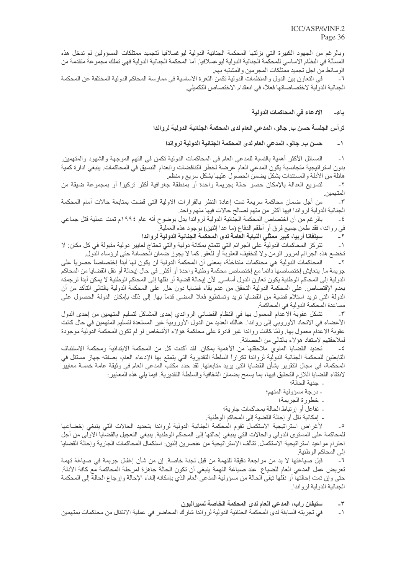وبالرغم من الجهود الكبيرة التي بزلتها المحكمة الجنائية الدولية ليوغسلافيا لتجميد ممتلكات المسؤولين لم تدخل هذه المسألة في النظام الاساسي للمحكمة الجنائية الدولية ليو غسلافيا٬ أما المحكمة الجنائية الدولية فهي تملك مجموعة متقدمة من الوسائط من اجل تجميد ممتلكات المجر مين والمشتبه بهم

في التعاون بين الدول والمنظمات الدولية تكمن الثغرة الاساسية في ممارسة المحاكم الدولية المختلفة عن المحكمة الجنائية الدولية لاختصاصاتها فعلاً، في انعقدام الاختصاص التكميلي.

### الادعاء في المحاكمات الدولية باء۔

ترأس الجلسة حسن ب. جالو، المدعى العام لدى المحكمة الجنائية الدولية لرواندا

#### حسن ب. جالو ، المدعى العام لدى المحكمة الجنائية الدولية لرواندا  $\overline{\phantom{0}}$

المسائل الأكثر أهمية بالنسبة للمدعى العام في المحاكمات الدولية تكمن في التهم الموجهة والشهود والمتهمين  $-1$ بدون استراتيجية متجانسبة يكون المدعى العام عرضة لخطر التناقضات وانعدام التنسيق في المحاكمات. ينبغي ادارة كمية هائلة من الأدلة والمستندات بشكل يضمن الحصول عليها بشكل سريع ومنظم

لتسريع العدالة بالإمكان حصر حالة بجريمة واحدة أو بمنطقة جغرافية أكثر تركيزاً أو بمجموعة ضيقة من  $-\tau$ المتهمين.

من أجل ضمان محاكمة سريعة تمت إعادة النظر بالقرارات الاولية التي قضت بمتابعة حالات أمام المحكمة  $-\tau$ الجنائية الدولية لرواندا فيها أكثر من متهم لصىالح حالات فيها متهم واحد

بالر غم من أن اختصاص المحكمة الجنائية الدولية لرواندا يدل بوضوح أنه عام ١٩٩٤م تمت عملية قتل جماعي  $-\xi$ في رواندا، فقد طعن جميع فرق أو أطقم الدفاع (ما عدا إثنين) بوجود هذه العملية

> سيلفانا أربيا، كبير ممثلي النيابة العامة لدى المحكمة الجنائية الدولية لرواندا  $-7$

نتركز المحاكمات الدولية على الجرائم التي نتمتع بمكانة دولية والتي تحتاج لعايير دولية مقبولة في كل مكان: لا  $\rightarrow$ تخضع هذه الجرائم لمرور الزمن ولا لتخفيف العقوبة أو للعفو كما لا يجوز ضمان الحصانة حتى لرؤساء الدول ِ

 $\mathbin{\rlap{-}}\mathbf{Y}$ المحاكمات الدولية هي محاكمات متداخلة، بمعنى أن المحكمة الدولية لن يكون لها أبداً إختصاصاً حصرياً على جريمة ما. يتعايش إختصاصها دائما مع إختصاص محكمة وطنية واحدة أو أكثر ٍ في حال إيحالة أو نقل القضايا من المحاكم الدولية إلى المحاكم الوطنية يكون تعاون الدول أساسي. لأن إيحالة قضية أو نقلها إلى المحاكم الوطنية لا يمكن أبدأ ترجمته بعدم الإقتصاص على المحكمة الدولية التحقق من عدم بقاء قضايا دون حل على المحكمة الدولية بالتالي التأكد من أن الدولة التي تريد استلام قضية من القضايا تريد وتستطيع فعلا المضبي قدماً بها. إلى ذلك بإمكان الدولة الحصول على مساعدة المحكمة الدولية في المحاكمة.

تشكل عقوبة الاعدام المعمول بها في النظام القضائي الرواندي إحدى المشاكل لتسليم المتهمين من إحدى الدول  $-\tau$ الأعضاء في الاتحاد الأوروبي إلى رواندا. هنالك العديد من الدول الأوروبية غير المستعدة لتسليم المتهمين في حال كانت عقوبة الاعدام معمول بها. ولمّا كانت رواندا غير قادرة على محاكمة هؤلاء الأشخاص لو لم تكون المحكمة الدولية موجودة لملاحقتهم لاستفاد هؤ لاء بالتالي من الحصانة.

تحديد القضايا المنوي ملاحقتها من الأهمية بمكان لقد أكدت كل من المحكمة الابتدائية ومحكمة الاستئناف  $-\xi$ التابعتين للمحكمة الجنائية الدولية لرواندا تكراراً السلطة التقديرية التي يتمتع بها الإدعاء العام، بصفته جهاز مستقل في المحكمة، في مجال النقرير بشأن القضايا التي يريد متابعتها. لقد حدد مكتب المدعى العام في وثيقة عامة خمسة معايير لانتقاء القضآيا اللازم التحقيق فيها، بما يسمح بضمان الشفافية والسلطة التقديرية. فيما يلي هذه المعايير :

- جدية الحالة؛

- در جة مسؤ ولية المتهم؛

- خطورة الجريمة؛

- تفاعل أو إرتباط الحالة بمحاكمات جارية؛ - إمكانية نقل أو إحالة القضية إلى المحاكم الوطنية.

لأغراض استراتيجية الاستكمال تقوم المحكمة الجنائية الدولية لرواندا بتحديد الحالات التي ينبغي إخضاعها  $\overline{\phantom{a}}$ للمحاكمة على المستوى الدولي والحالات التي ينبغي إحالتها إلى المحاكم الوطنية. ينبغي التعجيل بالقضايا الاولى من أجل احترام مواعيد استراتيجية الاستكمال تتألف الإستراتيجية من عنصرين إثنين: استكمال المحاكمات الجارية وإحالة القضايا إلى المحاكم الوطنية.

قبل صباغتها لا بد من مراجعة دقيقة للتهمة من قبل لجنة خاصة. إن من شأن إغفال جريمة في صباغة تهمة تعريض عمل المدعى العام للضياع. عند صياغة التهمة ينبغي أن تكون الحالة جاهزة لمرحلة المحاكمة مع كافة الأدلة. حتى وإن تمت إحالتها أو نقلها تبقى الحالة من مسؤولية المدعي العام الذي بإمكانه إلغاء الإحالة وإرجاع الحالة إلى المحكمة الجنائية الدولية لرواندا

> ستيفان راب، المدعى العام لدى المحكمة الخاصة لسير اليون  $-1$

في تجربته السابقة لدى المحكمة الجنائية الدولية لرواندا شارك المحاضر في عملية الانتقال من محاكمات بمتهمين  $\overline{\phantom{0}}$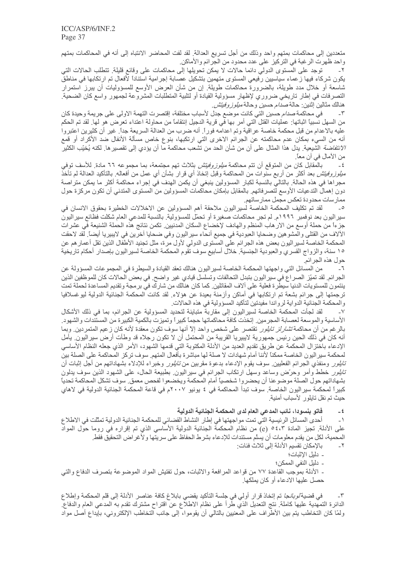متعددين إلى محاكمات بمتهم واحد وذلك من أجل تسريع العدالة. لقد لفت المحاضر الانتباه إلى أنه في المحاكمات بمتهم واحد ظهرت الرغبة في التركيز على عدد محدود من الجرائم والأماكن.

توجد على المستوى الدولي دائما حالات لا يمكن تحويلها إلى محاكمات على وقائع قليلة. تتطلب الحالات التي ۲-يكون شركاء فيها زعماء سياسيين رّفيعي المستوى متهمين بتشكيل عصابة إجرامية استناداً لأفعال تم ارتكابها في مناطقً شاسعة أو خلال مدد طويلة، بالضرورة محاكمات طويلة ٍ إن من شأن العرض الأوسع للمسؤوليات أن ببرز استمرار التصرفات في إطار تاريخي ضروري لإظهار مسؤولية القيادة أو لتلبية المتطلبات المشروعة لجمهور واسع كان الضحية هنالك مثالين إثنين: حالة *صدام حسين* وحالة *ميلوز وفيتش*.

في محاكمة *صدام حسين* التي كانت موضع جدل لأسباب مختلفة، إقتصرت التهمة الاولى على جريمة وحيدة كان  $-\tau$ من السهل نسبيًا اثباتها: عمليات القتل التي أمر بها في قرية الدجيل إنتقامًا من محاولة اعتداء تعرض هو لها. لقد تم الحكم عليه بالاعدام من قبل محكمة خاصـة عراقية وتم اعدامـه فوراً. أنـه ضرب من العدالة السريعة جداً. غير أن كثيرين اعتبروا أنه من السيء بمكان عدم محاكمته عن الجرائم الاخرى التي ارتكبها، بنوع خاص مسألة الأنفال ضد الأكراد أو قمع //تتفاضة الشيعية. يدل هذا المثال على أن من شأن الحد من تشعب محاكمة ما أن يؤدي إلى تقصير ها. لكنه يُخيّب الكثير من الأمال في أن معاً.

بالمقابل كان من المتوقع أن تتم محاكمة *ميلوز وفيتش* بثلاث تهم مجتمعة، بما مجموعه ٦٦ مادة<sub>.</sub> للأسف توفي  $-\xi$ *ميلوز وفيتش* بعد أكثر من أربع سنوات من المحاكمة وقبل إتخاذ أي قرار بشأن أي عمل من أفعاله<sub>.</sub> بالتأكيد العدالة لم تأخذ مجر اها في هذه الحالة. بالتالي بالنسبة لكبار المسؤولين ينبغي أن يكمن الهدف في إجر اء محاكمة أكثر ما يمكن متر اصة دون إهمال التدعيات الأوسع لتصر فاتهم. بالمقابل بإمكان محاكمات المسؤولين من المستوى المتدنى أن تكون مركزة حول ممارسات محدودة تعكس مجمل ممارساتهم.

لقد تم تكليف المحكمة الخاصة لسير اليون ملاحقة أهم المسؤولين عن الاخلالات الخطيرة بحقوق الانسان في  $\overline{\phantom{a}}$ سير اليون بعد نوفمبر ١٩٩٦م. لم تجر محاكمات صغيرة أو تحمّل للمسؤولية. بالنسبة للمدعى العام شكلت فظائع سير اليون جزءاً من حملة أوسع من الارهاب المنظم والهادف لإخضاع السكان المدنبين ِ تكمن نتائج هذه الحملة الشنيعة في عشرات الألاف من القتلي والمشوهين وضحايا العبودية في جميع أنحاء سير اليون وفي ضحايا آخرين في لايبيريا أيضاً. لقد لاحقت المحكمة الخاصة لسيراليون بعض هذه الجرائم على المستوى الدولي لأول مرة، مثل تجنيد الأطفال الذين تقل أعمار هم عن ١٥ سنة، والزواج القسري والعبودية الجنسية. خلال أسابيع سوف نقوم المحكمة الخاصة لسير اليون بإصدار أحكام تاريخية حول هذه الجر ائم

من المسائل التي واجهتها المحكمة الخاصة لسير اليون هنالك تعقد القيادة والسيطرة في المجموعات المسؤولة عن الجرائم لقد تميّز الصراع في سير اليون بتبدل التحالفات وتسلسل قيادي غير واضح في بعض الحالات كان للموظفين الذين ينتمون للمستويات الدنيا سيطرة فعلية على ألاف المقاتلين كما كان هنالك من شارك في برمجة وتقديم المساعدة لحملة تمت ترجمتها إلى جرائم بشعة تم ارتكابها في أماكن وأزمنة بعيدة عن هؤلاء ِ لقد كانت المحكمة الجنائية الدولية ليوغسلافيا و المحكمة الجنائية الدو اية لر و اندا مفيدتين لتأكيد المسؤ ولية في هذه الحالات ِ

لقد لجأت المحكمة الخاصة لسير اليون إلى مقاربة متباينة لتحديد المسؤولية عن الجرائم، بما في ذلك الأشكال  $\mathord{\hspace{1pt}\text{--}\hspace{1pt}}\vee$ الأساسية والموسعة لعصابة المجرمين ِ إتخذت كافة محاكماتها حجماً كبيراً وتميزت بالكمية الكبيرة من المستندات والشهود بالرغم من أن محاكمة *تشارلز تايلور* تقتصر على شخص واحد إلاّ أنها سوف تكون معقدة لأنه كان زعيم المتمردين<sub>.</sub> وبما أنه كان في ذلك الحين رئيس جمهورية لايبيريا القريبة من المحتمل أن لا تكون رجلاه قد وطأت أرض سيراليون ِ يأمل الإدعاء باختزال المحكمة عن طريق تقديم العديد من الأدلة المكتوبة التي قدمها الشهود، الأمر الذي جعله النظام الأساسي لمحكمة سير اليون الخاصة ممكناً لأننا أمام شهادات لا صلة لها مباشرة بأفعال المتهم سوف تركز المحاكمة على الصلة بين *تايلور* ومنفذي الجرائم الفعليين سوف يقوم الإدعاء بدعوة مقربين من *تايلور* وخبراء للإدلاء بشهاداتهم من أجل إثبات أن *تابلور* خطط وأمر وحرّض وساعد وسهل ارتكاب الجرائم في سيراليون ِ بطبيعة الحال، على الشهود الذين سوف يدلون بشهاداتهم حول الصلة موضوعنا أن يحضروا شخصياً أمام المحكمة ويخضعوا لفحص معمق سوف تشكل المحاكمة تحدياً كبيرا لمحكمة سير البون الخاصة. سوف تبدأ المحاكمة في ٤ يونيو ٢٠٠٧م في قاعة المحكمة الجنائية الدولية في لاهاي حيث تم نقل تايلور لأسباب أمنية.

> فاتو بنسودا، نائب المدعي العام لدى المحكمة الجنائية الدولية  $-5$

أحدى المسائل الرئيسية التي تمت مواجهتها في إطار النشاط القضائي للمحكمة الجنائية الدولية تمثلت في الاطلاع  $\overline{\phantom{a}}$  ) على الأدلة. تجيز المادة ٥٤،٣ (e) من نظام المحكمة الجنائية الدولية الأساسي الذي تم إقراره في روما حول المواد المحمية، لكل من يقدم معلومات أن يسلّم مستندات للإدعاء بشرط الحفاظ على سريتها ولأغراض التحقيق فقط.

بالإمكان تقسيم الأدلة إلى ثلاث فئات:  $-\tau$ 

- دليل الاثبات؛

- دليل النفي الممكن؛

ـ الأدلة بموجب القاعدة ٧٧ من قواعد المرافعة والاثبات، حول تفتيش المواد الموضوعة بتصرف الدفاع والتي حصل عليها الادعاء أو كان يملكها.

في قضية *لوبان*جا تم إتخاذ قرار أولى في جلسة التأكيد يقضي بابلاغ كافة عناصر الأدلة إلى قلم المحكمة وإطلاع  $-\tau$ الدائرة التمهدية عليها كاملة<sub>.</sub> نتج التعديل الذي طرأ على نظام الاطلاع عن اقتراح مشترك تقدم به المدعي العام والدفاع<sub>.</sub> ولمّا كان التخاطب يتم بين الأطّراف على المعنيين بالتالي أن يقوموا، إلى جانب التخاطب الإلكتروني، بإيّداع أصل مواد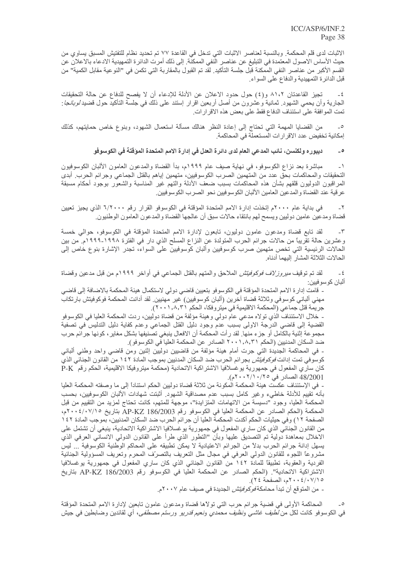الاثبات لدى قلم المحكمة. وبالنسبة لعناصر الاثبات التي تدخل في القاعدة ٧٧ تم تحديد نظام للتفتيش المسبق يساوي من حيث الأساس الاصول المعتمدة في التبليغ عن عناصر النفي الممكنة. إلى ذلك أمرت الدائرة التمهيدية الادعاء بالاعلان عن القسم الأكبر من عناصر النفي الممكنة قبل جلسة التأكيد. لقد تم القبول بالمقاربة التي تكمن في "النوعية مقابل الكمية" من قبل الدائرة التمهيدية والدفاع على السواء.

تجيز القاعدتان ٨١،٢ و(٤) حول حدود الاعلان عن الأدلة للإدعاء أن لا يفصح للدفاع عن حالة التحقيقات  $-\xi$ الجارية وأن يحمى الشهود<sub>.</sub> ثمانية وعشرون من أصل أربعين اقرار إستند على ذلك في جلسة التأكيد حول قضيد *لوبانجا*: تمت الموافقة على استئناف الدفاع فقط على بعض هذه الاقرارات ِ

من القضايا المهمة التي تحتاج إلى إعادة النظر هنالك مسألة استعمال الشهود، وبنوع خاص حمايتهم، كذلك  $\overline{\phantom{a}}$ إمكانية تخفيض عدد الاقرارات المستعملة في المحاكمة.

> ديبوره ولكنسن، نـائب المدعى الـعام لدى دائرة الـعدل في إدارة الامم المتحدة الموَقتة في الكوسوفو  $\overline{\phantom{a}}$

مباشرة بعد نزاع الكوسوفو، في نهاية صيف عام ١٩٩٩م، بدأ القضاة والمدعون العامون الألبان الكوسوفيون  $\overline{\phantom{a}}$  ) التحقيقات والمحاكمات بحق عدد من المتهمين الصرب الكوسوفيين، متهمين إياهم بالقتل الجماعي وجرائم الحرب أبدى المراقبون الدوليون قلقهم بشأن هذه المحاكمات بسبب ضعف الأدلة والتهم غير المناسبة والشعور بوجود أحكام مسبقة عر قية عند القضاة والمدعين العامين الألبان الكوسوفيين نحو الصرب الكوسوفيين.

في بداية عام ٢٠٠٠م إتخذت إدارة الأمم المتحدة المؤقتة في الكوسوفو القرار رقم ٦/٢٠٠٠ الذي يجيز تعيين  $-\tau$ قضاة ومدعين عامين دوليين ويسمح لهم بانتقاء حالات سبق أن عالجها القضاة والمدعون العامون الوطنيون.

لقد تابع قضاة ومدعون عامون دوليون، تابعون لإدارة الامم المتحدة المؤقتة في الكوسوفو، حوالي خمسة  $-\tau$ وعشرين حالة تقريبًا من حالات جرائم الحرب المتولَّدة عن النزاع المسلح الذي دار في الفترة ١٩٩٨-١٩٩٩م. من بين الحالات الرئيسية التي تخص متهمين صرب كوسوفيين وألبان كوسوفيين على السواء، تجدر الإشارة بنوع خاص إلى الحالات الثلاثة المشار البهما أدناه

لقد تم توقيف *ميروزلاف فوكوفيتش* الملاحق والمتهم بالقتل الجماعي في أواخر ١٩٩٩م من قبل مدعين وقضاة  $-\epsilon$ ألبان كوسوفيين:

ـ قامت إدار ة الامم المتحدة المؤقتة في الكوسوفو بتعيين قاضي دولي لاستكمال هيئة المحكمة بالاضافة إلى قاضـٍ مهنى البانى كوسوفى وثلاثة قضاة اخرين (البان كوسوفيين) غير مهنيين لقد ادانت المحكمة فوكوفيتش بارتكاب جريمة قتل جماعي (المحكمة الاقليمية في ميتر وفكا، الحكم ٢٠٠١,٨,٣١).

ـ خلال الاستئناف الذي تولاه مدعي عام دولي وهيئة مؤلفة من قضاة دوليين، ردت المحكمة العليا في الكوسوفو القضية إلى قاضي الدرجة الاولى بسبب عدم وجود دليل القتل الجماعي وعدم كفاية دليل التدليس في تصفية مجموعة إثنية بالكامل أو جزء منها. لقد رأت المحكمة أن الافعال ينبغي تصنيفها بشكل مغاير ، كونها جرائم حرب ضد السكان المدنيين (الحكم ٢٠٠١,٨,٣١ الصادر عن المحكمة العليا في الكوسوفو).

ـ في المحاكمة الجديدة التي جرت أمام هيئة مؤلفة من قاضيين دوليين إثنين ومن قاضي واحد وطني ألباني كوسوفي تمت إدانت *فوكوفيتش* بجر ائم الحرب ضد السكان المدنيين بموجب المادة ١٤٢ من القانون الجنائي الذي كان ساري المفعول في جمهورية يوغسلافيا الاشتراكية الاتحادية (محكمة ميتروفيكا الاقليمية، الحكم رقم P-K 48/2001 الصادر في ٢٥/٠/١٠/٢٠٠٢م).

- في الإستئناف عكست هيئة المحكمة المكونة من ثلاثة قضاة دوليين الحكم استناداً إلى ما وصفته المحكمة العليا بأنه تقييم للأدلة خاطىء وغير كامل بسبب عدم مصداقية الشهود أثبتت شهادات الألبان الكوسوفيين، بحسب المحكمة العليا، وجود "دسيسة من الاتهامات المتزايدة"، موجهة للمتهم، كانت تحتاج لمزيد من التقييم من قبل المحكمة (الحكم الصادر عن المحكمة العليا في الكوسوفو رقم AP-KZ 186/2003 بتاريخ ٢٠٠٤/٠٧/١٥م، الصفحة ١٢) وفي حيثيات الحكم أكدت المحكمة العليا أن جرائم الحرب ضد السكان المدنيين، بموجب المادة ١٤٢ من القانون الجنائي الذي كان ساري المفعول في جمهورية يوغسلافيا الاشتراكية الاتحادية، ينبغي أن تشتمل على الإخلال بمعاهدة دولية تم التصديق عليها وبأن "التطور الذي طرأ على القانون الدولي الانساني العرفي الذي يسهل إدانة جرائم الحرب بدلاً من الجرائم الاعتيادية لا يمكن تطبيقه على المحاكم الوطنية الكوسوفية ... ليس مشروعًا اللجوء للقانون الدولي العرفي في مجال مثل النعريف بالنصرّف المحرم وتعريف المسؤولية الجنائية الفردية والعقوبة، تطبيقًا للمادة ١٤٢ من القانون الجنائي الذي كان ساري المفعول في جمهورية بوغسلافيا الاشتراكية الاتحادية". (الحكم الصادر عن المحكمة العليا في الكوسوفو رقم AP-KZ 186/2003 بتاريخ ١/٧/١٥ /٢٠٠٤ ٢٠٠م، الصفحة ٢٤).

- من المنوقع أن تبدأ محامكة *فوكوفيتش* الجديدة في صبف عام ٢٠٠٧م.

المحاكمة الأولى في قضية جرائم حرب التي تولاها قضاة ومدعون عامون تابعين لإدارة الامم المتحدة المؤقتة في الكوسوفو كانت لكل من *لطيف غاشي ونظيف محمدي ونعيم قدريو* و*رستم مصطفي،* أي لقائدين وضابطين في جيش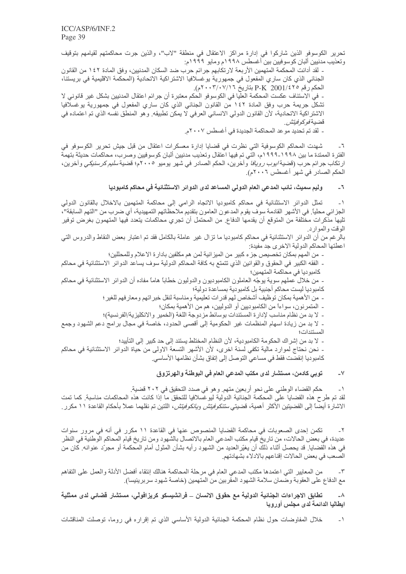تحرير الكوسوفو الذين شاركوا في إدارة مراكز الاعتقال في منطقة "لاب"، والذين جرت محاكمتهم لقيامهم بتوقيف وتعذيب مدنيين ألبان كوسوفيين بين أغسطس ١٩٩٨م ومايو ١٩٩٩م:

- لقد أدانت المحكمة المتهمين الأربعة لارتكابهم جرائم حرب ضد السكان المدنيين، وفق المادة ١٤٢ من القانون الجنائي الذي كان ساري المفعول في جمهورية يوغسلافيا الاشتراكية الاتحادية (المحكمة الاقليمية في بريستنا، الحكم رقم 2001/٤٢٥ P-K بتاريخ ٢٠٠٣/٠٧/١٦.

- في الاستئاف عكست المحكمة العليا في الكوسوفو الحكم معتبرة أن جرائم اعتقال المدنيين بشكل غير قانوني لا تشكلُ جريمة حرب وفق المادة ١٤٢ من القانون الجنائي الذي كان ساري المفعول في جمهورية يوغسلافيا الاشتراكية الاتحادية، لأن القانون الدولي الانساني العرفي لا يمكن تطبيقه ٍ وهو المنطق نفسه الذي تم اعتماده في قضية *فوكوفيتش*.

- لقد تم تحديد موعد المحاكمة الجديدة في أغسطس ٢٠٠٧م.

شهدت المحاكم الكوسوفية التي نظرت في قضايا إدارة معسكرات اعتقال من قبل جيش تحرير الكوسوفو في  $-7$ الفترة الممتدة ما بين ١٩٩٨-١٩٩٩م، التي تم فيها اعتقال وتعذيب مدنيين ألبان كوسوفيين وصرب، محاكمات حديثة بتهمة ارتكاب جرائم حرب (قضية *ايوب رويافا* وآخرين، الحكم الصادر في شهر يوميو ٢٠٠٥م؛ قضية *سليم كرسنيكي و*آخرين، الحكم الصبادر في شهر أغسطس ٢٠٠٦م).

> وليم سميث، نائب المدعي العام الدولي المساعد لدى الدوائر الاستثنائية في محاكم كامبوديا  $-7$

تمثّل الدوائر الاستثنائية في محاكم كامبوديا الاتجاه الرامي إلى محاكمة المتهمين بالاخلال بالقانون الدولي  $\overline{a}$ الجزائي محلياً. في الأشهر القادمة سوف يقوم المدعون العامون بتقديم ملاحظاتهم التمهيدية، أي ضرب من "التهم السابقة"، تليها مذكرات مختلفة من المتوقع أن يقدمها الدفاع. من المحتمل أن تجري محاكمات يتعدد فيها المتهمون بغرض توفير الوقت والموارد

بالرغم من أن الدوائر الاستثنائية في محاكم كامبوديا ما نزال غير عاملة بالكامل فقد تم اعتبار بعض النقاط والدروس التي اعطتها المحاكم الدولية الاخرى جد مفيدة:

- من المهم بمكان تخصيص جز ء كبير من الميز انية لمن هم مكلفين بادار ة الاعلام وللمحللين؛

ـ الفقه الكبير في الحقوق والقوانين الذي تتمتع به كافة المحاكم الدولية سوف يساعد الدوائر الاستثنائية في محاكم كامبوديا في محاكمة المتهمين؛

ـ. من خلال عملهم سوية يوجّه العاملون الكامبوديون والدوليون خطاباً هاماً مفاده أن الدوائر الاستثنائية في محاكم كامبوديا ليست محاكم أجنبية بل كامبودية بمساعدة دولية؛

- من الأهمية بمكان توظيف أشخاص لهم قدرات تعليمية ومناسبة لنقل خبر اتهم ومعار فهم للغير ؛

ـ المتمر نون، سواءاً من الكامبوديين أو الدوليين، هم من الأهمية بمكان؛

- لا بد من نظام مناسب لإدارة المستندات بوسائط مزدوجة اللغة (الخمير والانكليزية/الفرنسية)؛

- لا بد من زيادة اسهام المنظمات غير الحكومية إلى أقصى الحدود، خاصة في مجال بر امج دعم الشهود وجمع

- لا بد من إشراك الحكومة الكامبودية، لأن النظام المختلط يستند إلى حد كبير إلى التأييد؛

- نحن نحتاج لموارد مالية تكفي لسنة اخرى، لأن الأشهر التسعة الاولى من حياة الدوائر الاستثنائية في محاكم كامبوديا إنقضت فقط في مساعي النوصل إلى إتفاق بشأن نظامها الأساسي.

#### توبي كادمن، مستشار لدى مكتب المدعي العام في البوطنة والهرتزوق  $-<sup>1</sup>$

حكم القضاء الوطني على نحو أربعين متهم ٍ وهو في صدد التحقيق في ٢٠٢ قضية ِ  $\rightarrow$ لقد تم طرح هذه القضايا على المحكمة الجنائية الدولية ليوغسلافيا للتحقق ما إذا كانت هذه المحاكمات مناسبة. كما تمت الاشارة أيضًا إلى القضيتين الأكثر أهمية، قضيت*ي ستنكوفيتش ويانكوفيتش*، اللتين تم نقلهما عملاً بأحكام القاعدة ١١ مكرر .

تكمن إحدى الصعوبات في محاكمة القضايا المنصوص عنها في القاعدة ١١ مكرر في أنه في مرور سنوات  $-\tau$ عديدة، في بعض الحالات، من تاريخ قيام مكتب المدعى العام بالاتصال بالشهود ومن تاريخ قيام المحاكم الوطنية في النظر في هذه الْقضايا ٍ قد يحصل أثناء ذلكَ أن يغيّرالعديد من الشهود رأيه بشأن المثول أمام المحكمة أو مجرّد عنوانه ٍ كان من الصعب في بعض الحالات إقناعهم بالادلاء بشهادتهم.

من المعايير التي اعتمدها مكتب المدعى العام في مرحلة المحاكمة هنالك إنتقاء أفضل الأدلة والعمل على التفاهم مع الدفاع على العقوبة وضمان سلامة الشهود المقربين من المتهمين (خاصة شهود سربرينيسا).

تطابق الاجراءات الجنائية الدولية مع حقوق الانسان \_ فرانشيسكو كريزافولّي، مستشار قضائي لدى ممثلية  $-\Lambda$ ايطاليا الدائمة لدى مجلس أوروبا

خلال المفاوضات حول نظام المحكمة الجنائية الدولية الأساسي الذي تم إقراره في روما، توصلت المناقشات  $-1$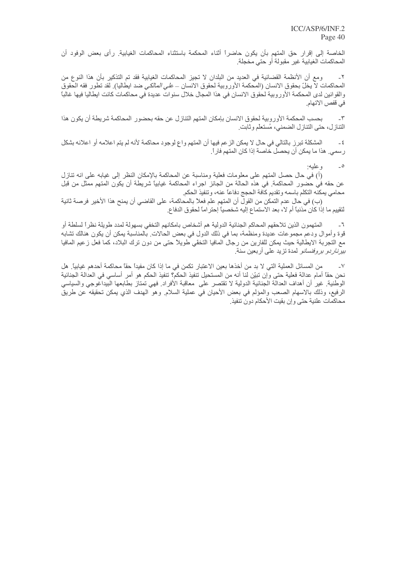الخاصة إلى إقرار حق المتهم بأن يكون حاضراً أثناء المحكمة باستثناء المحاكمات الغيابية رأى بعض الوفود أن المحاكمات الغيابية غير مقبولة أو حتى مخجلة.

ومع أن الأنظمة القضائية في العديد من البلدان لا تجيز المحاكمات الغيابية فقد تم التذكير بأن هذا النوع من  $-\tau$ المحاكمات لاّ يخلّ بحقوق الانسان (المحكمة الأوروبية لحقوق الانسان ــ *على المالكي* ضد ابطاليا)<sub>.</sub> لقد تطور فقه الحقوق والقوانين لدى المحكمة الأوروبية لحقوق الانسان في هذا المجال خلال سنوات عديدة في محاكمات كانت ابطاليا فيها غالبا في قفص الاتهام.

بحسب المحكمة الأوروبية لحقوق الانسان بإمكان المتهم التنازل عن حقه بحضور المحاكمة شريطة أن يكون هذا  $-\tau$ التناز ل، حتى التناز ل الضمني، مُستعلِّم و ثابت ِ

المشكلة تبرز بالتالي في حال لا يمكن الزعم فيها أن المتهم واع لوجود محاكمة لأنه لم يتم اعلامه أو اعلانه بشكل  $-\xi$ ر سمي. هذا ما يمكن أن يحصل خاصنة إذا كان المتهم فار ًا.

> $\overline{\phantom{a}}$ وعليه:

(أ) في حال حصل المتهم على معلومات فعلية ومناسبة عن المحاكمة بالإمكان النظر إلى غيابه على انه تنازل عن حقه في حضور المحاكمة. في هذه الحالة من الجائز اجراء المحاكمة غيابياً شريطة أن يكون المتهم ممثل من قبل محامى يمكنه التكلم باسمه وتقديم كافة الحجج دفاعاً عنه، وتنفيذ الحكم

(ب) في حال عدم النمكن من القول أن المتهم علم فعلاً بالمحاكمة، على القاضي أن يمنح هذا الأخير. فرصة ثانية لْتَقِيمِ ما إذا كان مذنباً أم لا، بعد الاستماع إليه شخصياً إحتر اماً لحقوق الدفاع.

المتهمون الذين تلاحقهم المحاكم الجنائية الدولية هم أشخاص بامكانهم التخفي بسهولة لمدد طويلة نظراً لسلطة أو قوة وأموال ودعم مجموعات عديدة ومنظمة، بما في ذلك الدول في بعض الحالات ِ بالمناسبة يمكن أن يكون هنالك تشابه مع التجربة الايطالية حيث يمكن للفارين من رجال المافيا التخفّي طويلاً حتى من دون ترك البلاد، كما فعل زعيم المافيا *بيرناردو بروفنسانو* لمدة تزيد على أربعين سنة<sub>.</sub>

من المسائل العملية التي لا بد من أخذها بعين الاعتبار تكمن في ما إذا كان مفيداً حقاً محاكمة أحدهم غيابياً. هل  $\mathsf{V}$ نحن حقًّا أمام عدالة فعلية حتى وإن تبيّن لنا أنه من المستحيل تنفيذ الحكم؟ تنفيذ الحكم هو أمر أساسي في العدالة الجنائية الوطنية غير أن أهداف العدالة الجنائية الدولية لا تقتصر على معاقبة الأفراد فهي تمتاز بطابعها البيداغوجي والسياسي الرفيع، وذلك بالاسهام الصعب والمؤلم في بعض الأحيان في عملية السلام ٍ وهو الـهدف الذي يمكن تحقيقه عن طريق محاكمات علنية حتى وإن بقيت الأحكام دون تنفيذ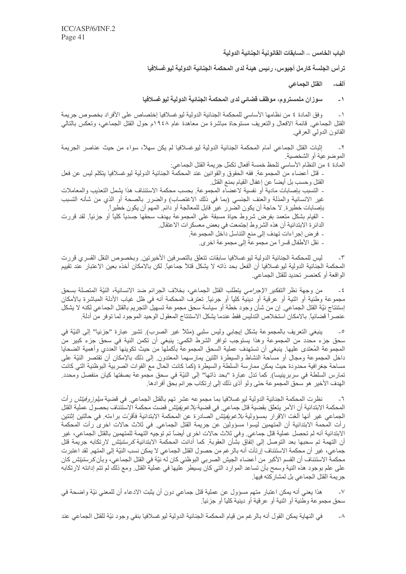الباب الخامس \_ السابقات القانونية الجنائية الدولية

ترأس الجلسة كارمل أجيوس، رئيس هيئة لدى المحكمة الجنائية الدولية ليو غسلافيا

الفتل الجماعي ألف\_

سوزان ملمستروم، موظف قضائى لدى المحكمة الجنائية الدولية ليوغسلافيا  $-1$ 

وفق المادة ٤ من نظامها الأساسي للمحكمة الجنائية الدولية ليوغسلافيا إختصاص على الأفراد بخصوص جريمة  $-1$ القتل الجماعي ِ قائمة الافعال والتعريف مستوحاة مباشرة من معاهدة عام ١٩٤٨م حول القتل الجماعي، وتعكس بالنالي القانون الدولي العرفي.

إثبات القتل الجماعي أمام المحكمة الجنائية الدولية ليوغسلافيا لم يكن سهلاً، سواء من حيث عناصر الجريمة  $\mathbf{r}$ الموضوعية أو الشخصية

المادة ٤ من النظام الأساسي تلحظ خمسة أفعال تكمّل جريمة القتل الجماعي: ـ قُتل أعضاء من المجموعة. فقه الحقوق والقوانين عند المحكمة الجنائية الدولية ليوغسلافيا يتكلم ليس عن فعل القتل وحسب بل أيضاً عن إغفال القيام بمنع القتل - التسبب بإصابات مادية أو نفسية لاعضاء المجموعة. بحسب محكمة الاستئناف هذا يشمل التعذيب والمعاملات غير الانسانية والمذلة والعنف الجنسي (بما في ذلك الاغتصاب) والضرر بالصحة أو الذي من شأنه التسبب بإصابات خطير ة. لا حاجة أن يكون الضرر غير قابل للمعالجة أو دائم. المهم أن يكون خطير أ ـ ۔ القيام بشكل متعمد بفرض شروط حياة مسبقة على المجموعة بـهدف سـحقها جسدياً كلياً أو جزئياً. لقد قررت الدائر ة الابتدائية أن هذه الشروط إجتمعت في بعض معسكر ات الاعتقال ِ - فرض إجراءات تهدف إلى منع التناسل داخل المجموعة.

- نقل الأطفال قسراً من مجموعة إلى مجموعة اخرى.

ليس للمحكمة الجنائية الدولية ليو غسلافيا سابقات تتعلق بالتصر فين الأخيرتين. وبخصوص النقل القسري قررت المحكمة الجنائية الدولية ليوغسلافيا أن الفعل بحد ذاته لا يشكل قتلاً جماعياً. لكن بالامكان أخذه بعين الاعتبار عند تقييم الواقعة أو كعنصر تحديد للقتل الجماعي.

من وجهة نظر *التفكير الإجرامي* يتطلب القتل الجماعي، بخلاف الجرائم ضد الانسانية، النيّة المتصلة بسحق مجموعة وطنية أو اثنية أو عرقية أو دينية كليًا أو جرئيًا. تعترف المحكمة أنه في ظل غياب الأدلة المباشرة بالأمكان إستنتاج نيّة القتل الجماعي. إن من شأن وجود خطة أو سياسة سحق مجموعة تسهيل التجريم بالقتل الجماعي لكنه لا يشكل عنصراً قضائياً. بالامكان استخلاص التدليس فقط عندما يشكل الاستنتاج المعقول الوحيد الموجود لما توفر من أدلة.

ينبغي النعريف بالمجموعة بشكل إيجابي وليس سلبي (مثلاً غير الصرب) تشير عبارة "جزئيا" إلى النيّة في  $\overline{\phantom{a}}$ سحق جزء محدد من المجموعة وهذا يستوجب توافر الشرط الكمي: ينبغي أن تكمن النية في سحق جزء كبير من المجموعة المُعتدى عليها ِ ينبغي أن تستهدف عملية السحق المجموعة بأكملها من حيث تكوينها العددي وأهمية الضحايا داخل المجموعة ومجال أو مساحة النشاط والسيطرة اللتين يمارسهما المعتدون ٍ إلى ذلك بالإمكان أن تقتصر النيّة على مساحة جغرافية محدودة حيث يمكن ممارسة السلطة والسيطرة (كما كانت الحال مع القوات الصربية البوظنية التي كانت تمارس السلطة في سربرينيسا). كما تدل عبارة "بحد ذاتها" إلى النيّة في سحق مجموعة بصفتها كيان منفصل ومحدد. الهدف الأخير هو سحق المجموعة حتى ولو أدّى ذلك إلى إرتكاب جر ائم بحّق أفر ادها.

نظر ت المحكمة الجنائية الدولية ليو غسلافيا بما مجموعه عشر تهم بالقتل الجماعي في قضية *ميلوز وفيتش* ر أت  $\mathbb{L}^{\mathbb{Z}}$ المحكمة الابتدائية أن الأمر يتعلّق بقضية قتل جماعي<sub>.</sub> في قضية *بلاغويفيتش* قضت محكمة الاستّئناف بحصول عملية القتل الجماعي غير أنها ألغت الاقرار بمسؤولية *بلاغويفيتش* الصادرة عن المحكمة الابتدائية فأقرّت براءته. في حالتين اثنتين ر أت المحمة الابتدائية أن المتهمين ليسوا مسؤولين عن جريمة القتل الجماعي<sub>.</sub> في ثلاث حالات اخرى ر أت المحكمة الابتدائية أنه لم تحصل عملية قتل جماعي٬ وفي ثلاث حالات اخر ي أيضاً تم توجيه التهمة للمتهمين بالقتل الجماعي، غير أن التهمة تم سحبها بعد التوصل إلى إتفاق بشأن العقوبة<sub>.</sub> كما أدانت المحكمة الابتدائية *كرستيتش* لارتكابه جريمة قتل جماعي، غير أن محكمة الاستئناف إرتأت أنه بالرغم من حصول القتل الجماعي لا يمكن نسب النيّة إلى المتهم. لقد اعتبرت محكمة الاستئناف أن القسم الأكبر من أعضاء الجيش الصربي البوظني كان له نيّة فى القتل الجماعى، وبأن *كرستيتش* كان على علم بوجود هذه النية وسمح بأن تساعد الموارد التي كان يسيطر عليها في عملية القتل ٍ ومع ذلك لم تتم إدانته لارتكابه جريمة القتل الجماعي بل لمشار كته فيها.

هذا يعني أنه يمكن اعتبار متهم مسؤول عن عملية قتل جماعي دون أن يثبت الادعاء أن للمعنى نيّة واضحة في  $\mathsf{V}$ سحق مجمو عة و طنية أو اثنية أو عر قية أو دينية كلياً أو جز ئياً.

في النهاية يمكن القول أنه بالرغم من قيام المحكمة الجنائية الدولية ليوغسلافيا بنفي وجود نيّة للقتل الجماعي عند  $-\lambda$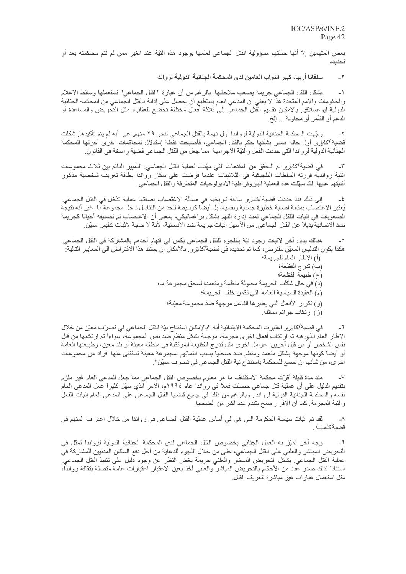بعض المتهمين إلاَّ أنها حمَّلتهم مسؤولية القتل الجماعي لعلمها بوجود هذه النَّيَّة عند الغير ممن لم تتم محاكمته بعد أو تحديده

#### سلفانا أربيا، كبير النواب العامين لدى المحكمة الجنائية الدولية لرواندا  $-7$

يشكل القتل الجماعي جريمة يصعب ملاحقتها ِ بالرغم من أن عبارة "القتل الجماعي" تستعملها وسائط الاعلام  $-1$ والحكومات والامم المتحدة هذا لا يعني أن المدعى العام يستطيع أن يحصل على إدانة بالقتل الجماعي من المحكمة الجنائية الدولية ليوغسلافيا بالامكان نقسيم القتل الجماعي إلى ثلاثة أفعال مختلفة تخضع للعقاب، مثل التحريض والمساعدة أو الدعم أو التأمر أو محاولة … إلخ.

وجّهت المحكمة الجنائية الدولية لرواندا أول تهمة بالقتل الجماعي لنحو ٢٩ متهم ِ غير أنه لم يتم تأكيدها ِ شكلت  $-\tau$ قضية *أكايزو* أول حالة صدر بشأنها حكم بالقتل الجماعي، فأصبحت نقطة إستدلال لمحاكمات اخرى أجرتها المحكمة الجنائية الدولية لرواندا التي حددت الفعل والنيّة الاجرامية مما جعل من القتل الجماعي قضية راسخة في القانون ِ

في قضية *أكايزو* تم التحقق من المقدمات التي مهّدت لعملية القتل الجماعي<sub>.</sub> التمييز الدائم بين ثلاث مجموعات  $-\tilde{\mathbf{v}}$ اثنية رواندية قررته السلطات البلجيكية في الثلاثينات عندما فرضت على سكان رواندا بطاقة تعريف شخصية مذكور أثنيتهم عليها ٍ لقد سهِّلت هذه العملية البير وقرَّ اطية الاديولوجيات المنطرفة والقتل الجماعي ِ

إلى ذلك فقد حددت قضية *أكايزو* سابقة تاريخية في مسألة الاغتصاب بصفتها عملية تذخل في القتل الجماعي<sub>.</sub>  $-\epsilon$ يُعتبر الاغتصاب بمثابة اصابة خطيرة جسدية ونفسية، بل أيضًا كوسيطة للحد من التناسل داخل مجموعة ما. غير أنه نتيجة الصعوبات في إثبات القتل الجماعي تمت إدارة التهم بشكل براغماتيكي، بمعنى أن الاغتصاب تم تصنيفه أحياناً كجريمة ضد الانسانية بديلاً عن القتل الجماعي من الأسهل إثبات جريمة ضد الانسانية، لأنة لا حاجة لاثبات تدليس معيّن

هنالك بديل أخر لاثبات وجود نيّة باللجوء للقتل الجماعي يكمن في اتهام أحدهم بالمشاركة في القتل الجماعي هكذا يكون التدليس المعيّن مفتر ض، كما تم تحديده في قضية *أكابز و* ۖ بالإمكان أن يستند هذا الافتر اض الى المعايير التالية ِ

- (أ) الإطار العام للجر بمة؛
	- (ب) تدرج الفظعة؛
- (ج) طبيعة الفظعة؛
- (د) في حال شكلت الجريمة محاولة منظمة ومتعمدة لسحق مجموعة ما؛
	- (هـ) العقيدة السياسية العامة التي تكمن خلف الجريمة؛
	- (و) تكرار الأفعال التي يعتبر ها الفاعل موجهة ضذ مجموعة معيّنة؛
		- (ز) ارتكاب جرائم مماثلة.

في قضية *أكايز و* اعتبرت المحكمة الابتدائية أنه "بالإمكان استنتاج نيّة القتل الجماعي في تصرّف معيّن من خلال الاطار العامّ الذي فيه تم ارتكاب أفعال اخرى مجرمة، موجهة بشكل منظم ضد نفس المجموعة، سواءاً تم ارتكابها من قبل نفس الشخص أو من قبل أخرين عوامل اخرى مثل تدرج الفظيعة المرتكبة في منطقة معينة أو بلد معين، وطبيعتها العامة أو أيضاً كونها موجهة بشكل متعمد ومنظم ضد ضحايا بسبب انتمائهم لمجموعة معينة تستثنى منها افراد من مجموعات اخر ي، من شأنها أن تسمح للمحكمة باستنتاج نية القتل الجماعي في تصر ف معيّن'' ِ

منذ مدة قليلة أقرّت محكمة الاستئناف ما هو معلوم بخصوص القتل الجماعي مما جعل المدعى العام غير ملزم  $\overline{\phantom{0}}$ بتقديم الدليل على أن عملية قتل جماعي حصلت فعلاً في رواندا عام ١٩٩٤م، الأمر الذي سهّل كثيراً عمل المدعي العام نفسه والمحكمة الجنائية الدولية لرواندا. وبالرغم من ذلك في جميع فضايا القتل الجماعي على المدعي العام إثبات الفعل والنية المجرمة. كما أن الاقرار سمح بتقدّم عدد أكبر من الضحايا.

لقد تم اثبات سياسة الحكومة التي هي في أساس عملية القتل الجماعي في رواندا من خلال اعتراف المتهم في  $-\lambda$ قضية *كامبندا* .

وجه أخر تميّز به العمل الجنائي بخصوص القتل الجماعي لدى المحكمة الجنائية الدولية لرواندا تمثّل في  $-9$ النحريض المباشر والعلني على القتل الجماعي، حتى من خلال اللجوء للدعاية من أجل دفع السكان المدنيين للمشاركة في عملية القتل الجماعي يشكل التحريض المباشر والعلني جريمة بغض النظر عن وجود دليل على تنفيذ القتل الجماعي استنادأ لذلك صدر عدد من الأحكام بالتحريض المباشر والعلني أخذ بعين الاعتبار اعتبارات عامة متصلة بثقافة رواندا، مثل استعمال عبار ات غير مباشرة لتعريف القتل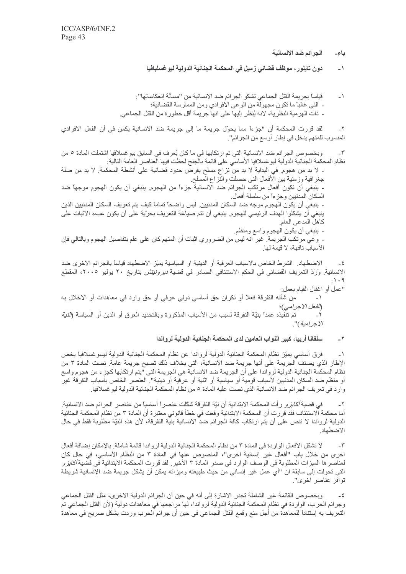الجرائم ضد الانسانية ياء۔

دون تايلور ، موظف قضائي زميل في المحكمة الجنائية الدولية ليو غسلبافيا  $-1$ 

قياساً بجريمة القتل الجماعي تشكو الجرائم ضد الانسانية من "مسألة إنعكاساتها":  $-1$ - الَّتِي غالباً ما تكون مجهولة من الوعي الأفرادي ومن الممارسة القضائية؛ ـ. ذات الهرمية النظرية، لانه يُنظر إليها على انها جريمة أقل خطورة من القتل الجماعي.

لقد قررت المحكمة أن "جزءاً مما يحوّل جريمة ما إلى جريمة ضد الانسانية يكمن في أن الفعل الافرادي  $-\tau$ المنسوب للمتهم يدخل في إطار أوسع من الجرائم".

وبخصوص الجرائم ضد الانسانية التي تم ارتكابها في ما كان يُعرف في السابق بيو غسلافيا اشتملت المادة ٥ من  $-\tau$ نظام المحكمة الجنائية الدولية ليو غسلافيا الأساسي على قائمة بالجنح لحظت فيها العناصر ِ العامة التالية:

- لا بد من هجوم. في البداية لا بد من نزاع مسلح يفرض حدود قضائية على أنشطة المحكمة. لا بد من صلة جغرافية وزمنية بين الأفعال التي حصلت والنزاع المسلح ـ ينبغي أن تكون أفعال مرتكب الجرائم ضد الانسانية جزءاً من الهجوم. ينبغي أن يكون الهجوم موجهاً ضد السكان المدنيين وجزءاً من سلسلة أفعال ِ ـ ينبغي أن يكون الهجوم موجه ضد السكان المدنيين. ليس واضحاً تماماً كيف يتم تعريف السكان المدنيين الذين ينبغي أن يشكلوا الهدف الرئيسي للهجوم. ينبغي أن نتم صياغة التعريف بحرّية على أن يكون عبء الاثبات على كاهل المدعي العام - ينبغي أن يكون المجوم واسع ومنظم ِ

۔ وعي مرتكب الجريمة ِ غير انه ليس من الضروري اثبات أن المتهم كان على علم بتفاصيل الهجوم وبالتالي فإن الأسباب تافهة، لا قيمة لها.

الاضطهاد ِ الشرط الخاص بالاسباب العرقية أو الدينية او السياسية يميّز الاضطهاد قياساً بالجرائم الاخرى ضد  $-5$ الانسانية<sub>.</sub> وَرَدَ التعريف القضائي في الحكم الاستئنافي الصادر في قضية *ديرونيتش* بتاريخ ٢٠ يوليو ٢٠٠٥، المقطع  $: 1.9$ 

"عمل أو اغفال القيام بعمل: من شأنه النفرقة فعلاً أو نكران حق أساسي دولي عرفي أو حق وارد في معاهدات أو الاخلال به  $\rightarrow$ الفعل الاجرامي)؛ الاجرامية)".

> سلفانا أربيا، كبير النواب العامين لدى المحكمة الجنائية الدولية لرواندا  $-7$

فرق أساسي يميّز نظام المحكمة الجنائية الدولية لرواندا عن نظام المحكمة الجنائية الدولية ليسوغسلافيا يخص  $-1$ الإطار الذي يصنف الجريمة على أنها جريمة ضد الانسانية، التي بخلاف ذلك تصبح جريمة عامة. نصت المادة ٣ من نظام المحكمة الجنائية الدولية لرواندا على أن الجريمة ضد الانسانية هي الجريمة التي "يتم ارتكابها كجزء من هجوم واسع أو منظم ضد السكان المدنيين لأسباب قومية أو سياسية أو اثنية أو عرقية أو دينية". العنصر الخاص بأسباب التفرقة غير وارد في تعريف الجرائم ضد الانسانية الذي نصت عليه المادة ٥ من نظام المحكمة الجنائية الدولية ليو غسلافيا .

 $\mathbb{L}^\nabla$ في قضية *أكايز و* رأت المحكمة الابتدائية أن نيّة التفرقة شكّلت عنصر أ أساسيًا من عناصر الجر ائم ضد الانسانية. أما محكمة الاستئناف فقد قررت أن المحكمة الابتدائية وقعت في خطأ قانوني معتبرة أن المادة ٣ من نظام المحكمة الجنائية الدولية لرواندا لا تنص على أن يتم ارتكاب كافة الجرائم ضد الانسانية بنية التفرقة، لأن هذه النيّة مطلوبة فقط في حال الاضطهاد

لا تشكل الافعال الوار دة في المادة ٣ من نظام المحكمة الجنائية الدولية لر و اندا قائمة شاملة. بالإمكان إضافة أفعال  $-\tau$ اخرى من خلال باب "أفعال غير إنسانية اخرى"، المنصوص عنها في المادة ٣ من النظام الأساسي، في حال كان لعناصر ها الميز ات المطلوبة في الوصف الوارد في صدر المادة ٣ الأخير <sub>.</sub> لقد قررت المحكمة الابتدائية في قضية *أكايز و* التي تحولت إلى سابقة ان "أي عمل غير إنساني من حيث طبيعته وميزاته يمكن أن يشكل جريمة ضد الإنسانية شريطة توافر عناصر اخرى".

وبخصوص القائمة غير الشاملة تجدر الاشارة إلى أنه في حين أن الجرائم الدولية الاخرى، مثل القتل الجماعي  $-5$ وجرائم الحرب، الواردة في نظام المحكمة الجنائية الدولية لرواندا، لها مراجعها في معاهدات دولية (لأن القتل الجماعي تم النعريف به إستناداً للمعاهدة من أجل منع وقمع القتل الجماعي في حين أن جرائم الحرب وردت بشكل صريح في معاهدة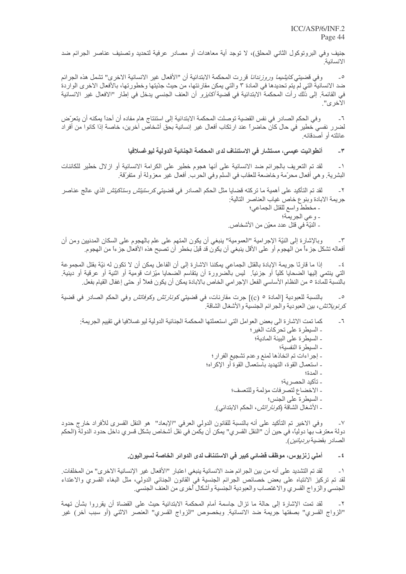جنيف وفي البروتوكول الثاني المحلق)، لا توجد أية معاهدات أو مصادر عرفية لتحديد وتصنيف عناصر الجرائم ضد الانسانية

وفي قضيتي *كايشيما وروزندانا* قررت المحكمة الابتدائية أن "الأفعال غير الانسانية الاخرى" تشمل هذه الجرائم  $\overline{\phantom{a}}$ ضد الانسانية التي لم يتم تحديدها في المادة ٣ والتي يمكن مقارنتها، من حيث جدّيتها وخطورتها، بالأفعال الاخر ي الواردة في القائمة. إلى ذلك رأت المحكمة الابتدائية في قضية *أكايزو* أن العنف الجنسي يدخل في إطار "الافعال غير الانسانية  $"$ الاخرى

وفي الحكم الصـادر في نفس القضية توصلت المحكمة الابتدائية إلى استنتاج هام مفاده أن أحداً يمكنه أن يتعرّض  $-7$ لضرر نفسي خطير في حال كان حاضراً عند ارتكاب أفعال غير إنسانية بحق أشخاص آخرين، خاصة إذا كانوا من أفراد عائلته أو أصدقائه

#### أنطوانيت عيسى، مستشار في الاستئناف لدى المحكمة الجنائية الدولية ليوغسلافيا  $-\mathbf{r}$

لقد تم التعريف بالجرائم ضد الانسانية على أنها هجوم خطير على الكرامة الانسانية أو ازلال خطير للكائنات  $-1$ البشرية. و هي أفعال محرَّمة وخاضعة للعقاب في السلم وفي الحرب. أفعال غير معزولة أو متفرِّقة.

لقد تم التأكيد على أهمية ما تركته قضايا مثل الحكم الصادر في قضبتي *كر ستيتش وستاكيتش* الذي عالج عناصر  $-\tau$ جريمة الابادة وبنوع خاص غياب العناصر التالية: - مخطط واسع للقتل الجماعي؛ - وعي الجريمة؛

ـ النيّةَ في قتل عدد معيّن من الأشخاص.

وبالإشارة إلى النيّة الإجرامية "العمومية" ينبغي أن يكون المتهم على علم بالهجوم على السكان المدنيين ومن أن أفعاله تشكل جزءاً من الهجوم أو على الأقل ينبغي أن يكون قد قُلِلَ بخطرٍ أن تصبح هذه الأفعال جزءاً من الهجوم.

إذا ما قارنًا جريمة الإبادة بالقتل الجماعي يمكننا الاشارة إلى أن الفاعل يمكن أن لا تكون له نبّة بقتل المجموعة  $-5$ التي ينتمي إليها الضحايا كلياً أو جزئياً. ليس بالضرورة أن يتقاسم الضحايا ميّز ات قومية أو اثنية أو عرقية أو دينية بالنسبة للمادة ٥ من النظام الأساسي الفعل الإجرامي الخاص بالابادة يمكن أن يكون فعلاً أو حتى إغفال القيام بفعل ِ

بالنسبة للعبودية [المادة 0 (c)] جرت مقارنات، في قضيتي *كونارتش وكوفاتش* وفي الحكم الصادر في قضية  $\overline{\phantom{a}}$ ك*ر نو يلاتش*، بين العبودية و الجر ائم الجنسية و الأشغال الشاقة<sub>.</sub>

- كما تمت الاشارة الى بعض العوامل التي استعملتها المحكمة الجنائية الدولية ليوغسلافيا في تقييم الجريمة:  $-7$ - السيطرة على تحركات الغير ؛ ـ السيطر ة على البيئة المادية؛
	- السبطر ة النفسبة؛
	- إجراءات تم اتخاذها لمنع وعدم تشجيع الفرار ؛
	- ـ استعمال القوة، التهديد باستعمال القوة أو الإكراه؛
		- المدة؛
		- تأكيد الحصرية؛
		- الاخضاع لتصرفات مؤلمة وللتعسف؛
			- ـ السيطر ة على الجنس؛
		- ـ الأشغال الشاقة (*كونار اتش*، الحكم الابتدائي).

وفي الاخير تم التأكيد على أنه بالنسبة للقانون الدولي العرفي "الإبعاد" هو النقل القسري للأفراد خارج حدود  $-<sup>V</sup>$ دولة معترف بها دولياً، في حين أن "النقل القسرى" يمكن أن يكَّمن في نَّقل أشخاص بشكل قسرى داخل حدود الدولة (الحكم الصــادر بقضية *بر ديانين ).* 

#### أملي زنزيوس، موظف قضائي كبير في الاستئناف لدى الدوائر الخاصة لسيراليون.  $-\epsilon$

لقد تم التشديد على أنه من بين الجر ائم ضد الانسانية ينبغي اعتبار "الأفعال غير الإنسانية الاخر ى" من المخلفات ِ  $-1$ لقد تم تركيز الانتباه على بعض خصائص الجرائم الجنسية في القانون الجنائي الدولي، مثل البغاء القسري والاعتداء الجنسي والزواج القسري والاغتصاب والعبودية الجنسية وأشكال أخرى من العنف الجنسي.

لقد تمت الإشارة إلى حالة ما تزال جاسمة أمام المحكمة الابتدائية حيث على القضاة أن يقرروا بشأن تهمة  $-7$ "الزواج القسرى" بصفتها جريمة ضد الانسانية. وبخصوص "الزواج القسرى" العنصر الاثني (أو سبب أخر) غير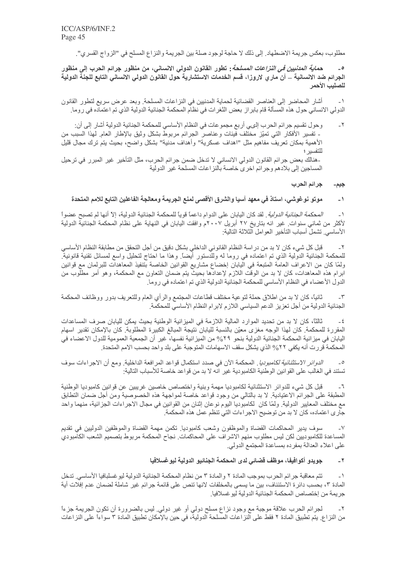مطلوب، بعكس جريمة الاضطهاد. إلى ذلك لا حاجة لوجود صلة بين الجريمة والنزاع المسلح في "الزواج القسري".

ح*ماية المدنيين في النزاعات المسلحة* : تطور القانون الدولي الانساني، من منظور جرائم الحرب إلى منظور الجرائم ضد الانسانية ـــ آن ماري لاروزا، قسم الخدمات الاستشارية حول القانون الدولي الانساني التابع للجنة الدولية للصليب الأحمر

أشار المحاضير إلى العناصر القضائية لحماية المدنيين في النزاعات المسلحة. وبعد عرض سريع لتطور القانون  $-1$ الدولي الانساني حول هذه المسألة قام بابراز بعض الثغرات في نظام المحكمة الجنائية الدولية الذي تم اعتماده في روما

وحول تقسيم جرائم الحرب إلىي أربع مجموعات في النظام الأساسي للمحكمة الجنائية الدولية أشار إلى أن:  $-\tau$ ـ تفسير الأفكار التـي تمـيّز مختّلف فيئات وعناصـر الـجرائم مربوط بشكل وثيق بالإطـار العام لـهذا السبب من الأهمية بمكان تعريف مفاهيم مثل "اهداف عسكرية" وأهداف مدنية" بشكل واضح، بحيث يتم ترك مجال قليل للتفسير ؛ -هنالك بعض جرائم القانون الدولي الانساني لا تدخل ضمن جرائم الحرب، مثل التأخير غير المبرر في ترحيل

المساجين إلى بلادهم وجرائم اخرى خاصة بالنز اعات المسلحة غير الدولية

جر إنم الحرب جيم۔

#### موتو نوغوشي، استاذ في معهد آسيا والشرق الأقصى لمنع الجريمة ومعالجة الفاعلين التابع للامم المتحدة  $-1$

*المحكمة الجنائية الدولية* . لقد كان اليابان على الدوام داعماً قوياً للمحكمة الجنائية الدولية، إلا أنها لم تصبح عضواً  $\rightarrow$ لأكثر من ثماني سنوات. غير انه بتاريخ ٢٧ أبريل ٢٠٠٧م وافقت اليابان في النهاية على نظام المحكمة الجنائية الدولية الأساسي تشمل أسباب التأخير العوامل الثلاثة التالية:

قبل كل شيء كان لا بد من در اسة النظام القانوني الداخلي بشكل دقيق من أجل التحقق من مطابقة النظام الأساسي  $-\tau$ للمحكمة الجنائية الدولية الذي تم اعتماده في روما له وللدستور أيضاً. وهذا ما احتاج لتحليل واسع لمسائل تقنية قانونية ولمّا كان من الاعراف العامّة المتبعة في الّيابان إخضاع مشاريع القوانين الخاصة بتنفيذ المعاهدات للبرلمان مع قوانين ابرام هذه المعاهدات، كان لا بد من الوقت اللازم لإعدادها بحيث يتم ضمان التعاون مع المحكمة، وهو أمر مطلوب من الدول الأعضاء في النظام الأساسي للمحكمة الجنائية الدولية الذي تم اعتماده في روما.

ثانياً، كان لا بد من اطلاق حملة لتوعية مختلف قطاعات المجتمع والرأى العام وللتعريف بدور ووظائف المحكمة  $-\tau$ الجنائية الدولية من أجل تعزيز الدعم السياسي اللازم لابرام النظام الأساسي للمحكِّمة.

ثالثًا، كان لا بد من تحديد الموارد المالية اللازمة في الميزانية الوطنية بحيث يمكن لليابان صرف المساعدات  $-\epsilon$ المقررة للمحكمة. كان لهذا الوجه مغزى معيّن بالنسبة لليابان نتيجة المبالغ الكبيرة المطلوبة. كان بالإمكان تقدير اسهام اليابان في ميزانية المحكمة الجنائية الدولية بنحو ٢٩% من الميزانية نفسها، غير أن الجمعية العمومية للدول الاعضاء في المحكمة قررت أنه يكفي ٢٢% الذي يشكل سقف الاسهامات المتوجبة على بلد واحد بحسب الامم المتحدة ِ

الد*وائر الاستثنائية لكامبوديا* . المحكمة الآن في صدد استكمال قواعد المرافعة الداخلية. ومع أن الاجر اءات سوف  $\overline{\phantom{a}}$ تستند في الغالب على القوانين الوطنية الكامبودية غير انّه لا بد من قواعد خاصة للأسباب التالية:

قبل كل شيء للدوائر الاستثنائية لكامبوديا مهمة وبنية واختصاص خاصين غريبين عن قوانين كامبوديا الوطنية  $-7$ المطبقة على الجرائم الاعتيادية. لا بد بالنالي من وجود قواعد خاصة لمواجهة هذه الخصوصية ومن أجل ضمان النطابق مع مختلف المعايير الدولية. ولمّا كان لكامبوديا اليوم نوعان إثنان من القوانين في مجال الاجر اءات الجز ائية، منهما واحد جار ى اعتماده، كان لا بد من توضيح الاجر اءات التي تنظم عمل هذه المحكمة ِ

سوف يدير المحاكمات القضاة والموظفون وشعب كامبوديا. تكمن مهمة القضاة والموظفين الدوليين في تقديم  $\mathsf{L}\mathsf{V}$ المساعدة للكامبوديين لكن ليس مطلوب منهم الاشراف على المحاكمات. نجاح المحكمة مربوط بتصميم الشعب الكامبودي على اعلاء العدالة بمفر ده بمساعدة المجتمع الدولي.

#### جويدو أكوافيفا، موظف قضائي لدى المحكمة الجنائيو الدولية ليوغسلافيا  $-7$

تتم معاقبة جر ائم الحر ب بمو جب المادة ٢ و المادة ٣ من نظام المحكمة الجنائية الدو لية ليو غسلبافيا الأساسي ٍ تدخل  $\rightarrow$ المادة ٣، بحسب دائرة الاستئناف، بين ما يسمى بالمخلفات لانها تنص على قائمة جرائم غير شاملة لضمان عدم إفلات أية جريمة من إختصـاص المحكمة الجنائية الدولية ليو غسلافيا.

لجرائم الحرب علاقة موجبة مع وجود نزاع مسلح دولي أو غير دولي. ليس بالضرورة أن تكون الجريمة جزءاً  $-\tau$ من النزاع. يتم تطبيق المادة ٢ فقط على النز اعات المسلحة الدولية، في حين بالإمكان تطبيق المادة ٣ سواءاً على النز اعات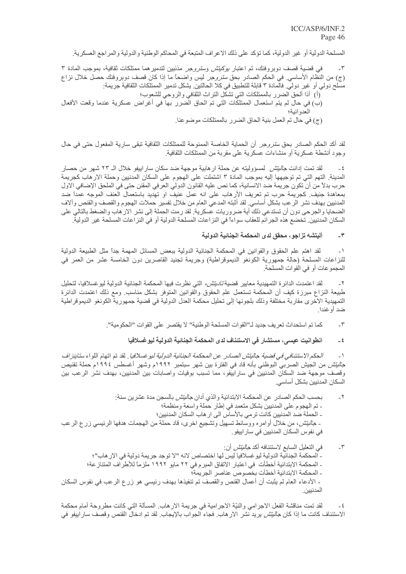المسلحة الدولية أو غير الدولية، كما تؤكد على ذلك الاعراف المتبعة في المحاكم الوطنية والدولية والمراجع العسكرية.

في قضية قصف دوبروفنك، تم اعتبار *بوكيتش وسترو*جر مذنبين لتدمير هما ممتلكات ثقافية، بموجب المادة ٣  $-\tau$ (ج) من النظام الأساسي<sub>.</sub> في الحكم الصادر بحق *سترو*جر ليس واضحاً ما إذا كان قصف دوبروفنك حصل خلال نزاع مسلح دولي أو غير دولي. فالمادة ٣ قابلة للتطبيق في كلا الحالتين. يشكل تدمير الممتلكات الثقافية جريمة:

- (أ) أذا ألحق الضرر بالممتلكات التي تشكّل التراث الثقافي والروحي للشعوب؛
- (ب) في حال لم يتم استعمال الممتلكات التي تم الحاق الضرر بها في أغراض عسكرية عندما وقعت الأفعال العدو انبة؛
	- (ج) في حال تم العمل بنية الحاق الضرر بالممتلكات موضوعنا ِ

لقد أكد الحكم الصـادر بـحق *سترو*جر أن الـحماية الـخاصـة الممنوحة للممتلكات الثقافية تبقى سارية المفعول حتى في حال وجود أنشطة عسكرية أو منشاءات عسكرية على مقربة من الممتلكات الثقافية.

لقد تمت إدانت *جاليتش* لمسؤوليته عن حملة ار هابية موجهة ضد سكان سار اييفو خلال الـ ٢٣ شهر من حصار  $-5$ المدينة. التهم التي تم توجيهها إليه بموجب المادة ٣ اشتملت على الهجوم على السكان المدنيين وحملة الار هاب كجريمة حرب بدلاً من أن تكون جريمة ضد الانسانية، كما نص عليه القانون الدولي العرفي المقنن حتى في الملحق الإضافي الاول بمعاهدة جنيف كجريمة حرب تم تعريف الأرهاب على انه عمل عنيف او تهديد باستعمال العنف الموجه عمداً ضد المدنيين بهدف نشر الرعب بشكل أساسي لقد أثبته المدعي العام من خلال تفسير حملات الهجوم والقصف والقنص وألاف الضحايا والجرحي دون أن تستدعي ذلك أية ضروريات عسكرية. لقد رمت الحملة إلى نشر الار هاب والضغط بالتالي على السكان المدنيين تخضم هذه الجرائم للعقاب سواءاً في النز اعات المسلحة الدولية أو في النز اعات المسلحة غير الدولية

#### أليتشه تزاجو، محقق لدى المحكمة الجنائية الدولية  $-\mathbf{r}$

لقد اهتم علم الحقوق والقوانين في المحكمة الجنائية الدولية ببعض المسائل المهمة جداً مثل الطبيعة الدولية  $-1$ للنزاعات المسلحة (حالة جمهورية الكونغو الديموقراطية) وجريمة تجنيد القاصرين دون الخامسة عشر من العمر في المجمو عات أو في القو ات المسلحة ِ

 $\mathbin{\rlap{-}}\mathbf{Y}$ لقد اعتمدت الدائرة التمهيدية معايير قضية *تاديتش،* التي نظرت فيها المحكمة الجنائية الدولية ليو غسلافيا، لتحليل طبيعة النزاع مبرزة كيف أن المحكمة تستعمل علم الحقوق والقوانين المتوفر بشكل مناسب ومع ذلك اعتمدت الدائرة التمهيدية الاخرى مقاربة مختلفة وذلك بلجوئها إلى تحليل محكمة العدل الدولية في قضية جمهورية الكونغو الديموقراطية ضد أو غندا ِ

- كما تم استحداث تعريف جديد لـ"القوات المسلحة الوطنية" لا يقتصر على القوات "الحكومية".  $-\tilde{v}$ 
	- انطوانيت عيسى، مستشار في الاستئناف لدى المحكمة الجنائية الدولية ليو غسلافيا  $-5$

الحكم الاستئنافي في قضية جاليتش الصادر عن المحكمة الجنائية الدولية ليو غسلافيا . لقد تم اتهام اللواء ستاينز لف  $-1$ ج*اليتش* من الجيش الصربي البوظني بأنه قاد في الفترة بين شهر سبتمبر ١٩٩٢م وشهر أغسطس ١٩٩٤م حملة تقنيص وقصف موجهة ضد السكان المدنيين في ساراييفو، مما تسبب بوفيات واصابات بين المدنيين، بهدف نشر الرعب بين السكان المدنيين بشكل أساسي.

- بحسب الحكم الصـادر عن المحكمـة الابتدائيـة والذي أدان جـ*اليتش* بـالسجن مدة عشرين سنـة:  $-\tau$ - تم الهجوم على المدنيين بشكل متعمد في إطار حملة واسعة ومنظمة؛ - الحملة ضد المدنيين كانت ترمي بالأساس الى ار هاب السكان المدنيين؛ ـ جا*ليتش،* من خلال أوامره ووسائط تسهيل وتشجيع اخرى، قاد حملة من الهجمات هدفها الرئيسي زرع الرعب في نفوس السكان المدنيين في سار ابيفو .
- في التعليل السابع لاستئنافه أكد *جاليتش* أن:  $-\tilde{\mathbf{v}}$ - المحكمة الجنائية الدولية ليو غسلافيا ليس لها اختصاص لانه "لا توجد جريمة دولية في الار هاب"؛ ـ المحكمة الابتدائية أخطأت في اعتبار الاتفاق المبر م في ٢٢ مايو ١٩٩٢ ملز ماً للأطر اف المتناز عة؛ - المحكمة الابتدائية أخطأت بخصوص عناصر الجريمة؛ ـ الأدعاء العام لم يثبت أن أعمال القنص والقصف تم تنفيذها بهدف رئيسي هو زرع الرعب في نفوس السكان المدنيين.

لقد تمت مناقشة الفعل الاجرامي والنيّة الاجرامية في جريمة الار هاب. المسألة التي كانت مطروحة أمام محكمة  $-\xi$ الاستئناف كانت ما إذا كا*ن جاليتش* يريد نشر الار هاب<sub>.</sub> فجاء الجواب بالإيجاب<sub>.</sub> لقد تم ادخال القنص وقصف سار اييفو في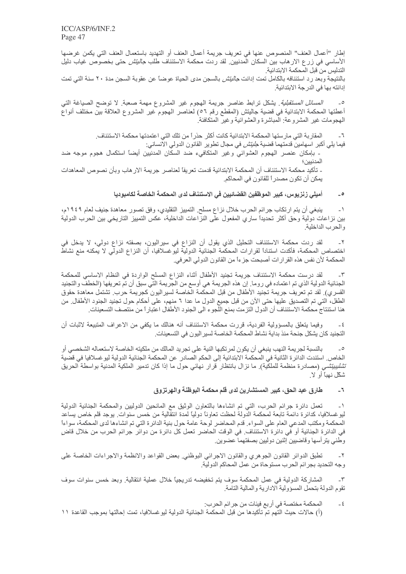إطار "أعمال العنف" المنصوص عنها في تعريف جريمة أعمال العنف أو التهديد باستعمال العنف التي يكمن غرضها الأساسي في زرع الارهاب بين السكان المدنبين. لقد ردت محكمة الاستئناف طلب *جاليتش* حتى بخصوص غياب دليل التدليس من قبل المحكمة الابتدائية.

بالنتيجة وبعد ر د استئنافه بالكامل تمت إدانت ج*اليتش* بالسجن مدى الحياة عوضـًا عن عقوبـة السجن مدة ٢٠ سنـة التي تمت إدانته بها في الدرجة الابتدائية.

*المسائل المستقبلية*. يشكل نرابط عناصر جريمة الهجوم غير المشروع مهمة صعبة<sub>.</sub> لا توضح الصياغة التبي أعطتها المحكمة الابتدائية في قضية جاليتش (المقطع رقم ٥٦) لعناصر الهجوم غير المشروع العلاقة بين مختلف أنواع المهجومات غير المشروعة: المباشرة والعشوائية وغير المتكافئة.

المقاربة التي مارستها المحكمة الابتدائية كانت أكثر حذراً من تلك التي اعتمدتها محكمة الاستئناف ِ  $-7$ فيما يلى أكبر اسهامين قدمتهما قضية *جليتش* في مجال تطوير القانون الدولي الانساني: ۔ بإمكان عنصر الهجوم العشوائي وغير المتكافىء ضد السكان المدنيين أيضاً استكمال هجوم موجه ضد

المدنيين؛ - تأكيد محكمة الاستئناف أن المحكمة الابتدائية قدمت تعريفاً لعناصر جريمة الار هاب وبأن نصوص المعاهدات يمكن أن تكون مصدر ًا للقانون في المحاكم.

#### أميلي زنزيوس، كبير الموظفين القضائيين في الاستئناف لدى المحكمة الخاصة لكامبوديا  $\circ$

ينبغي أن يتم ارتكاب جرائم الحرب خلال نزاع مسلح ِ التمييز التقليدي، وفق تصور معاهدة جنيف لعام ١٩٤٩م،  $-1$ بين نزاعات دولية وحق أكثر تحديداً ساري المفعول على النزاعات الداخلية، عكس التمييز التاريخي بين الحرب الدولية و الحر ب الداخلية ِ

لقد ردت محكمة الاستئناف التحليل الذي يقول أن النزاع في سيراليون، بصفته نزاع دولي، لا يدخل في  $-\tau$ اختصاص المحكمة، فأكدت استناداً لقرارات المحكمة الجنائية الدولية ليوغسلافيا، أن النزاع الدولي لا يمكنه منع نشاط المحكمة لأن نفس هذه القر ار ات أصبحت جز ءاً من القانون الدولي العر في.

لقد درست محكمة الاستئناف جريمة تجنيد الأطفال أثناء النزاع المسلح الواردة في النظام الاساسي للمحكمة  $-\tau$ الجنائية الدولية الذي تم اعتماده في روما. إن هذه الجريمة هي أوسع من الجريمة التي سبق أن تم تعريفها (الخطف والتجنيد القسري) لقد تم تعريف جريمة تجنيد الأطفال من قبل المحكمة الخاصة لسير اليون كجريمة حرب. تشتمل معاهدة حقوق الطفل، التي تم التصديق عليها حتى الأن من قبل جميع الدول ما عدا ٦ منهم، على أحكام حول تجنيد الجنود الأطفال من هنا استنتاج محكمة الاستئناف أن الدول التزمت بمنع اللُّجو ء الى الجنود الأطفال اعتبار اً من منتصف التسعينات ِ

وفيما يتعلَّق بالمسؤولية الفردية، قررت محكمة الاستئناف أنه هنالك ما يكفي من الاعراف المتبيعة لاثبات أن  $-\xi$ التجنيد كان بشكل جنحة منذ بداية نشاط المحكمة الخاصة لسير اليو ن في التسعينات.

بالنسبة لجريمة النهب ينبغي أن يكون لمرتكبها النية على تجريد المالك من ملكيته الخاصة لاستعماله الشخصي أو  $-0$ الخاص ِ استندت الدائر ة الثانية في المحكمة الابتدائية إلى الحكم الصادر عن المحكمة الجنائية الدولية ليو غسلافيا في قضية ت*شليبيّتشي* (مصادرة منظمة للملكية)<sub>.</sub> ما نزال بانتظار قرار نهائي حول ما إذا كان تدمير الملكية المدنية بواسطة الحريق شكّل نهناً أو لا

#### طارق عبد الحق، كبير المستشارين لدى قلم محكمة البوظنة والهرتزوق  $\mathbb{Z}^n$

تعمل دائرة جرائم الحرب، التبي تم انشاءها بالتعاون الوثيق مع المانحين الدوليين والمحكمة الجنائية الدولية  $\mathord{\hspace{1pt}\text{--}\hspace{1pt}}\lambda$ ليو غسلافيا، كدائر ة دائمة تابعة لمحكمة الدولة لحظت تعاوناً دولياً لمدة انتقالية من خمس سنوات. يوجد قلم خاص يساعد المحكمة ومكتب المدعى العام على السواء. قدم المحاضر لوحة عامة حول بنية الدائرة التي تم انشاءها لدى المحكمة، سواءاً في الدائرة الجنائية أو في دائرة الاستئناف. في الوقت الحاضر تعمل كل دائرة من دوائر جرائم الحرب من خلال قاض وطني يترأسها وقاضبين إثنين دوليين بصفتهما عضوين

تطبق الدوائر القانون الجوهري والقانون الاجرائي البوظني بعض القواعد والانظمة والاجراءات الخاصة على  $-\tau$ وجه التحديد بجرائم الحرب مستوحاة من عمل المحاكم الدولية.

المشاركة الدولية في عمل المحكمة سوف يتم تخفيضه تدريجيًا خلال عملية انتقالية. وبعد خمس سنوات سوف  $-\tau$ تقوم الدولة بتحمل المسؤولية الادارية والمالية التامة

المحكمة مختصة في أربع فيئات من جرائم الحرب:  $-5$ (أ) حالات حيث النّهم تم تأكيدها من قبل المحكمة الجنائية الدولية لبو غسلافيا، تمت إحالتها بموجب القاعدة ١١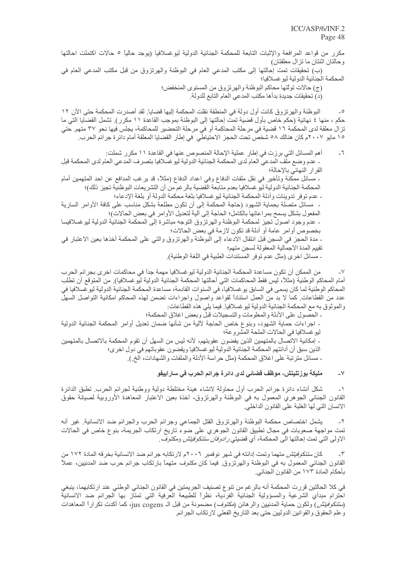مكرر من قواعد المرافعة والإثبات التابعة للمحكمة الجنائية الدولية ليوغسلافيا (يوجد حالياً ٥ حالات اكتملت احالتها وحالتان اثنتان ما تزال معلقتان) (ب) تحقيقات تمت إحالتها إلى مكتب المدعى العام في البوظنة والهرتزوق من قبل مكتب المدعى العام في المحكمة الجنائية الدولية ليو غسلافيا؛ (ج) حالات تولَّتها محاكم البوظنة والهرتزوق من المستوى المنخفض؛ (د) تحقيقات جديدة بدأها مكتب المدعى العام التابع للدولة. البوظنة والهرتزوق كانت أول دولة في المنطقة نقلت المحكمة إليها قضايا. لقد أصدرت المحكمة حتى الآن ١٢  $\overline{\phantom{a}}$ حكم ، منها ٤ نهائية (حكم خاص بأول قضية تمت إحالتها إلى البوظنة بموجب القاعدة ١١ مكرر). تشمل القضايا التي ما تز ال معلقة لدى المحكمة ١٦ قضية فى مرحلة المحاكمة أو في مرحلة التحضير للمحاكمة، يجلس فيها نحو ٣٧ متهم. حتي ١٥ مايو ٢٠٠٧م كان هنالك ٥٨ شخص تحت الحجز الاحتياطي في إطار القضايا المعلقة أمام دائر ة جر ائم الحرب. أهم المسائل التي برزت في إطار عملية الإحالة المنصوص عنها في القاعدة ١١ مكرر شملت:  $\mathcal{L}_{-}$ ـ عدم و ضع ملف المدعى العام لدى المحكمة الجنائية الدولية ليو غسلافيا بتصر ف المدعى العام لدى المحكمة قبل القرار النهائي بالإحالة؛ ـ مسائل ممكنة وتأخير في نقل ملفات الدفاع وفي اعداد الدفاع (مثلاً، قد يرغب المدافع عن احد المتهمين أمام المحكمة الجنائية الدولية ليو غسلافيا بعدم متابعة القضية بالرغم من أن التشريعات البوظنية تجيز ذلك)؛ - عدم توفر تدوينات وأدلة المحكمة الجنائية ليو غسلافيا بلغة محكمة الدولة أو بلغة الإدعاء؛ - مسائل متصلة بحماية الشهود (حاجة المحكمة إلى أن تكون مطلعة بشكل مناسب على كافة الأوامر السارية المفعول بشكل يسمح بمراعاتها بالكامل؛ الحاجة إلى ألية لتعديل الأوامر في بعض الحالات)؛

- عدم وجود اصول تجيز لمحكمة البوظنة والهرتزوق التوجه مباشرة إلى المحكمة الجنائية الدولية ليوغسلافيسا بخصوص أوامر عامة أو أدلة قد تكون لازمة في بعض الحالات؛ ـ مدة الحجز في السجن قبل انتقال الادعاء إلى البوظنة والهرتزوق والتي على المحكمة أخذها بعين الاعتبار في تقييم المدة الاجمالية المعقولة لسجن متهم؛

ـ مسائل اخر ي (مثل عدم توفر المستندات الطبية في اللغة الوطنية).

من الممكن أن تكون مساعدة المحكمة الجنائية الدولية ليو غسلافيا مهمة جداً في محاكمات اخر ي بجر ائم الحرب  $\mathord{\hspace{1pt}\text{--}\hspace{1pt}}\vee$ أمام المحاكم الوطنية (مثلاً، ليس فقط المحاكمات التي أحالتها المحكمة الجنائية الدولية ليو غسلافيا)٬ من المتوقع أن تطلب المحاكم الوطنية لما كان يسمى في السابق يو غسلافيا، في السنوات القادمة، مساعدة المحكمة الجنائية الدولية ليو غسلافيا في عدد من القطاعات كما لا بد من العمل استناداً لقواعد واصول واجراءات نضمن لهذه المحاكم امكانية التواصل السهل والموثوق به مع المحكمة الجنائية الدولية ليوغسلافيا. فيما يلِّي هذه القطاعات:

- الحصول على الأدلة والمعلومات والتسجيلات قبل وبعض اغلاق المحكمة؛ - اجراءات حماية الشهود، وبنوع خاص الحاجة لآلية من شأنها ضمان تعديل أوامر المحكمة الجنائية الدولية ليو غسلافيا في الحالات الملحة المشروعة؛ - إمكانية الاتصال بالمتهمين الذين يقضون عقوبتهم، لأنه ليس من السهل أن تقوم المحكمة بالاتصال بالمتهمين الذين سبق أن أدانتهم المحكمة الجنائية الدولية ليو غسلافيا ويقضون عقوباتهم في دول اخرى؛ ـ مسائل مترتبة على اغلاق المحكمة (مثل حراسة الأدلة والملفات والشهادات، الخ.).

#### مليكة بوزتليتش، موظف قضائي لدى دائرة جرائم الحرب في ساراييفو  $-<sup>1</sup>$

 $\mathcal{N}$ شكل أنشاء دائرة جرائع الحرب أول محاولة لانشاء هيئة مختلطة دولية ووطنية لجرائم الحرب تطبق الدائرة القانون الجنائي الجوهري المعمول به في البوظنة والهرتزوق، أخذة بعين الاعتبار المعاهدة الأوروبية لصيانة حقوق الانسان التي لها الغلبة على القانون الداخلي.

يشمل اختصاص محكمة البوظنة والهرنزوق القتل الجماعي وجرائم الحرب والجرائم ضد الانسانية. غير أنه  $-\tilde{r}$ تمت مواجهة صعوبات في مجال تطبيق القانون الجوهري على ضوء تاريخ ارتكاب الجريمة، بنوع خاص في الحالات الاولى التي تمت إحالتها الى المحكمة، أي قضيت*ي رادوفان ستنكوفيتش* ومك*توف* .

كا*ن ستنكو فيتش* متهما وتمت إدانته في شهر نوفمبر ٢٠٠٦م لارتكابه جرائم ضد الانسانية بخرقه المادة ١٧٢ من  $-\tau$ القانون الجنائي المعمول به في البوظنة والهرتزوق فيما كان مكتوف متهماً بارتكاب جرائم حرب ضد المدنبين، عملاً بأحكام المادة ١٧٣ من القانون الجنائي.

في كلا الحالتين قررت المحكمة أنه بالرغم من تنوع تصنيف الجريمتين في القانون الجنائي الوطني عند ارتكابهما، ينبغي احترام مبدأي الشرعية والمسؤولية الجنائية الفردية، نظراً للطبيعة العرفية التي تمتاز بها الجرائم ضد الانسانية (س*تنكوفيتش)* ولكون حماية المدنيين والرهائن (*مكتوف*) مضمونة من قبل الـ jus cogens، كما أكدت تكراراً المعاهدات وعلم الحقوق والقوانين الدوليين حتى بعد التاريخ الفعلى لارتكاب الجرائم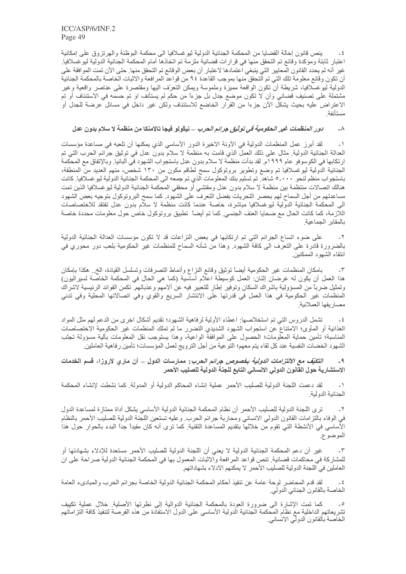ينص قانون إحالة القضايا من المحكمة الجنائية الدولية ليوغسلافيا الى محكمة البوظنة والهرتزوق على إمكانية  $-\epsilon$ اعتبار ثابتة ومؤكدة وقائع تم التحقق منها في قرارات قضائية ملزمة تم اتخاذها أمام المحكمة الجنائية الدولية ليوغسلافيا. غير أنه لم يحدد القانون المعايير التي ينبغي اعتمادها لاعتبار أن بعض الوقائع تم التحقق منها. حتى الآن تمت الموافقة على أن تكون وقائع معلومة تلك التي تم التحقق منها بموجب القاعدة ٩٤ من قواعد المر افعة والاثبات الخاصة بالمحكمة الجنائية الدولية ليوغسلافيا، شريطة أن تكون الواقعة مميزة وملموسة ويمكن النعرّف اليها ومقتصرة على عناصر واقعية وغير مشتملة على تصنيف قضائي وأن لا تكون موضع جدل بل جزءاً من حكم لم يستأنف او تم حسمه في الاستئناف أو تم الاعتراض عليه بحيث يشكل الأن جزءا من القرار الخاضع للاستئناف ولكن غير داخل في مسائل عرضة للجدل أو

#### *دور المنظمات غير ال*حك*ومية في توثيق جرائم الحرب \_ ن*يكّولو فيجا تالامنكا من منظمة لا سلام بدون عدل  $-\lambda$

 $\mathord{\hspace{1pt}\text{--}\hspace{1pt}}\lambda$ لقد أبرز عمل المنظمات الدولية في الأونة الاخيرة الدور الأساسي الذي يمكنها أن تلعبه في مساعدة مؤسسات العدالة الجنائية الدولية. مثال على ذلك العمل الذي قامت به منظمة لا سلام بدون عدل في توثيق جرائم الحرب التي تم ارتكابها في الكوسوفو عام ١٩٩٩م. لقد بدأت منظمة لا سلام بدون عدل باستجواب الشهود في البانيا. وبالإتفاق مع المحكمة الجنائية الدولية ليوغسلافيا تم وضع وتطوير بروتوكول سمح لطاقم مكون من ١٣٠ شخص، منهم العديد من المنطقة، .<br>باستجواب منظّم لنحو ۰۰۰٫۰ شاهد تم تسليم بنك المعلومات الذي تم جمعه المي المحكمة الجنائية الدولية ليوغسلافيا كانت هنالك اتصالات منتظمة بين منظمة لا سلام بدون عدل ومفتشي أو محققي المحكمة الجنائية الدولية ليوغسلافيا الذين تمت مساعدتهم من أجل السماح لهم بحصر التحريات بفضل التعرف على الشهود. كما سمح البروتوكول بتوجيه بعض الشهود الى المحكمة الجنائية الدولية ليوغسلافيا مباشرة، خاصة عندما كانت منظمة لا سلَّام بدون عدل تفتقد للاختصاصات اللازمة، كما كانت الحال مع ضحايا العنف الجنسي كما تم أيضاً تطبيق بروتوكول خاص حول معلومات محددة خاصة بالمقابر الجماعية

على ضوء اتساع الجرائم التي تم ارتكابها في بعض النزاعات قد لا تكون مؤسسات العدالة الجنائية الدولية  $-\tau$ بالضرورة قادرة على النعرف الى كافة الشهود<sub>.</sub> وهذا من شأنه السماح للمنظمات غير الحكومية بلعب دور محوري في انتقاء الشهود الممكنين

بامكان المنظمات غير الحكومية أيضاً توثيق وقائع النزاع وأنماط التصرفات وتسلسل القيادة، الخ فبمكذا بإمكان  $-\tau$ هذا العمل أن يكون له غرضان إثنان: العمل كوسيطة اعلام أساسية (كما هي الحال في المحكمة الخاصة لسيراليون) وتمثيل ضرباً من المسؤولية باشراك السكان وتوفير إطار للتعبير فيه عن ألامهم وعذباتهم تكمن الفوائد الرئيسية لاشراك المنظمات غير الحكومية في هذا العمل في قدرتها على الانتشار السريع والقوي وفي اتصالاتها المحلية وفي تدني مصاريفها العملانية

تشمل الدروس التي تم استخلاصها: اعطاء الأولية لرفاهية الشهود؛ تقديم أشكال اخرى من الدعم لهم مثل المواد  $-\xi$ الغذائية أو المأوى؛ الامتناع عن استجواب الشهود الشديدي التضرر ما لم تملك المنظمات غير الحكومية الاختصاصات المناسبة؛ نأمين حماية المعلومات؛ الحصول على الموافقة الواعية، وهذا يستوجب نقل المعلومات بألية مسؤولة تجنّب الشهود الخضبات النفسية عند كل لقاء يتم معهم؛ التوعية من أجل الترويج لعمل المؤسسات؛ تأمين رفاهية العاملين ِ

*التكيّف مع الالتزامات الدولية بخصوص جرائم الحرب*: ممارسات الدول \_ آن ماري لاروزا، قسم الخدمات  $-9$ الاستشارية حول القانون الدولي الانساني التابع للجنة الدولية للصليب الأحمر

لقد دعمت اللجنة الدولية للصليب الأحمر عملية إنشاء المحاكم الدولية أو المدولة كما نشطت لإنشاء المحكمة  $\overline{\phantom{0}}$ الجنائبة الدولبة

ترى اللجنة الدولية للصليب الأحمر أن نظام المحكمة الجنائية الدولية الأساسي يشكل أداة ممتازة لمساعدة الدول  $-5$ في الوفاء بالتزامات القانون الدولي الانساني ومحاربة جرائم الحرب. وعليه تستعين اللجنة الدولية للصليب الاحمر بالنظام الأساسي في الأنشطة التي تقوم من خلالها بتقديم المساعدة التقنية. كما ترى أنه كان مفيداً جداً البدء بالحوار حول هذا الموضوع.

غير أن دعم المحكمة الجنائية الدولية لا يعني أن اللجنة الدولية للصليب الأحمر مستعدة للإدلاء بشهادتها أو  $-\tau$ للمشاركة في محاكمات قضائية. تنص قواعد المرافعة والاثبات المعمول بها في المحكمة الجنائية الدولية صراحة على ان العاملين في اللجنة الدولية للصليب الأحمر لا يمكنهم الادلاء بشهاداتهم.

٤ ـ لقد قدم المحاضر لوحة عامة عن تنفيذ أحكام المحكمة الجنائية الدولية الخاصـة بجرائم الحرب والمبادىء العامة<br>الخاصـة بالقانون الجنائي الدولي.

كما تمت الإشارة الى ضرورة العودة بالمحكمة الجنائية الدوالية إلى نظرتها الأصلية. خلال عملية تكييف  $\overline{\phantom{a}}$ تشريعاتهم الداخلية مع نظام المحكمة الجنائية الدولية الأساسي على الدول الاستفادة من هذه الفرصة لتنفيذ كافة التز اماتهم الخاصة بالقانون الدولي الانساني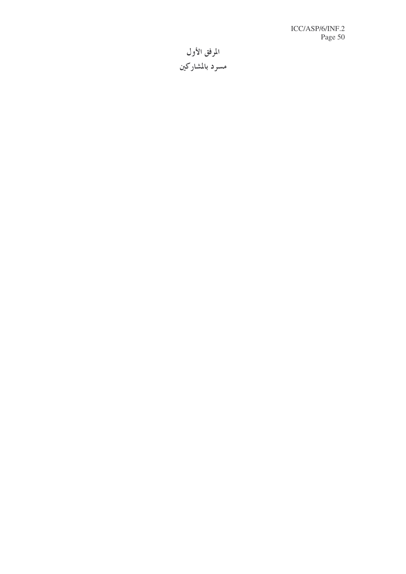المرفق الأول مسرد بالمشاركين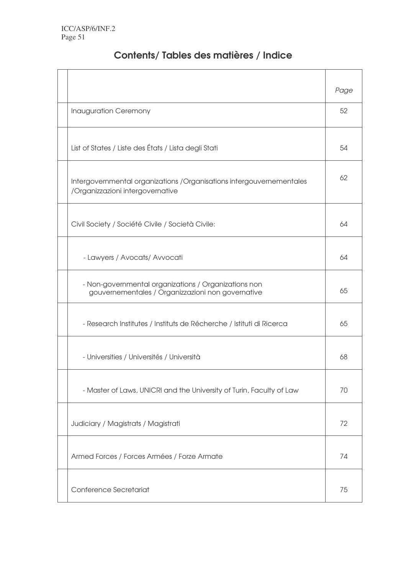| Contents/Tables des matières / Indice |  |  |  |  |  |
|---------------------------------------|--|--|--|--|--|
|---------------------------------------|--|--|--|--|--|

|                                                                                                           | Page |
|-----------------------------------------------------------------------------------------------------------|------|
| Inauguration Ceremony                                                                                     | 52   |
| List of States / Liste des États / Lista degli Stati                                                      | 54   |
| Intergovernmental organizations / Organisations intergouvernementales<br>/Organizzazioni intergovernative | 62   |
| Civil Society / Société Civile / Società Civile:                                                          | 64   |
| - Lawyers / Avocats/ Avvocati                                                                             | 64   |
| - Non-governmental organizations / Organizations non<br>gouvernementales / Organizzazioni non governative | 65   |
| - Research Institutes / Instituts de Récherche / Istituti di Ricerca                                      | 65   |
| - Universities / Universités / Università                                                                 | 68   |
| - Master of Laws, UNICRI and the University of Turin, Faculty of Law                                      | 70   |
| Judiciary / Magistrats / Magistrati                                                                       | 72   |
| Armed Forces / Forces Armées / Forze Armate                                                               | 74   |
| Conference Secretariat                                                                                    | 75   |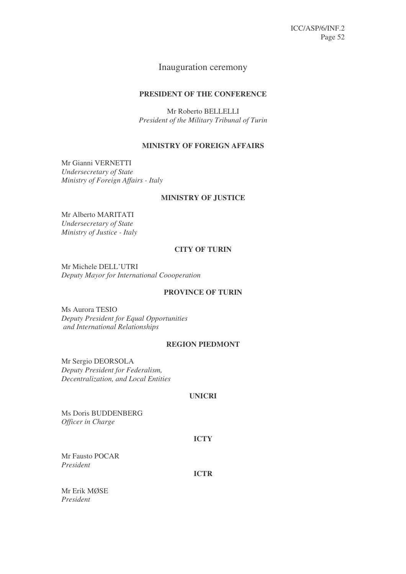# Inauguration ceremony

# **PRESIDENT OF THE CONFERENCE**

Mr Roberto BELLELLI *President of the Military Tribunal of Turin*

# **MINISTRY OF FOREIGN AFFAIRS**

Mr Gianni VERNETTI *Undersecretary of State Ministry of Foreign Affairs - Italy*

# **MINISTRY OF JUSTICE**

Mr Alberto MARITATI *Undersecretary of State Ministry of Justice - Italy*

# **CITY OF TURIN**

Mr Michele DELL'UTRI *Deputy Mayor for International Coooperation*

# **PROVINCE OF TURIN**

Ms Aurora TESIO *Deputy President for Equal Opportunities and International Relationships*

# **REGION PIEDMONT**

Mr Sergio DEORSOLA *Deputy President for Federalism, Decentralization, and Local Entities*

# **UNICRI**

Ms Doris BUDDENBERG *Officer in Charge*

# **ICTY**

Mr Fausto POCAR *President*

**ICTR**

Mr Erik MØSE *President*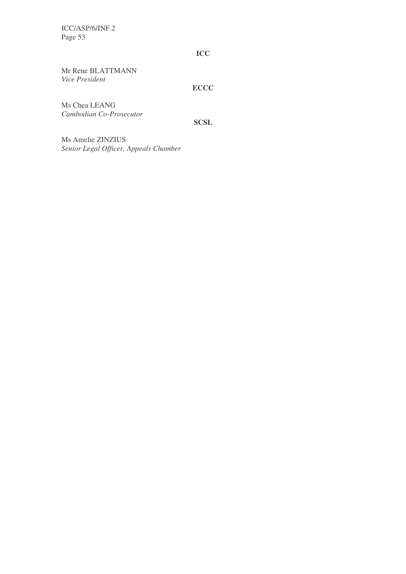**ICC**

Mr Rene BLATTMANN *Vice President*

**ECCC**

Ms Chea LEANG *Cambodian Co-Prosecutor*

**SCSL**

Ms Amelie ZINZIUS *Senior Legal Officer, Appeals Chamber*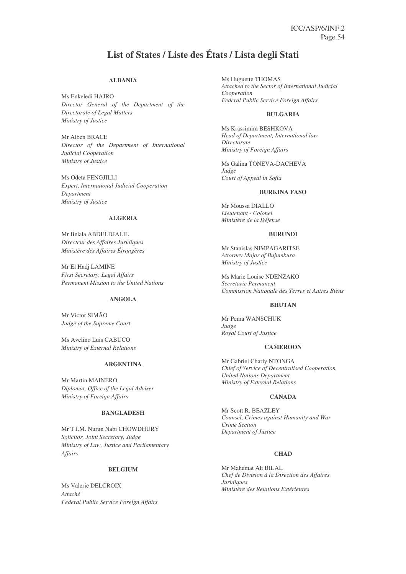# **List of States / Liste des États / Lista degli Stati**

#### **ALBANIA**

Ms Enkeledi HAJRO *Director General of the Department of the Directorate of Legal Matters Ministry of Justice*

Mr Alben BRACE *Director of the Department of International Judicial Cooperation Ministry of Justice*

Ms Odeta FENGJILLI *Expert, International Judicial Cooperation Department Ministry of Justice*

### **ALGERIA**

Mr Belala ABDELDJALIL *Directeur des Affaires Juridiques Ministère des Affaires Étrangères*

Mr El Hadj LAMINE *First Secretary, Legal Affairs Permanent Mission to the United Nations*

#### **ANGOLA**

Mr Victor SIMĂO *Judge of the Supreme Court*

Ms Avelino Luis CABUCO *Ministry of External Relations*

# **ARGENTINA**

Mr Martin MAINERO *Diplomat, Office of the Legal Adviser Ministry of Foreign Affairs*

#### **BANGLADESH**

Mr T.I.M. Nurun Nabi CHOWDHURY *Solicitor, Joint Secretary, Judge Ministry of Law, Justice and Parliamentary Affairs*

### **BELGIUM**

Ms Valerie DELCROIX *Attaché Federal Public Service Foreign Affairs* Ms Huguette THOMAS *Attached to the Sector of International Judicial Cooperation Federal Public Service Foreign Affairs*

#### **BULGARIA**

Ms Krassimira BESHKOVA *Head of Department, International law Directorate Ministry of Foreign Affairs*

Ms Galina TONEVA-DACHEVA *Judge Court of Appeal in Sofia*

### **BURKINA FASO**

Mr Moussa DIALLO *Lieutenant - Colonel Ministère de la Défense*

#### **BURUNDI**

Mr Stanislas NIMPAGARITSE *Attorney Major of Bujumbura Ministry of Justice*

Ms Marie Louise NDENZAKO *Secretarie Permanent Commission Nationale des Terres et Autres Biens*

#### **BHUTAN**

Mr Pema WANSCHUK *Judge Royal Court of Justice*

#### **CAMEROON**

Mr Gabriel Charly NTONGA *Chief of Service of Decentralised Cooperation, United Nations Department Ministry of External Relations*

#### **CANADA**

Mr Scott R. BEAZLEY *Counsel, Crimes against Humanity and War Crime Section Department of Justice*

### **CHAD**

Mr Mahamat Ali BILAL *Chef de Division á la Direction des Affaires Juridiques Ministère des Relations Extérieures*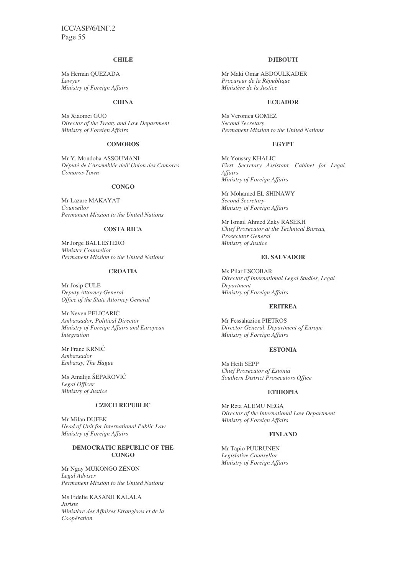### **CHILE**

Ms Hernan QUEZADA *Lawyer Ministry of Foreign Affairs*

### **CHINA**

Ms Xiaomei GUO *Director of the Treaty and Law Department Ministry of Foreign Affairs*

### **COMOROS**

Mr Y. Mondoha ASSOUMANI *Député de l'Assemblée dell'Union des Comores Comoros Town*

#### **CONGO**

Mr Lazare MAKAYAT *Counsellor Permanent Mission to the United Nations*

## **COSTA RICA**

Mr Jorge BALLESTERO *Minister Counsellor Permanent Mission to the United Nations*

### **CROATIA**

Mr Josip CULE *Deputy Attorney General Office of the State Attorney General*

Mr Neven PELICARIĆ *Ambassador, Political Director Ministry of Foreign Affairs and European Integration*

Mr Frane KRNIĆ *Ambassador Embassy, The Hague*

Ms Amalija ŠEPAROVIĆ *Legal Officer Ministry of Justice*

#### **CZECH REPUBLIC**

Mr Milan DUFEK *Head of Unit for International Public Law Ministry of Foreign Affairs*

# **DEMOCRATIC REPUBLIC OF THE CONGO**

Mr Ngay MUKONGO ZÉNON *Legal Adviser Permanent Mission to the United Nations*

Ms Fidelie KASANJI KALALA *Juriste Ministère des Affaires Etrangères et de la Coopération*

## **DJIBOUTI**

Mr Maki Omar ABDOULKADER *Procureur de la République Ministère de la Justice*

#### **ECUADOR**

Ms Veronica GOMEZ *Second Secretary Permanent Mission to the United Nations*

#### **EGYPT**

Mr Youssry KHALIC *First Secretary Assistant, Cabinet for Legal Affairs Ministry of Foreign Affairs*

Mr Mohamed EL SHINAWY *Second Secretary Ministry of Foreign Affairs*

Mr Ismail Ahmed Zaky RASEKH *Chief Prosecutor at the Technical Bureau, Prosecutor General Ministry of Justice*

#### **EL SALVADOR**

Ms Pilar ESCOBAR *Director of International Legal Studies, Legal Department Ministry of Foreign Affairs*

#### **ERITREA**

Mr Fessahazion PIETROS *Director General, Department of Europe Ministry of Foreign Affairs*

#### **ESTONIA**

Ms Heili SEPP *Chief Prosecutor of Estonia Southern District Prosecutors Office*

#### **ETHIOPIA**

Mr Reta ALEMU NEGA *Director of the International Law Department Ministry of Foreign Affairs*

#### **FINLAND**

Mr Tapio PUURUNEN *Legislative Counsellor Ministry of Foreign Affairs*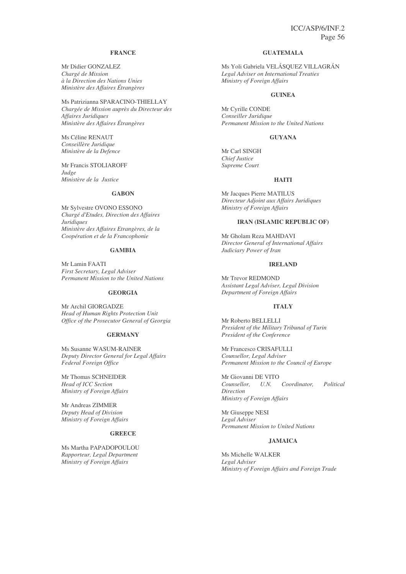# **FRANCE**

Mr Didier GONZALEZ *Chargé de Mission à la Direction des Nations Unies Ministère des Affaires Étrangères*

Ms Patrizianna SPARACINO-THIELLAY *Chargée de Mission auprès du Directeur des Affaires Juridiques Ministère des Affaires Étrangères*

Ms Céline RENAUT *Conseillère Juridique Ministère de la Defence*

Mr Francis STOLIAROFF *Judge Ministère de la Justice*

#### **GABON**

Mr Sylvestre OVONO ESSONO *Chargé d'Etudes, Direction des Affaires Juridiques Ministère des Affaires Etrangères, de la Coopération et de la Francophonie*

#### **GAMBIA**

Mr Lamin FAATI *First Secretary, Legal Adviser Permanent Mission to the United Nations*

#### **GEORGIA**

Mr Archil GIORGADZE *Head of Human Rights Protection Unit Office of the Prosecutor General of Georgia*

#### **GERMANY**

Ms Susanne WASUM-RAINER *Deputy Director General for Legal Affairs Federal Foreign Office*

Mr Thomas SCHNEIDER *Head of ICC Section Ministry of Foreign Affairs*

Mr Andreas ZIMMER *Deputy Head of Division Ministry of Foreign Affairs*

#### **GREECE**

Ms Martha PAPADOPOULOU *Rapporteur, Legal Department Ministry of Foreign Affairs*

#### **GUATEMALA**

Ms Yoli Gabriela VELÁSQUEZ VILLAGRÁN *Legal Adviser on International Treaties Ministry of Foreign Affairs*

#### **GUINEA**

Mr Cyrille CONDE *Conseiller Juridique Permanent Mission to the United Nations*

#### **GUYANA**

Mr Carl SINGH *Chief Justice Supreme Court*

#### **HAITI**

Mr Jacques Pierre MATILUS *Directeur Adjoint aux Affairs Juridiques Ministry of Foreign Affairs*

# **IRAN (ISLAMIC REPUBLIC OF)**

Mr Gholam Reza MAHDAVI *Director General of International Affairs Judiciary Power of Iran*

## **IRELAND**

Mr Trevor REDMOND *Assistant Legal Adviser, Legal Division Department of Foreign Affairs*

#### **ITALY**

Mr Roberto BELLELLI *President of the Military Tribunal of Turin President of the Conference*

Mr Francesco CRISAFULLI *Counsellor, Legal Adviser Permanent Mission to the Council of Europe*

Mr Giovanni DE VITO *Counsellor, U.N. Coordinator, Political Direction Ministry of Foreign Affairs*

Mr Giuseppe NESI *Legal Adviser Permanent Mission to United Nations*

#### **JAMAICA**

Ms Michelle WALKER *Legal Adviser Ministry of Foreign Affairs and Foreign Trade*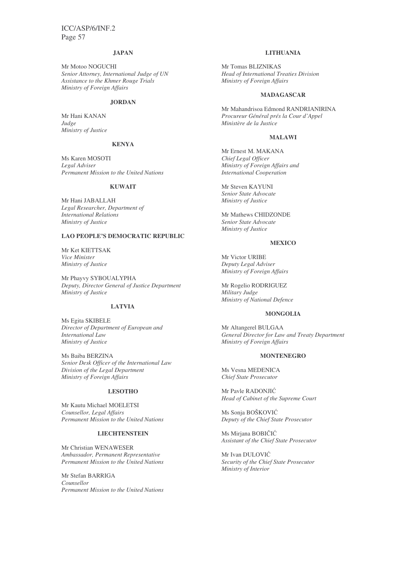#### **JAPAN**

Mr Motoo NOGUCHI *Senior Attorney, International Judge of UN Assistance to the Khmer Rouge Trials Ministry of Foreign Affairs*

#### **JORDAN**

Mr Hani KANAN *Judge Ministry of Justice*

#### **KENYA**

Ms Karen MOSOTI *Legal Adviser Permanent Mission to the United Nations*

#### **KUWAIT**

Mr Hani JABALLAH *Legal Researcher, Department of International Relations Ministry of Justice*

# **LAO PEOPLE'S DEMOCRATIC REPUBLIC**

Mr Ket KIETTSAK *Vice Minister Ministry of Justice*

Mr Phayvy SYBOUALYPHA *Deputy, Director General of Justice Department Ministry of Justice*

#### **LATVIA**

Ms Egita SKIBELE *Director of Department of European and International Law Ministry of Justice*

Ms Baiba BERZINA *Senior Desk Officer of the International Law Division of the Legal Department Ministry of Foreign Affairs*

# **LESOTHO**

Mr Kautu Michael MOELETSI *Counsellor, Legal Affairs Permanent Mission to the United Nations*

# **LIECHTENSTEIN**

Mr Christian WENAWESER *Ambassador, Permanent Representative Permanent Mission to the United Nations*

Mr Stefan BARRIGA *Counsellor Permanent Mission to the United Nations*

#### **LITHUANIA**

Mr Tomas BLIZNIKAS *Head of International Treaties Division Ministry of Foreign Affairs*

#### **MADAGASCAR**

Mr Mahandrisoa Edmond RANDRIANIRINA *Procureur Général prés la Cour d'Appel Ministère de la Justice*

#### **MALAWI**

Mr Ernest M. MAKANA *Chief Legal Officer Ministry of Foreign Affairs and International Cooperation*

Mr Steven KAYUNI *Senior State Advocate Ministry of Justice*

Mr Mathews CHIDZONDE *Senior State Advocate Ministry of Justice*

### **MEXICO**

Mr Victor URIBE *Deputy Legal Adviser Ministry of Foreign Affairs*

Mr Rogelio RODRIGUEZ *Military Judge Ministry of National Defence*

#### **MONGOLIA**

Mr Altangerel BULGAA *General Director for Law and Treaty Department Ministry of Foreign Affairs*

#### **MONTENEGRO**

Ms Vesna MEDENICA *Chief State Prosecutor*

Mr Pavle RADONJIĆ *Head of Cabinet of the Supreme Court*

Ms Sonja BOŠKOVIĆ *Deputy of the Chief State Prosecutor*

Ms Mirjana BOBIČIĆ *Assistant of the Chief State Prosecutor*

Mr Ivan DULOVIĆ *Security of the Chief State Prosecutor Ministry of Interior*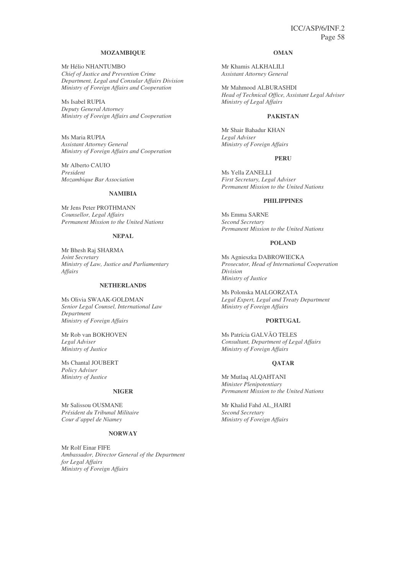#### **MOZAMBIQUE**

Mr Hélio NHANTUMBO *Chief of Justice and Prevention Crime Department, Legal and Consular Affairs Division Ministry of Foreign Affairs and Cooperation*

Ms Isabel RUPIA *Deputy General Attorney Ministry of Foreign Affairs and Cooperation*

Ms Maria RUPIA *Assistant Attorney General Ministry of Foreign Affairs and Cooperation*

Mr Alberto CAUIO *President Mozambique Bar Association*

### **NAMIBIA**

Mr Jens Peter PROTHMANN *Counsellor, Legal Affairs Permanent Mission to the United Nations*

#### **NEPAL**

Mr Bhesh Raj SHARMA *Joint Secretary Ministry of Law, Justice and Parliamentary Affairs*

#### **NETHERLANDS**

Ms Olivia SWAAK-GOLDMAN *Senior Legal Counsel, International Law Department Ministry of Foreign Affairs*

Mr Rob van BOKHOVEN *Legal Adviser Ministry of Justice*

Ms Chantal JOUBERT *Policy Adviser Ministry of Justice*

#### **NIGER**

Mr Salissou OUSMANE *Président du Tribunal Militaire Cour d'appel de Niamey*

#### **NORWAY**

Mr Rolf Einar FIFE *Ambassador, Director General of the Department for Legal Affairs Ministry of Foreign Affairs*

#### **OMAN**

Mr Khamis ALKHALILI *Assistant Attorney General*

Mr Mahmood ALBURASHDI *Head of Technical Office, Assistant Legal Adviser Ministry of Legal Affairs*

#### **PAKISTAN**

Mr Shair Bahadur KHAN *Legal Adviser Ministry of Foreign Affairs*

#### **PERU**

Ms Yella ZANELLI *First Secretary, Legal Adviser Permanent Mission to the United Nations*

#### **PHILIPPINES**

Ms Emma SARNE *Second Secretary Permanent Mission to the United Nations*

#### **POLAND**

Ms Agnieszka DABROWIECKA *Prosecutor, Head of International Cooperation Division Ministry of Justice*

Ms Polonska MALGORZATA *Legal Expert, Legal and Treaty Department Ministry of Foreign Affairs*

#### **PORTUGAL**

Ms Patrícia GALVÃO TELES *Consultant, Department of Legal Affairs Ministry of Foreign Affairs*

#### **QATAR**

Mr Mutlaq ALQAHTANI *Minister Plenipotentiary Permanent Mission to the United Nations*

Mr Khalid Fahd AL\_HAIRI *Second Secretary Ministry of Foreign Affairs*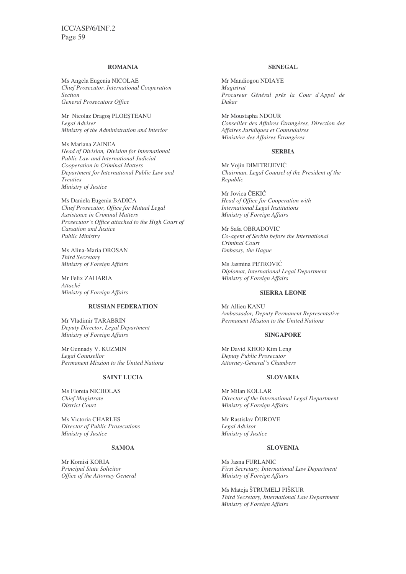#### **ROMANIA**

Ms Angela Eugenia NICOLAE *Chief Prosecutor, International Cooperation Section General Prosecutors Office*

Mr Nicolaz Drago¢ PLOE£TEANU *Legal Adviser Ministry of the Administration and Interior*

Ms Mariana ZAINEA *Head of Division, Division for International Public Law and International Judicial Cooperation in Criminal Matters Department for International Public Law and Treaties Ministry of Justice*

Ms Daniela Eugenia BADICA *Chief Prosecutor, Office for Mutual Legal Assistance in Criminal Matters Prosecutor's Office attached to the High Court of Cassation and Justice Public Ministry*

Ms Alina-Maria OROSAN *Third Secretary Ministry of Foreign Affairs*

Mr Felix ZAHARIA *Attaché Ministry of Foreign Affairs*

#### **RUSSIAN FEDERATION**

Mr Vladimir TARABRIN *Deputy Director, Legal Department Ministry of Foreign Affairs*

Mr Gennady V. KUZMIN *Legal Counsellor Permanent Mission to the United Nations*

### **SAINT LUCIA**

Ms Floreta NICHOLAS *Chief Magistrate District Court*

Ms Victoria CHARLES *Director of Public Prosecutions Ministry of Justice*

#### **SAMOA**

Mr Komisi KORIA *Principal State Solicitor Office of the Attorney General*

#### **SENEGAL**

Mr Mandiogou NDIAYE *Magistrat Procureur Général prés la Cour d'Appel de Dakar*

Mr Moustapha NDOUR *Conseiller des Affaires Étrangéres, Direction des Affaires Juridiques et Counsulaires Ministére des Affaires Étrangéres*

#### **SERBIA**

Mr Vojin DIMITRIJEVIĆ *Chairman, Legal Counsel of the President of the Republic*

Mr Jovica ČEKIĆ *Head of Office for Cooperation with International Legal Institutions Ministry of Foreign Affairs*

Mr Saša OBRADOVIC *Co-agent of Serbia before the International Criminal Court Embassy, the Hague*

Ms Jasmina PETROVIĆ *Diplomat, International Legal Department Ministry of Foreign Affairs*

#### **SIERRA LEONE**

Mr Allieu KANU *Ambassador, Deputy Permanent Representative Permanent Mission to the United Nations*

#### **SINGAPORE**

Mr David KHOO Kim Leng *Deputy Public Prosecutor Attorney-General's Chambers*

# **SLOVAKIA**

Mr Milan KOLLAR *Director of the International Legal Department Ministry of Foreign Affairs*

Mr Rastislav ĎUROVE *Legal Advisor Ministry of Justice*

#### **SLOVENIA**

Ms Jasna FURLANIC *First Secretary, International Law Department Ministry of Foreign Affairs*

Ms Mateja ŠTRUMELJ PIŠKUR *Third Secretary, International Law Department Ministry of Foreign Affairs*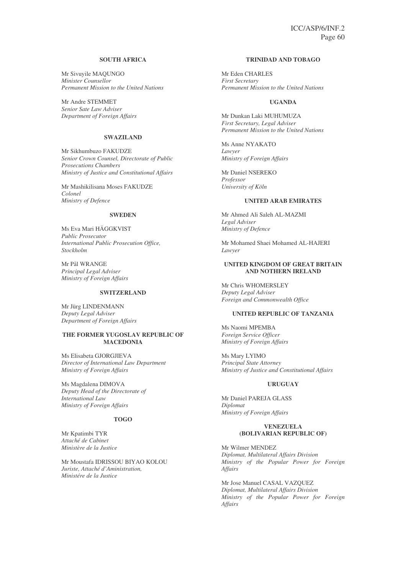### **SOUTH AFRICA**

Mr Sivuyile MAQUNGO *Minister Counsellor Permanent Mission to the United Nations*

Mr Andre STEMMET *Senior Sate Law Adviser Department of Foreign Affairs*

### **SWAZILAND**

Mr Sikhumbuzo FAKUDZE *Senior Crown Counsel, Directorate of Public Prosecutions Chambers Ministry of Justice and Constitutional Affairs*

Mr Mashikilisana Moses FAKUDZE *Colonel Ministry of Defence*

#### **SWEDEN**

Ms Eva Mari HÄGGKVIST *Public Prosecutor International Public Prosecution Office, Stockholm*

Mr Pål WRANGE *Principal Legal Adviser Ministry of Foreign Affairs*

#### **SWITZERLAND**

Mr Jürg LINDENMANN *Deputy Legal Adviser Department of Foreign Affairs*

#### **THE FORMER YUGOSLAV REPUBLIC OF MACEDONIA**

Ms Elisabeta GJORGJIEVA *Director of International Law Department Ministry of Foreign Affairs*

Ms Magdalena DIMOVA *Deputy Head of the Directorate of International Law Ministry of Foreign Affairs*

### **TOGO**

Mr Kpatimbi TYR *Attaché de Cabinet Ministère de la Justice*

Mr Moustafa IDRISSOU BIYAO KOLOU *Juriste, Attaché d'Aministration, Ministére de la Justice*

## **TRINIDAD AND TOBAGO**

Mr Eden CHARLES *First Secretary Permanent Mission to the United Nations*

### **UGANDA**

Mr Dunkan Laki MUHUMUZA *First Secretary, Legal Adviser Permanent Mission to the United Nations*

Ms Anne NYAKATO *Lawyer Ministry of Foreign Affairs*

Mr Daniel NSEREKO *Professor University of Köln*

#### **UNITED ARAB EMIRATES**

Mr Ahmed Ali Saleh AL-MAZMI *Legal Adviser Ministry of Defence*

Mr Mohamed Shaei Mohamed AL-HAJERI *Lawyer*

#### **UNITED KINGDOM OF GREAT BRITAIN AND NOTHERN IRELAND**

Mr Chris WHOMERSLEY *Deputy Legal Adviser Foreign and Commonwealth Office*

#### **UNITED REPUBLIC OF TANZANIA**

Ms Naomi MPEMBA *Foreign Service Officer Ministry of Foreign Affairs*

Ms Mary LYIMO *Principal State Attorney Ministry of Justice and Constitutional Affairs*

#### **URUGUAY**

Mr Daniel PAREJA GLASS *Diplomat Ministry of Foreign Affairs*

#### **VENEZUELA (BOLIVARIAN REPUBLIC OF)**

Mr Wilmer MENDEZ *Diplomat, Multilateral Affairs Division Ministry of the Popular Power for Foreign Affairs*

Mr Jose Manuel CASAL VAZQUEZ *Diplomat, Multilateral Affairs Division Ministry of the Popular Power for Foreign Affairs*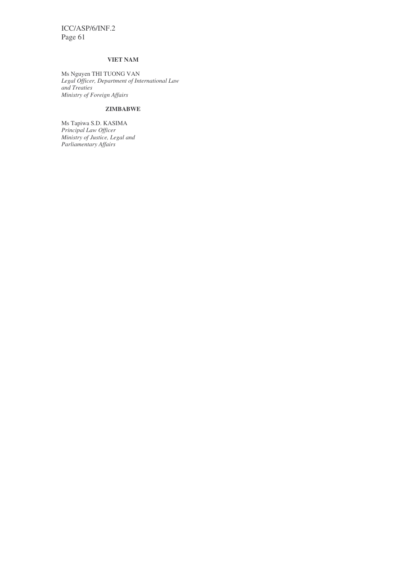# **VIET NAM**

Ms Nguyen THI TUONG VAN *Legal Officer, Department of International Law and Treaties Ministry of Foreign Affairs*

# **ZIMBABWE**

Ms Tapiwa S.D. KASIMA *Principal Law Officer Ministry of Justice, Legal and Parliamentary Affairs*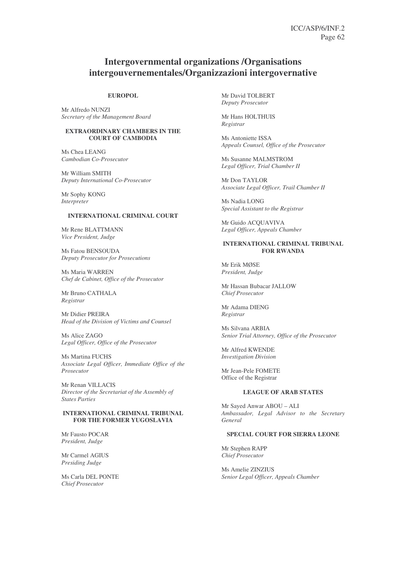# **Intergovernmental organizations /Organisations intergouvernementales/Organizzazioni intergovernative**

#### **EUROPOL**

Mr Alfredo NUNZI *Secretary of the Management Board*

#### **EXTRAORDINARY CHAMBERS IN THE COURT OF CAMBODIA**

Ms Chea LEANG *Cambodian Co-Prosecutor*

Mr William SMITH *Deputy International Co-Prosecutor*

Mr Sophy KONG *Interpreter*

#### **INTERNATIONAL CRIMINAL COURT**

Mr Rene BLATTMANN *Vice President, Judge*

Ms Fatou BENSOUDA *Deputy Prosecutor for Prosecutions*

Ms Maria WARREN *Chef de Cabinet, Office of the Prosecutor*

Mr Bruno CATHALA *Registrar*

Mr Didier PREIRA *Head of the Division of Victims and Counsel*

Ms Alice ZAGO *Legal Officer, Office of the Prosecutor*

Ms Martina FUCHS *Associate Legal Officer, Immediate Office of the Prosecutor*

Mr Renan VILLACIS *Director of the Secretariat of the Assembly of States Parties*

#### **INTERNATIONAL CRIMINAL TRIBUNAL FOR THE FORMER YUGOSLAVIA**

Mr Fausto POCAR *President, Judge*

Mr Carmel AGIUS *Presiding Judge*

Ms Carla DEL PONTE *Chief Prosecutor*

Mr David TOLBERT *Deputy Prosecutor*

Mr Hans HOLTHUIS *Registrar*

Ms Antoniette ISSA *Appeals Counsel, Office of the Prosecutor*

Ms Susanne MALMSTROM *Legal Officer, Trial Chamber II*

Mr Don TAYLOR *Associate Legal Officer, Trail Chamber II*

Ms Nadia LONG *Special Assistant to the Registrar*

Mr Guido ACQUAVIVA *Legal Officer, Appeals Chamber*

#### **INTERNATIONAL CRIMINAL TRIBUNAL FOR RWANDA**

Mr Erik MØSE *President, Judge*

Mr Hassan Bubacar JALLOW *Chief Prosecutor*

Mr Adama DIENG *Registrar*

Ms Silvana ARBIA *Senior Trial Attorney, Office of the Prosecutor*

Mr Alfred KWENDE *Investigation Division*

Mr Jean-Pele FOMETE Office of the Registrar

#### **LEAGUE OF ARAB STATES**

Mr Sayed Anwar ABOU – ALI *Ambassador, Legal Advisor to the Secretary General*

#### **SPECIAL COURT FOR SIERRA LEONE**

Mr Stephen RAPP *Chief Prosecutor*

Ms Amelie ZINZIUS *Senior Legal Officer, Appeals Chamber*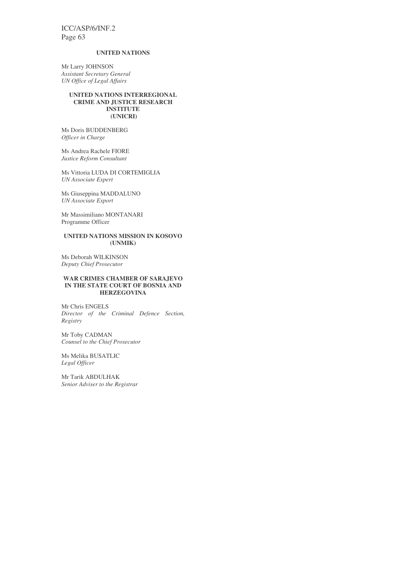#### **UNITED NATIONS**

Mr Larry JOHNSON *Assistant Secretary General UN Office of Legal Affairs*

#### **UNITED NATIONS INTERREGIONAL CRIME AND JUSTICE RESEARCH INSTITUTE (UNICRI)**

Ms Doris BUDDENBERG *Officer in Charge*

Ms Andrea Rachele FIORE *Justice Reform Consultant*

Ms Vittoria LUDA DI CORTEMIGLIA *UN Associate Expert*

Ms Giuseppina MADDALUNO *UN Associate Export*

Mr Massimiliano MONTANARI Programme Officer

### **UNITED NATIONS MISSION IN KOSOVO (UNMIK)**

Ms Deborah WILKINSON *Deputy Chief Prosecutor*

#### **WAR CRIMES CHAMBER OF SARAJEVO IN THE STATE COURT OF BOSNIA AND HERZEGOVINA**

Mr Chris ENGELS *Director of the Criminal Defence Section, Registry*

Mr Toby CADMAN *Counsel to the Chief Prosecutor*

Ms Melika BUSATLIC *Legal Officer*

Mr Tarik ABDULHAK *Senior Adviser to the Registrar*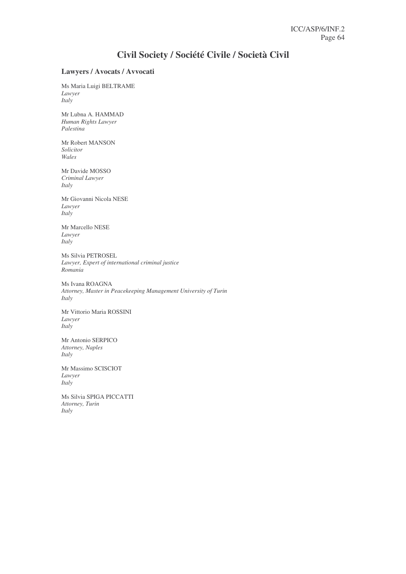# **Civil Society / Société Civile / Società Civil**

# **Lawyers / Avocats / Avvocati**

Ms Maria Luigi BELTRAME *Lawyer Italy*

Mr Lubna A. HAMMAD *Human Rights Lawyer Palestina*

Mr Robert MANSON *Solicitor Wales*

Mr Davide MOSSO *Criminal Lawyer Italy*

Mr Giovanni Nicola NESE *Lawyer Italy*

Mr Marcello NESE *Lawyer Italy*

Ms Silvia PETROSEL *Lawyer, Expert of international criminal justice Romania*

Ms Ivana ROAGNA *Attorney, Master in Peacekeeping Management University of Turin Italy*

Mr Vittorio Maria ROSSINI *Lawyer Italy*

Mr Antonio SERPICO *Attorney, Naples Italy*

Mr Massimo SCISCIOT *Lawyer Italy*

Ms Silvia SPIGA PICCATTI *Attorney, Turin Italy*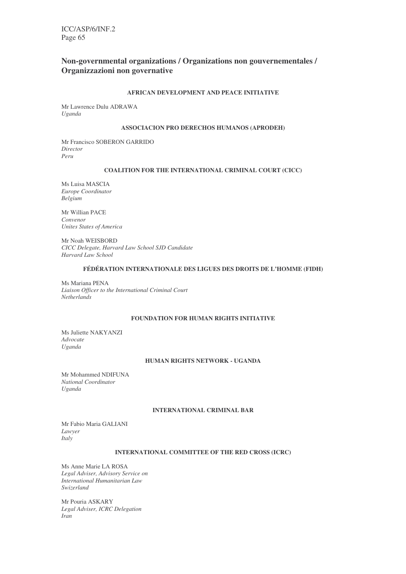# **Non-governmental organizations / Organizations non gouvernementales / Organizzazioni non governative**

### **AFRICAN DEVELOPMENT AND PEACE INITIATIVE**

Mr Lawrence Dulu ADRAWA *Uganda*

#### **ASSOCIACION PRO DERECHOS HUMANOS (APRODEH)**

Mr Francisco SOBERON GARRIDO *Director Peru*

### **COALITION FOR THE INTERNATIONAL CRIMINAL COURT (CICC)**

Ms Luisa MASCIA *Europe Coordinator Belgium*

Mr Willian PACE *Convenor Unites States of America*

Mr Noah WEISBORD *CICC Delegate, Harvard Law School SJD Candidate Harvard Law School*

#### **FÉDÉRATION INTERNATIONALE DES LIGUES DES DROITS DE L'HOMME (FIDH)**

Ms Mariana PENA *Liaison Officer to the International Criminal Court Netherlands*

# **FOUNDATION FOR HUMAN RIGHTS INITIATIVE**

Ms Juliette NAKYANZI *Advocate Uganda*

### **HUMAN RIGHTS NETWORK - UGANDA**

Mr Mohammed NDIFUNA *National Coordinator Uganda*

#### **INTERNATIONAL CRIMINAL BAR**

Mr Fabio Maria GALIANI *Lawyer Italy*

### **INTERNATIONAL COMMITTEE OF THE RED CROSS (ICRC)**

Ms Anne Marie LA ROSA *Legal Adviser, Advisory Service on International Humanitarian Law Swizerland*

Mr Pouria ASKARY *Legal Adviser, ICRC Delegation Iran*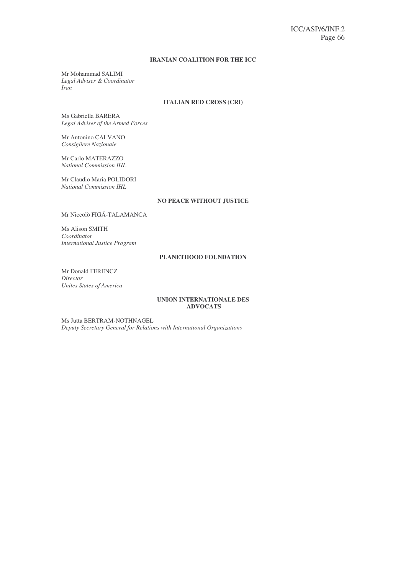### **IRANIAN COALITION FOR THE ICC**

Mr Mohammad SALIMI *Legal Adviser & Coordinator Iran*

# **ITALIAN RED CROSS (CRI)**

Ms Gabriella BARERA *Legal Adviser of the Armed Forces*

Mr Antonino CALVANO *Consigliere Nazionale*

Mr Carlo MATERAZZO *National Commission IHL*

Mr Claudio Maria POLIDORI *National Commission IHL*

#### **NO PEACE WITHOUT JUSTICE**

Mr Niccolò FIGÁ-TALAMANCA

Ms Alison SMITH *Coordinator International Justice Program*

# **PLANETHOOD FOUNDATION**

Mr Donald FERENCZ *Director Unites States of America*

### **UNION INTERNATIONALE DES ADVOCATS**

Ms Jutta BERTRAM-NOTHNAGEL *Deputy Secretary General for Relations with International Organizations*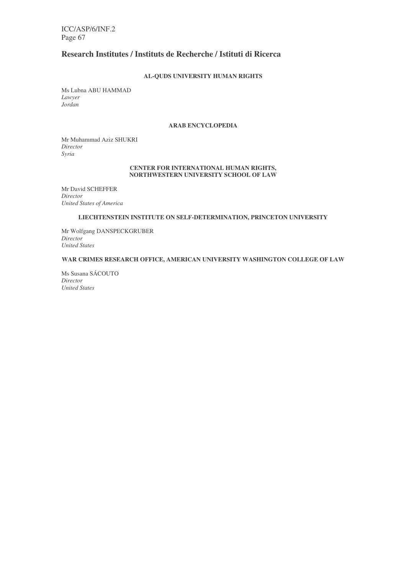# **Research Institutes / Instituts de Recherche / Istituti di Ricerca**

# **AL-QUDS UNIVERSITY HUMAN RIGHTS**

Ms Lubna ABU HAMMAD *Lawyer Jordan*

# **ARAB ENCYCLOPEDIA**

Mr Muhammad Aziz SHUKRI *Director Syria*

#### **CENTER FOR INTERNATIONAL HUMAN RIGHTS, NORTHWESTERN UNIVERSITY SCHOOL OF LAW**

Mr David SCHEFFER *Director United States of America*

### **LIECHTENSTEIN INSTITUTE ON SELF-DETERMINATION, PRINCETON UNIVERSITY**

Mr Wolfgang DANSPECKGRUBER *Director United States*

# **WAR CRIMES RESEARCH OFFICE, AMERICAN UNIVERSITY WASHINGTON COLLEGE OF LAW**

Ms Susana SÁCOUTO *Director United States*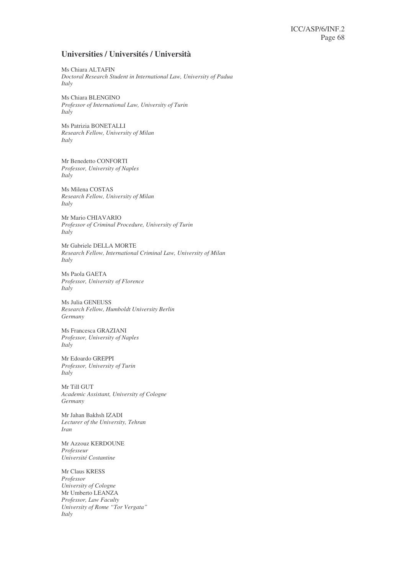# **Universities / Universités / Università**

Ms Chiara ALTAFIN *Doctoral Research Student in International Law, University of Padua Italy*

Ms Chiara BLENGINO *Professor of International Law, University of Turin Italy*

Ms Patrizia BONETALLI *Research Fellow, University of Milan Italy*

Mr Benedetto CONFORTI *Professor, University of Naples Italy*

Ms Milena COSTAS *Research Fellow, University of Milan Italy*

Mr Mario CHIAVARIO *Professor of Criminal Procedure, University of Turin Italy*

Mr Gabriele DELLA MORTE *Research Fellow, International Criminal Law, University of Milan Italy*

Ms Paola GAETA *Professor, University of Florence Italy*

Ms Julia GENEUSS *Research Fellow, Humboldt University Berlin Germany*

Ms Francesca GRAZIANI *Professor, University of Naples Italy*

Mr Edoardo GREPPI *Professor, University of Turin Italy*

Mr Till GUT *Academic Assistant, University of Cologne Germany*

Mr Jahan Bakhsh IZADI *Lecturer of the University, Tehran Iran*

Mr Azzouz KERDOUNE *Professeur Université Costantine*

Mr Claus KRESS *Professor University of Cologne* Mr Umberto LEANZA *Professor, Law Faculty University of Rome "Tor Vergata" Italy*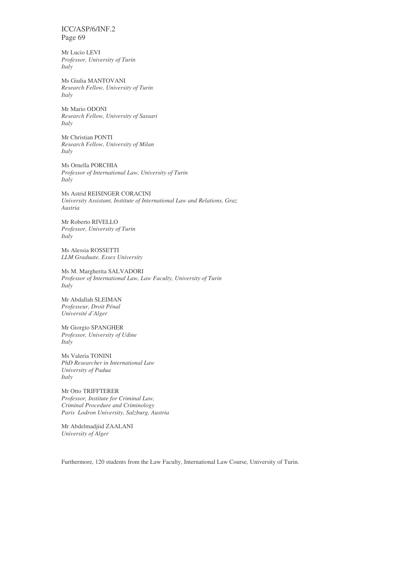Mr Lucio LEVI *Professor, University of Turin Italy*

Ms Giulia MANTOVANI *Research Fellow, University of Turin Italy*

Mr Mario ODONI *Research Fellow, University of Sassari Italy*

Mr Christian PONTI *Research Fellow, University of Milan Italy*

Ms Ornella PORCHIA *Professor of International Law, University of Turin Italy*

Ms Astrid REISINGER CORACINI *University Assistant, Institute of International Law and Relations, Graz Austria*

Mr Roberto RIVELLO *Professor, University of Turin Italy*

Ms Alessia ROSSETTI *LLM Graduate, Essex University*

Ms M. Margherita SALVADORI *Professor of International Law, Law Faculty, University of Turin Italy*

Mr Abdallah SLEIMAN *Professeur, Droit Pénal Université d'Alger*

Mr Giorgio SPANGHER *Professor, University of Udine Italy*

Ms Valeria TONINI *PhD Researcher in International Law University of Padua Italy*

Mr Otto TRIFFTERER *Professor, Institute for Criminal Law, Criminal Procedure and Criminology Paris Lodron University, Salzburg, Austria*

Mr Abdelmadjiid ZAALANI *University of Alger*

Furthermore, 120 students from the Law Faculty, International Law Course, University of Turin.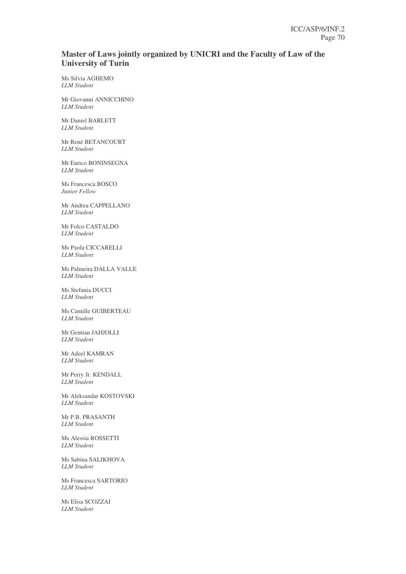# **Master of Laws jointly organized by UNICRI and the Faculty of Law of the University of Turin**

Ms Silvia AGHEMO *LLM Student*

Mr Giovanni ANNICCHINO *LLM Student*

Mr Daniel BARLETT *LLM Student*

Mr René BETANCOURT *LLM Student*

Mr Enrico BONINSEGNA *LLM Student*

Ms Francesca BOSCO *Junior Fellow*

Mr Andrea CAPPELLANO *LLM Student*

Mr Folco CASTALDO *LLM Student*

Ms Paola CICCARELLI *LLM Student*

Ms Palmeira DALLA VALLE *LLM Student*

Ms Stefania DUCCI *LLM Student*

Ms Camille GUIBERTEAU *LLM Student*

Mr Gentian JAHJOLLI *LLM Student*

Mr Adeel KAMRAN *LLM Student*

Mr Perry Jr. KENDALL *LLM Student*

Mr Aleksandar KOSTOVSKI *LLM Student*

Mr P.B. PRASANTH *LLM Student*

Ms Alessia ROSSETTI *LLM Student*

Ms Sabina SALIKHOVA *LLM Student*

Ms Francesca SARTORIO *LLM Student*

Ms Elisa SCOZZAI *LLM Student*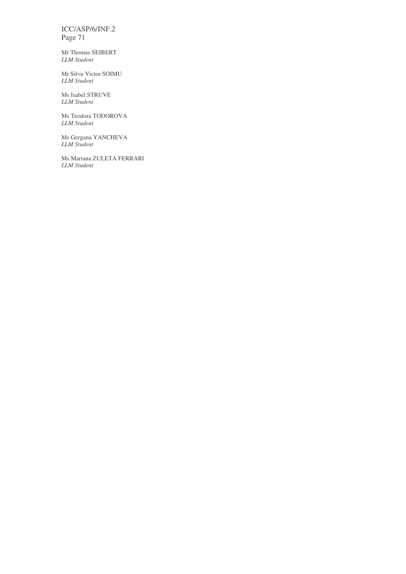Mr Thomas SEIBERT *LLM Student*

Mr Silvu Victor SOIMU *LLM Student*

Ms Isabel STRUVE *LLM Student*

Ms Teodora TODOROVA *LLM Student*

Ms Gergana YANCHEVA *LLM Student*

Ms Mariana ZULETA FERRARI *LLM Student*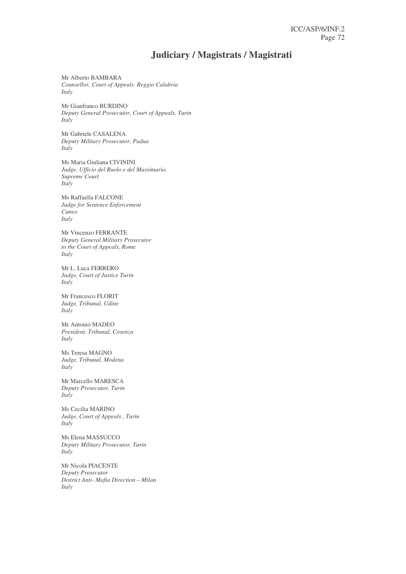# **Judiciary / Magistrats / Magistrati**

Mr Alberto BAMBARA *Counsellor, Court of Appeals Reggio Calabria Italy*

Mr Gianfranco BURDINO *Deputy General Prosecutor, Court of Appeals, Turin Italy*

Mr Gabriele CASALENA *Deputy Military Prosecutor, Padua Italy*

Ms Maria Giuliana CIVININI *Judge, Ufficio del Ruolo e del Massimario, Supreme Court Italy*

Ms Raffaella FALCONE *Judge for Sentence Enforcement Cuneo Italy*

Mr Vincenzo FERRANTE *Deputy General Military Prosecutor to the Court of Appeals, Rome Italy*

Mr L. Luca FERRERO *Judge, Court of Justice Turin Italy*

Mr Francesco FLORIT *Judge, Tribunal, Udine Italy*

Mr Antonio MADEO *President, Tribunal, Cosenza Italy*

Ms Teresa MAGNO *Judge, Tribunal, Modena Italy*

Mr Marcello MARESCA *Deputy Prosecutor, Turin Italy*

Ms Cecilia MARINO *Judge, Court of Appeals , Turin Italy*

Ms Elena MASSUCCO *Deputy Military Prosecutor, Turin Italy*

Mr Nicola PIACENTE *Deputy Prosecutor District Anti- Mafia Direction – Milan Italy*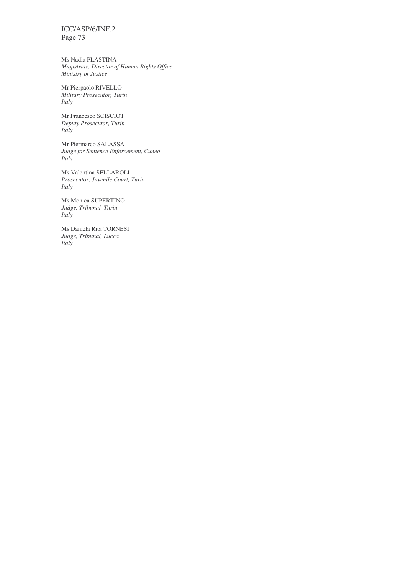ICC/ASP/6/INF.2 Page 73

Ms Nadia PLASTINA *Magistrate, Director of Human Rights Office Ministry of Justice*

Mr Pierpaolo RIVELLO *Military Prosecutor, Turin Italy*

Mr Francesco SCISCIOT *Deputy Prosecutor, Turin Italy*

Mr Piermarco SALASSA *Judge for Sentence Enforcement, Cuneo Italy*

Ms Valentina SELLAROLI *Prosecutor, Juvenile Court, Turin Italy*

Ms Monica SUPERTINO *Judge, Tribunal, Turin Italy*

Ms Daniela Rita TORNESI *Judge, Tribunal, Lucca Italy*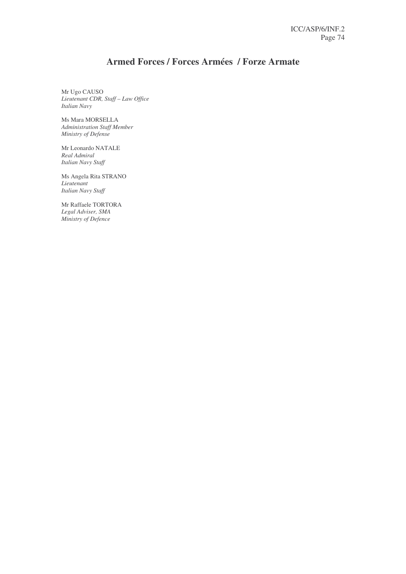# **Armed Forces / Forces Armées / Forze Armate**

Mr Ugo CAUSO *Lieutenant CDR, Staff – Law Office Italian Navy*

Ms Mara MORSELLA *Administration Staff Member Ministry of Defense*

Mr Leonardo NATALE *Real Admiral Italian Navy Staff*

Ms Angela Rita STRANO *Lieutenant Italian Navy Staff*

Mr Raffaele TORTORA *Legal Adviser, SMA Ministry of Defence*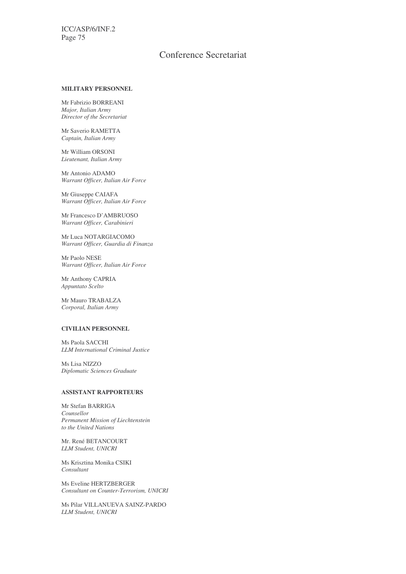ICC/ASP/6/INF.2 Page 75

## Conference Secretariat

### **MILITARY PERSONNEL**

Mr Fabrizio BORREANI *Major, Italian Army Director of the Secretariat*

Mr Saverio RAMETTA *Captain, Italian Army*

Mr William ORSONI *Lieutenant, Italian Army*

Mr Antonio ADAMO *Warrant Officer, Italian Air Force*

Mr Giuseppe CAIAFA *Warrant Officer, Italian Air Force*

Mr Francesco D'AMBRUOSO *Warrant Officer, Carabinieri*

Mr Luca NOTARGIACOMO *Warrant Officer, Guardia di Finanza*

Mr Paolo NESE *Warrant Officer, Italian Air Force*

Mr Anthony CAPRIA *Appuntato Scelto*

Mr Mauro TRABALZA *Corporal, Italian Army*

#### **CIVILIAN PERSONNEL**

Ms Paola SACCHI *LLM International Criminal Justice*

Ms Lisa NIZZO *Diplomatic Sciences Graduate*

#### **ASSISTANT RAPPORTEURS**

Mr Stefan BARRIGA *Counsellor Permanent Mission of Liechtenstein to the United Nations*

Mr. René BETANCOURT *LLM Student, UNICRI*

Ms Krisztina Monika CSIKI *Consultant*

Ms Eveline HERTZBERGER *Consultant on Counter-Terrorism, UNICRI*

Ms Pilar VILLANUEVA SAINZ-PARDO *LLM Student, UNICRI*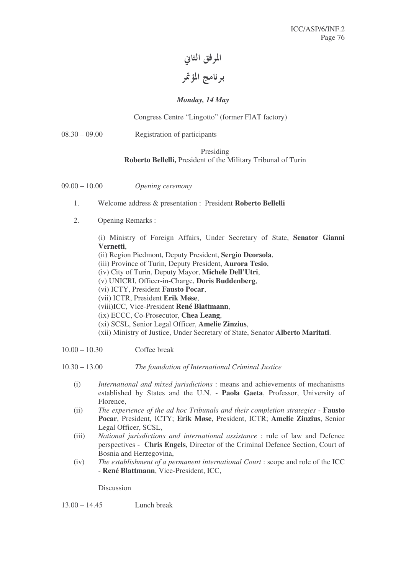المرفق الثاني برنامج المؤتمر

## *Monday, 14 May*

## Congress Centre "Lingotto" (former FIAT factory)

08.30 – 09.00 Registration of participants

### Presiding

## **Roberto Bellelli,** President of the Military Tribunal of Turin

- 09.00 10.00 *Opening ceremony*
	- 1. Welcome address & presentation : President **Roberto Bellelli**
	- 2. Opening Remarks :

(i) Ministry of Foreign Affairs, Under Secretary of State, **Senator Gianni Vernetti**,

(ii) Region Piedmont, Deputy President, **Sergio Deorsola**,

(iii) Province of Turin, Deputy President, **Aurora Tesio**,

- (iv) City of Turin, Deputy Mayor, **Michele Dell'Utri**,
- (v) UNICRI, Officer-in-Charge, **Doris Buddenberg**,
- (vi) ICTY, President **Fausto Pocar**,
- (vii) ICTR, President **Erik Møse**,
- (viii)ICC, Vice-President **René Blattmann**,
- (ix) ECCC, Co-Prosecutor, **Chea Leang**,
- (xi) SCSL, Senior Legal Officer, **Amelie Zinzius**,
- (xii) Ministry of Justice, Under Secretary of State, Senator **Alberto Maritati**.
- 10.00 10.30 Coffee break

10.30 – 13.00 *The foundation of International Criminal Justice*

- (i) *International and mixed jurisdictions* : means and achievements of mechanisms established by States and the U.N. - **Paola Gaeta**, Professor, University of Florence,
- (ii) *The experience of the ad hoc Tribunals and their completion strategies* **Fausto Pocar**, President, ICTY; **Erik Møse**, President, ICTR; **Amelie Zinzius**, Senior Legal Officer, SCSL,
- (iii) *National jurisdictions and international assistance* : rule of law and Defence perspectives - **Chris Engels**, Director of the Criminal Defence Section, Court of Bosnia and Herzegovina,
- (iv) *The establishment of a permanent international Court* : scope and role of the ICC - **René Blattmann**, Vice-President, ICC,

Discussion

13.00 – 14.45 Lunch break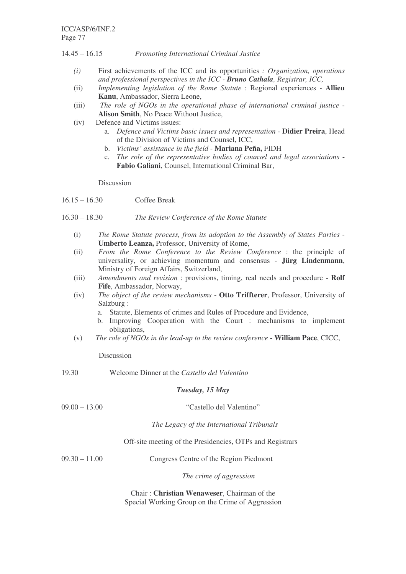14.45 – 16.15 *Promoting International Criminal Justice*

- *(i)* First achievements of the ICC and its opportunities *: Organization, operations and professional perspectives in the ICC - Bruno Cathala, Registrar, ICC,*
- (ii) *Implementing legislation of the Rome Statute* : Regional experiences **Allieu Kanu**, Ambassador, Sierra Leone,
- (iii) *The role of NGOs in the operational phase of international criminal justice* **Alison Smith**, No Peace Without Justice,
- (iv) Defence and Victims issues:
	- a. *Defence and Victims basic issues and representation* **Didier Preira**, Head of the Division of Victims and Counsel, ICC,
	- b. *Victims' assistance in the field* **Mariana Peña,** FIDH
	- c. *The role of the representative bodies of counsel and legal associations* **Fabio Galiani**, Counsel, International Criminal Bar,

Discussion

- 16.15 16.30 Coffee Break
- 16.30 18.30 *The Review Conference of the Rome Statute*
	- (i) *The Rome Statute process, from its adoption to the Assembly of States Parties* **Umberto Leanza,** Professor, University of Rome,
	- (ii) *From the Rome Conference to the Review Conference* : the principle of universality, or achieving momentum and consensus - **Jürg Lindenmann**, Ministry of Foreign Affairs, Switzerland,
	- (iii) *Amendments and revision* : provisions, timing, real needs and procedure **Rolf Fife**, Ambassador, Norway,
	- (iv) *The object of the review mechanisms* **Otto Triffterer**, Professor, University of Salzburg :
		- a. Statute, Elements of crimes and Rules of Procedure and Evidence,
		- b. Improving Cooperation with the Court : mechanisms to implement obligations,
	- (v) *The role of NGOs in the lead-up to the review conference* **William Pace**, CICC,

Discussion

19.30 Welcome Dinner at the *Castello del Valentino*

## *Tuesday, 15 May*

| $09.00 - 13.00$ | "Castello del Valentino"                                  |
|-----------------|-----------------------------------------------------------|
|                 | The Legacy of the International Tribunals                 |
|                 | Off-site meeting of the Presidencies, OTPs and Registrars |
| $09.30 - 11.00$ | Congress Centre of the Region Piedmont                    |
|                 | The crime of aggression                                   |
|                 |                                                           |

Chair : **Christian Wenaweser**, Chairman of the Special Working Group on the Crime of Aggression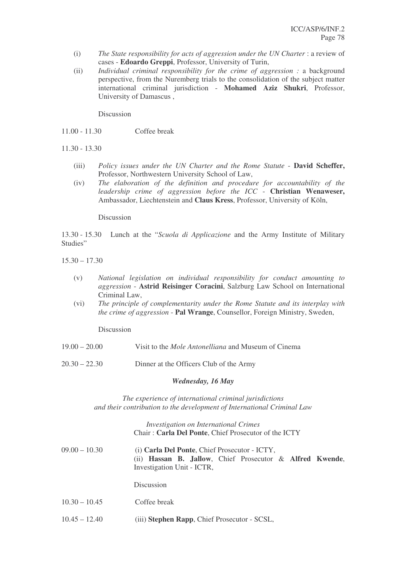- (i) *The State responsibility for acts of aggression under the UN Charter* : a review of cases - **Edoardo Greppi**, Professor, University of Turin,
- (ii) *Individual criminal responsibility for the crime of aggression :* a background perspective, from the Nuremberg trials to the consolidation of the subject matter international criminal jurisdiction - **Mohamed Aziz Shukri**, Professor, University of Damascus ,

Discussion

- 11.00 11.30 Coffee break
- 11.30 13.30
	- (iii) *Policy issues under the UN Charter and the Rome Statute* **David Scheffer,** Professor, Northwestern University School of Law,
	- (iv) *The elaboration of the definition and procedure for accountability of the leadership crime of aggression before the ICC* - **Christian Wenaweser,** Ambassador, Liechtenstein and **Claus Kress**, Professor, University of Köln,

Discussion

13.30 - 15.30 Lunch at the "*Scuola di Applicazione* and the Army Institute of Military Studies"

 $15.30 - 17.30$ 

- (v) *National legislation on individual responsibility for conduct amounting to aggression* - **Astrid Reisinger Coracini**, Salzburg Law School on International Criminal Law,
- (vi) *The principle of complementarity under the Rome Statute and its interplay with the crime of aggression* - **Pal Wrange**, Counsellor, Foreign Ministry, Sweden,

Discussion

- 19.00 20.00 Visit to the *Mole Antonelliana* and Museum of Cinema
- 20.30 22.30 Dinner at the Officers Club of the Army

### *Wednesday, 16 May*

*The experience of international criminal jurisdictions and their contribution to the development of International Criminal Law*

> *Investigation on International Crimes* Chair : **Carla Del Ponte**, Chief Prosecutor of the ICTY

| $09.00 - 10.30$ | (i) Carla Del Ponte, Chief Prosecutor - ICTY,                               |  |
|-----------------|-----------------------------------------------------------------------------|--|
|                 | (ii) <b>Hassan B. Jallow</b> , Chief Prosecutor $\&$ <b>Alfred Kwende</b> , |  |
|                 | Investigation Unit - ICTR,                                                  |  |
|                 |                                                                             |  |

Discussion

- 10.30 10.45 Coffee break
- 10.45 12.40 (iii) **Stephen Rapp**, Chief Prosecutor SCSL,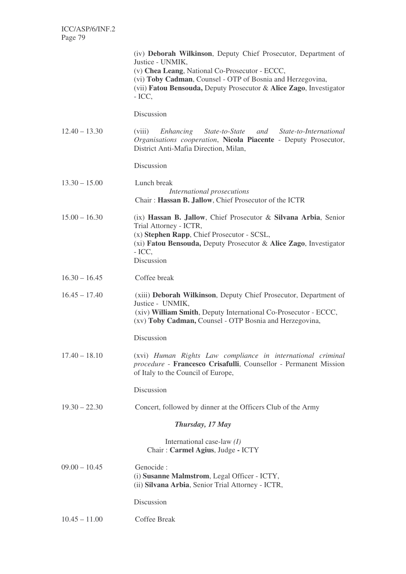|                 | (iv) Deborah Wilkinson, Deputy Chief Prosecutor, Department of<br>Justice - UNMIK,<br>(v) Chea Leang, National Co-Prosecutor - ECCC,<br>(vi) Toby Cadman, Counsel - OTP of Bosnia and Herzegovina,<br>(vii) Fatou Bensouda, Deputy Prosecutor & Alice Zago, Investigator<br>$-$ ICC, |
|-----------------|--------------------------------------------------------------------------------------------------------------------------------------------------------------------------------------------------------------------------------------------------------------------------------------|
|                 | Discussion                                                                                                                                                                                                                                                                           |
| $12.40 - 13.30$ | (viii)<br>Enhancing State-to-State and<br>State-to-International<br>Organisations cooperation, Nicola Piacente - Deputy Prosecutor,<br>District Anti-Mafia Direction, Milan,                                                                                                         |
|                 | Discussion                                                                                                                                                                                                                                                                           |
| $13.30 - 15.00$ | Lunch break<br>International prosecutions<br>Chair: Hassan B. Jallow, Chief Prosecutor of the ICTR                                                                                                                                                                                   |
| $15.00 - 16.30$ | (ix) Hassan B. Jallow, Chief Prosecutor & Silvana Arbia, Senior<br>Trial Attorney - ICTR,<br>(x) Stephen Rapp, Chief Prosecutor - SCSL,<br>(xi) Fatou Bensouda, Deputy Prosecutor & Alice Zago, Investigator<br>$-$ ICC,<br>Discussion                                               |
| $16.30 - 16.45$ | Coffee break                                                                                                                                                                                                                                                                         |
| $16.45 - 17.40$ | (xiii) Deborah Wilkinson, Deputy Chief Prosecutor, Department of<br>Justice - UNMIK,<br>(xiv) William Smith, Deputy International Co-Prosecutor - ECCC,<br>(xv) Toby Cadman, Counsel - OTP Bosnia and Herzegovina,                                                                   |
|                 | Discussion                                                                                                                                                                                                                                                                           |
| $17.40 - 18.10$ | (xvi) Human Rights Law compliance in international criminal<br>procedure - Francesco Crisafulli, Counsellor - Permanent Mission<br>of Italy to the Council of Europe,                                                                                                                |
|                 | Discussion                                                                                                                                                                                                                                                                           |
| $19.30 - 22.30$ | Concert, followed by dinner at the Officers Club of the Army                                                                                                                                                                                                                         |
|                 | Thursday, 17 May                                                                                                                                                                                                                                                                     |
|                 | International case-law $(I)$<br>Chair: Carmel Agius, Judge - ICTY                                                                                                                                                                                                                    |
| $09.00 - 10.45$ | Genocide :<br>(i) Susanne Malmstrom, Legal Officer - ICTY,<br>(ii) Silvana Arbia, Senior Trial Attorney - ICTR,                                                                                                                                                                      |
|                 | Discussion                                                                                                                                                                                                                                                                           |
| $10.45 - 11.00$ | Coffee Break                                                                                                                                                                                                                                                                         |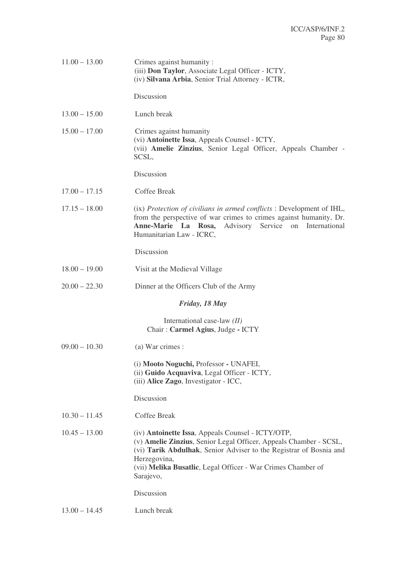| $11.00 - 13.00$ | Crimes against humanity:<br>(iii) Don Taylor, Associate Legal Officer - ICTY,<br>(iv) Silvana Arbia, Senior Trial Attorney - ICTR,                                                                                                                                                        |
|-----------------|-------------------------------------------------------------------------------------------------------------------------------------------------------------------------------------------------------------------------------------------------------------------------------------------|
|                 | Discussion                                                                                                                                                                                                                                                                                |
| $13.00 - 15.00$ | Lunch break                                                                                                                                                                                                                                                                               |
| $15.00 - 17.00$ | Crimes against humanity<br>(vi) Antoinette Issa, Appeals Counsel - ICTY,<br>(vii) Amelie Zinzius, Senior Legal Officer, Appeals Chamber -<br>SCSL,                                                                                                                                        |
|                 | Discussion                                                                                                                                                                                                                                                                                |
| $17.00 - 17.15$ | Coffee Break                                                                                                                                                                                                                                                                              |
| $17.15 - 18.00$ | (ix) Protection of civilians in armed conflicts : Development of IHL,<br>from the perspective of war crimes to crimes against humanity, Dr.<br>Anne-Marie La Rosa, Advisory Service<br>on International<br>Humanitarian Law - ICRC,                                                       |
|                 | Discussion                                                                                                                                                                                                                                                                                |
| $18.00 - 19.00$ | Visit at the Medieval Village                                                                                                                                                                                                                                                             |
| $20.00 - 22.30$ | Dinner at the Officers Club of the Army                                                                                                                                                                                                                                                   |
|                 | Friday, 18 May                                                                                                                                                                                                                                                                            |
|                 | International case-law $(II)$<br>Chair: Carmel Agius, Judge - ICTY                                                                                                                                                                                                                        |
| $09.00 - 10.30$ | (a) War crimes :                                                                                                                                                                                                                                                                          |
|                 | (i) Mooto Noguchi, Professor - UNAFEI,<br>(ii) Guido Acquaviva, Legal Officer - ICTY,<br>(iii) Alice Zago, Investigator - ICC,                                                                                                                                                            |
|                 | Discussion                                                                                                                                                                                                                                                                                |
| $10.30 - 11.45$ | Coffee Break                                                                                                                                                                                                                                                                              |
| $10.45 - 13.00$ | (iv) Antoinette Issa, Appeals Counsel - ICTY/OTP,<br>(v) Amelie Zinzius, Senior Legal Officer, Appeals Chamber - SCSL,<br>(vi) Tarik Abdulhak, Senior Adviser to the Registrar of Bosnia and<br>Herzegovina,<br>(vii) Melika Busatlic, Legal Officer - War Crimes Chamber of<br>Sarajevo, |
|                 | Discussion                                                                                                                                                                                                                                                                                |
| $13.00 - 14.45$ | Lunch break                                                                                                                                                                                                                                                                               |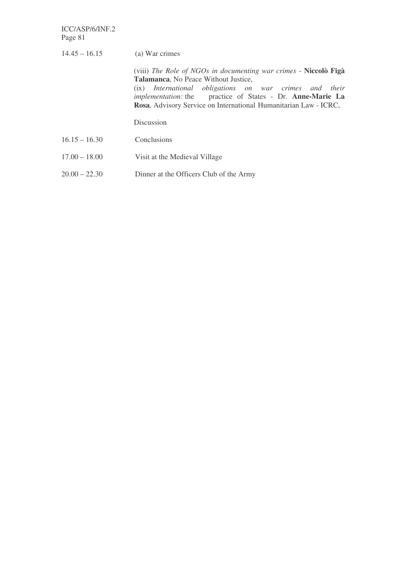ICC/ASP/6/INF.2 Page 81

| $14.45 - 16.15$ | (a) War crimes                                                                                                                                                                                                                                                                                                     |
|-----------------|--------------------------------------------------------------------------------------------------------------------------------------------------------------------------------------------------------------------------------------------------------------------------------------------------------------------|
|                 | (viii) The Role of NGOs in documenting war crimes - Niccolò Figà<br><b>Talamanca, No Peace Without Justice,</b><br>(ix) International obligations on war crimes and their<br><i>implementation:</i> the practice of States - Dr. Anne-Marie La<br>Rosa, Advisory Service on International Humanitarian Law - ICRC, |
|                 | Discussion                                                                                                                                                                                                                                                                                                         |
| $16.15 - 16.30$ | Conclusions                                                                                                                                                                                                                                                                                                        |
| $17.00 - 18.00$ | Visit at the Medieval Village                                                                                                                                                                                                                                                                                      |
| $20.00 - 22.30$ | Dinner at the Officers Club of the Army                                                                                                                                                                                                                                                                            |